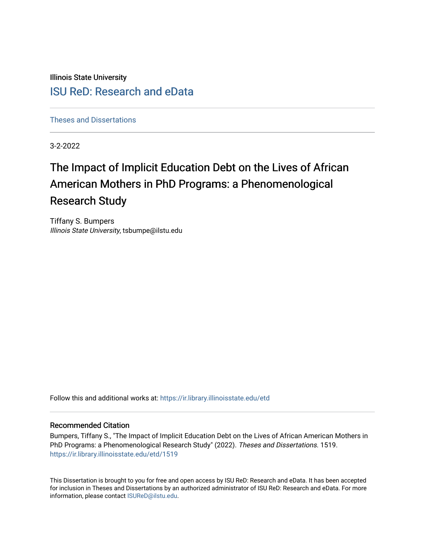Illinois State University

# [ISU ReD: Research and eData](https://ir.library.illinoisstate.edu/)

[Theses and Dissertations](https://ir.library.illinoisstate.edu/etd)

3-2-2022

# The Impact of Implicit Education Debt on the Lives of African American Mothers in PhD Programs: a Phenomenological Research Study

Tiffany S. Bumpers Illinois State University, tsbumpe@ilstu.edu

Follow this and additional works at: [https://ir.library.illinoisstate.edu/etd](https://ir.library.illinoisstate.edu/etd?utm_source=ir.library.illinoisstate.edu%2Fetd%2F1519&utm_medium=PDF&utm_campaign=PDFCoverPages) 

#### Recommended Citation

Bumpers, Tiffany S., "The Impact of Implicit Education Debt on the Lives of African American Mothers in PhD Programs: a Phenomenological Research Study" (2022). Theses and Dissertations. 1519. [https://ir.library.illinoisstate.edu/etd/1519](https://ir.library.illinoisstate.edu/etd/1519?utm_source=ir.library.illinoisstate.edu%2Fetd%2F1519&utm_medium=PDF&utm_campaign=PDFCoverPages) 

This Dissertation is brought to you for free and open access by ISU ReD: Research and eData. It has been accepted for inclusion in Theses and Dissertations by an authorized administrator of ISU ReD: Research and eData. For more information, please contact [ISUReD@ilstu.edu.](mailto:ISUReD@ilstu.edu)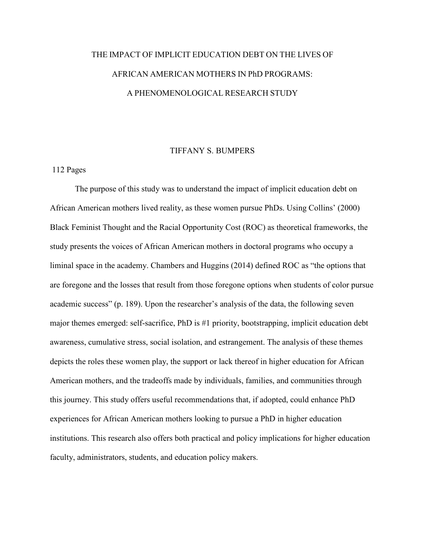# THE IMPACT OF IMPLICIT EDUCATION DEBT ON THE LIVES OF AFRICAN AMERICAN MOTHERS IN PhD PROGRAMS: A PHENOMENOLOGICAL RESEARCH STUDY

### TIFFANY S. BUMPERS

### 112 Pages

The purpose of this study was to understand the impact of implicit education debt on African American mothers lived reality, as these women pursue PhDs. Using Collins' (2000) Black Feminist Thought and the Racial Opportunity Cost (ROC) as theoretical frameworks, the study presents the voices of African American mothers in doctoral programs who occupy a liminal space in the academy. Chambers and Huggins (2014) defined ROC as "the options that are foregone and the losses that result from those foregone options when students of color pursue academic success" (p. 189). Upon the researcher's analysis of the data, the following seven major themes emerged: self-sacrifice, PhD is #1 priority, bootstrapping, implicit education debt awareness, cumulative stress, social isolation, and estrangement. The analysis of these themes depicts the roles these women play, the support or lack thereof in higher education for African American mothers, and the tradeoffs made by individuals, families, and communities through this journey. This study offers useful recommendations that, if adopted, could enhance PhD experiences for African American mothers looking to pursue a PhD in higher education institutions. This research also offers both practical and policy implications for higher education faculty, administrators, students, and education policy makers.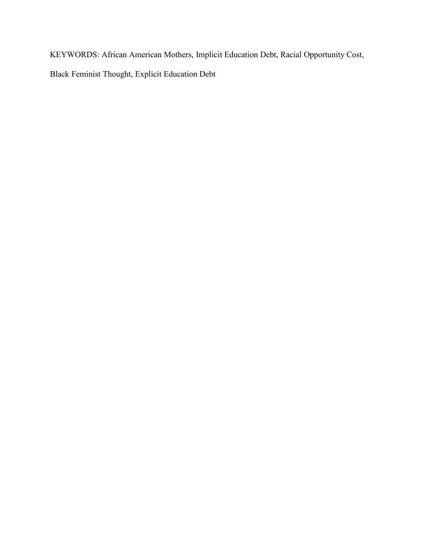KEYWORDS: African American Mothers, Implicit Education Debt, Racial Opportunity Cost,

Black Feminist Thought, Explicit Education Debt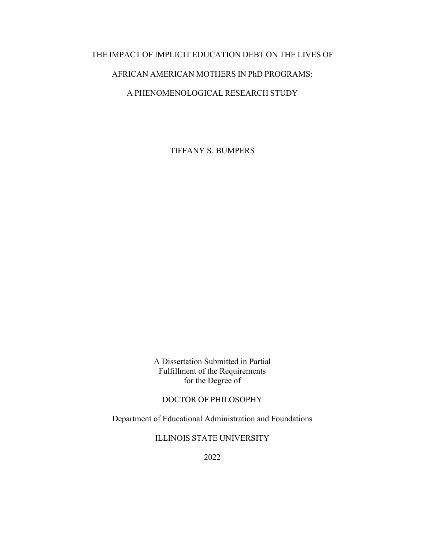### THE IMPACT OF IMPLICIT EDUCATION DEBT ON THE LIVES OF

### AFRICAN AMERICAN MOTHERS IN PhD PROGRAMS:

### A PHENOMENOLOGICAL RESEARCH STUDY

TIFFANY S. BUMPERS

A Dissertation Submitted in Partial Fulfillment of the Requirements for the Degree of

DOCTOR OF PHILOSOPHY

Department of Educational Administration and Foundations

ILLINOIS STATE UNIVERSITY

2022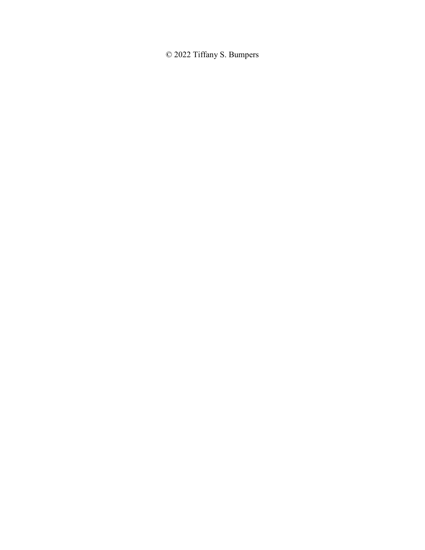© 2022 Tiffany S. Bumpers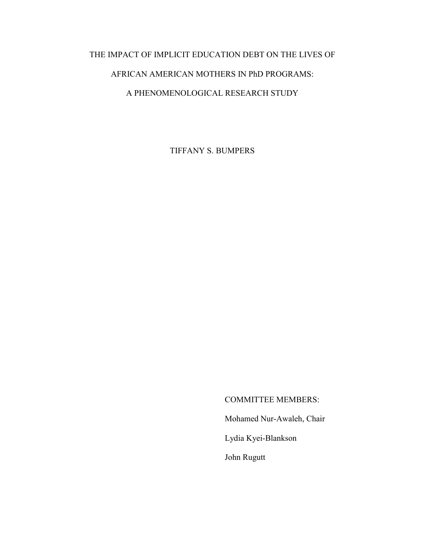# THE IMPACT OF IMPLICIT EDUCATION DEBT ON THE LIVES OF

## AFRICAN AMERICAN MOTHERS IN PhD PROGRAMS:

### A PHENOMENOLOGICAL RESEARCH STUDY

TIFFANY S. BUMPERS

COMMITTEE MEMBERS:

Mohamed Nur-Awaleh, Chair

Lydia Kyei-Blankson

John Rugutt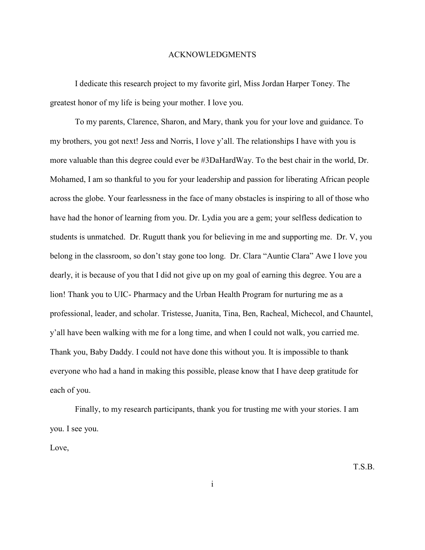#### ACKNOWLEDGMENTS

I dedicate this research project to my favorite girl, Miss Jordan Harper Toney. The greatest honor of my life is being your mother. I love you.

To my parents, Clarence, Sharon, and Mary, thank you for your love and guidance. To my brothers, you got next! Jess and Norris, I love y'all. The relationships I have with you is more valuable than this degree could ever be #3DaHardWay. To the best chair in the world, Dr. Mohamed, I am so thankful to you for your leadership and passion for liberating African people across the globe. Your fearlessness in the face of many obstacles is inspiring to all of those who have had the honor of learning from you. Dr. Lydia you are a gem; your selfless dedication to students is unmatched. Dr. Rugutt thank you for believing in me and supporting me. Dr. V, you belong in the classroom, so don't stay gone too long. Dr. Clara "Auntie Clara" Awe I love you dearly, it is because of you that I did not give up on my goal of earning this degree. You are a lion! Thank you to UIC- Pharmacy and the Urban Health Program for nurturing me as a professional, leader, and scholar. Tristesse, Juanita, Tina, Ben, Racheal, Michecol, and Chauntel, y'all have been walking with me for a long time, and when I could not walk, you carried me. Thank you, Baby Daddy. I could not have done this without you. It is impossible to thank everyone who had a hand in making this possible, please know that I have deep gratitude for each of you.

Finally, to my research participants, thank you for trusting me with your stories. I am you. I see you.

Love,

T.S.B.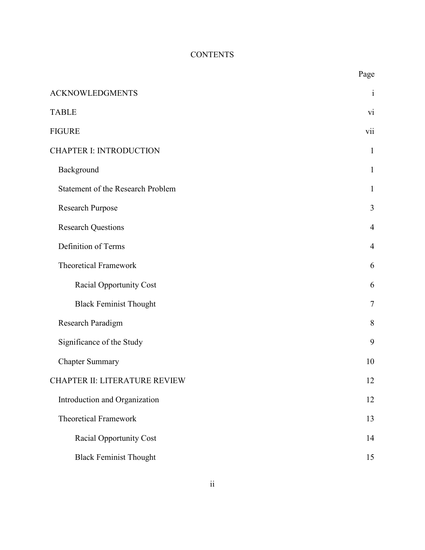# **CONTENTS**

|                                   | Page           |
|-----------------------------------|----------------|
| <b>ACKNOWLEDGMENTS</b>            | $\mathbf{i}$   |
| <b>TABLE</b>                      | vi             |
| <b>FIGURE</b>                     | vii            |
| <b>CHAPTER I: INTRODUCTION</b>    | $\mathbf{1}$   |
| Background                        | $\mathbf{1}$   |
| Statement of the Research Problem | $\mathbf{1}$   |
| Research Purpose                  | 3              |
| <b>Research Questions</b>         | $\overline{4}$ |
| Definition of Terms               | $\overline{4}$ |
| <b>Theoretical Framework</b>      | 6              |
| Racial Opportunity Cost           | 6              |
| <b>Black Feminist Thought</b>     | $\overline{7}$ |
| Research Paradigm                 | 8              |
| Significance of the Study         | 9              |
| <b>Chapter Summary</b>            | 10             |
| CHAPTER II: LITERATURE REVIEW     | 12             |
| Introduction and Organization     | 12             |
| Theoretical Framework             | 13             |
| <b>Racial Opportunity Cost</b>    | 14             |
| <b>Black Feminist Thought</b>     | 15             |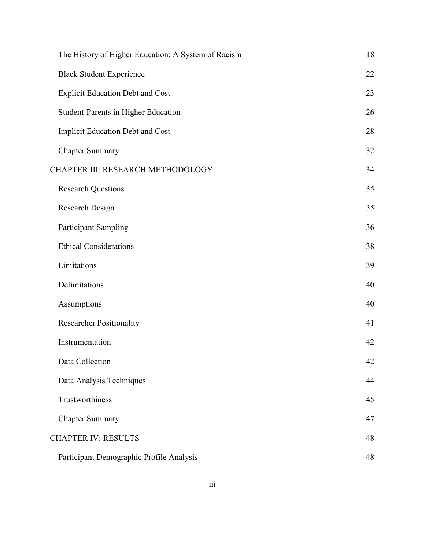| The History of Higher Education: A System of Racism | 18 |
|-----------------------------------------------------|----|
| <b>Black Student Experience</b>                     | 22 |
| <b>Explicit Education Debt and Cost</b>             | 23 |
| Student-Parents in Higher Education                 | 26 |
| <b>Implicit Education Debt and Cost</b>             | 28 |
| <b>Chapter Summary</b>                              | 32 |
| CHAPTER III: RESEARCH METHODOLOGY                   | 34 |
| <b>Research Questions</b>                           | 35 |
| Research Design                                     | 35 |
| <b>Participant Sampling</b>                         | 36 |
| <b>Ethical Considerations</b>                       | 38 |
| Limitations                                         | 39 |
| Delimitations                                       | 40 |
| Assumptions                                         | 40 |
| <b>Researcher Positionality</b>                     | 41 |
| Instrumentation                                     | 42 |
| Data Collection                                     | 42 |
| Data Analysis Techniques                            | 44 |
| Trustworthiness                                     | 45 |
| <b>Chapter Summary</b>                              | 47 |
| <b>CHAPTER IV: RESULTS</b>                          | 48 |
| Participant Demographic Profile Analysis            | 48 |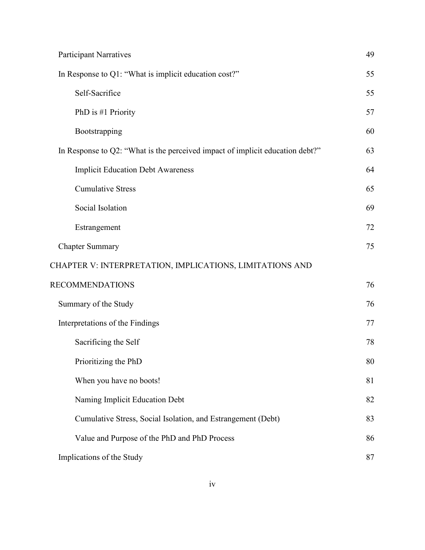| <b>Participant Narratives</b>                                                 | 49 |
|-------------------------------------------------------------------------------|----|
| In Response to Q1: "What is implicit education cost?"                         | 55 |
| Self-Sacrifice                                                                | 55 |
| PhD is #1 Priority                                                            | 57 |
| Bootstrapping                                                                 | 60 |
| In Response to Q2: "What is the perceived impact of implicit education debt?" | 63 |
| <b>Implicit Education Debt Awareness</b>                                      | 64 |
| <b>Cumulative Stress</b>                                                      | 65 |
| Social Isolation                                                              | 69 |
| Estrangement                                                                  | 72 |
| <b>Chapter Summary</b>                                                        | 75 |
| CHAPTER V: INTERPRETATION, IMPLICATIONS, LIMITATIONS AND                      |    |
| <b>RECOMMENDATIONS</b>                                                        | 76 |
| Summary of the Study                                                          | 76 |
| Interpretations of the Findings                                               | 77 |
| Sacrificing the Self                                                          | 78 |
| Prioritizing the PhD                                                          | 80 |
| When you have no boots!                                                       | 81 |
| Naming Implicit Education Debt                                                | 82 |
| Cumulative Stress, Social Isolation, and Estrangement (Debt)                  | 83 |
| Value and Purpose of the PhD and PhD Process                                  | 86 |
| Implications of the Study                                                     | 87 |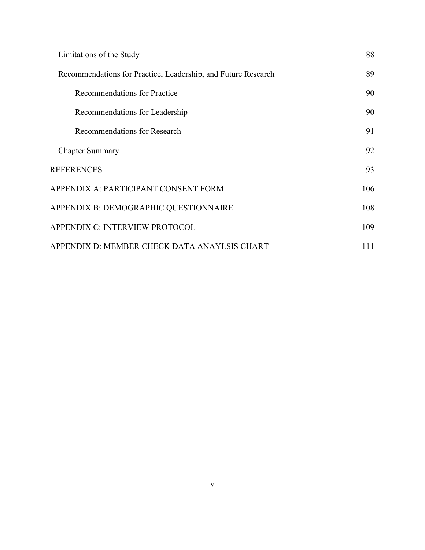| Limitations of the Study                                      | 88  |
|---------------------------------------------------------------|-----|
| Recommendations for Practice, Leadership, and Future Research | 89  |
| Recommendations for Practice                                  | 90  |
| Recommendations for Leadership                                | 90  |
| Recommendations for Research                                  | 91  |
| <b>Chapter Summary</b>                                        | 92  |
| <b>REFERENCES</b>                                             | 93  |
| APPENDIX A: PARTICIPANT CONSENT FORM                          | 106 |
| APPENDIX B: DEMOGRAPHIC QUESTIONNAIRE                         | 108 |
| APPENDIX C: INTERVIEW PROTOCOL                                | 109 |
| APPENDIX D: MEMBER CHECK DATA ANAYLSIS CHART                  | 111 |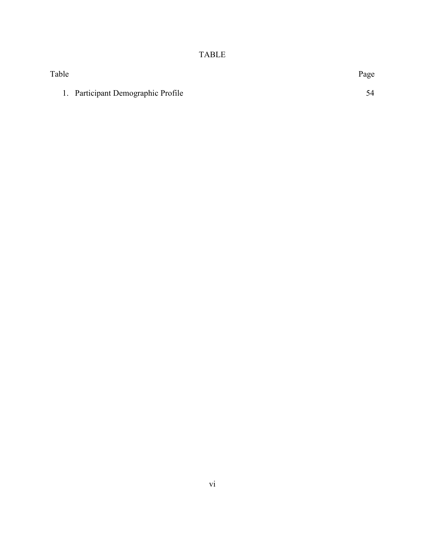# TABLE

| Table |                                    | Page |
|-------|------------------------------------|------|
|       | 1. Participant Demographic Profile | 54   |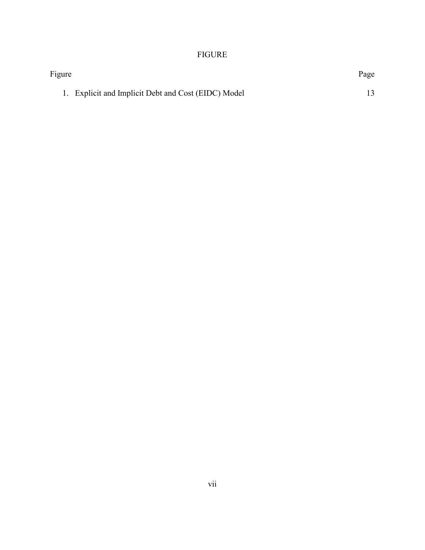## FIGURE

| Figure                                              | Page |
|-----------------------------------------------------|------|
| 1. Explicit and Implicit Debt and Cost (EIDC) Model |      |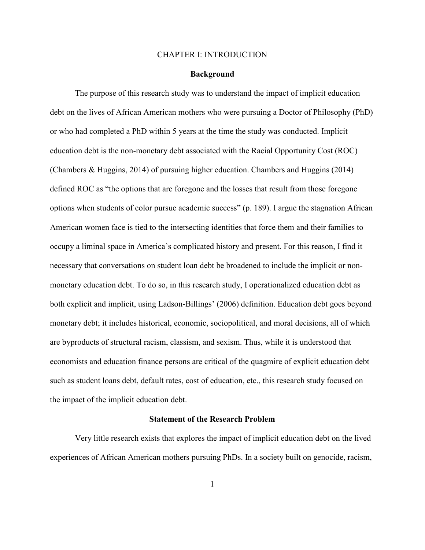#### CHAPTER I: INTRODUCTION

#### **Background**

The purpose of this research study was to understand the impact of implicit education debt on the lives of African American mothers who were pursuing a Doctor of Philosophy (PhD) or who had completed a PhD within 5 years at the time the study was conducted. Implicit education debt is the non-monetary debt associated with the Racial Opportunity Cost (ROC) (Chambers & Huggins, 2014) of pursuing higher education. Chambers and Huggins (2014) defined ROC as "the options that are foregone and the losses that result from those foregone options when students of color pursue academic success" (p. 189). I argue the stagnation African American women face is tied to the intersecting identities that force them and their families to occupy a liminal space in America's complicated history and present. For this reason, I find it necessary that conversations on student loan debt be broadened to include the implicit or nonmonetary education debt. To do so, in this research study, I operationalized education debt as both explicit and implicit, using Ladson-Billings' (2006) definition. Education debt goes beyond monetary debt; it includes historical, economic, sociopolitical, and moral decisions, all of which are byproducts of structural racism, classism, and sexism. Thus, while it is understood that economists and education finance persons are critical of the quagmire of explicit education debt such as student loans debt, default rates, cost of education, etc., this research study focused on the impact of the implicit education debt.

#### **Statement of the Research Problem**

Very little research exists that explores the impact of implicit education debt on the lived experiences of African American mothers pursuing PhDs. In a society built on genocide, racism,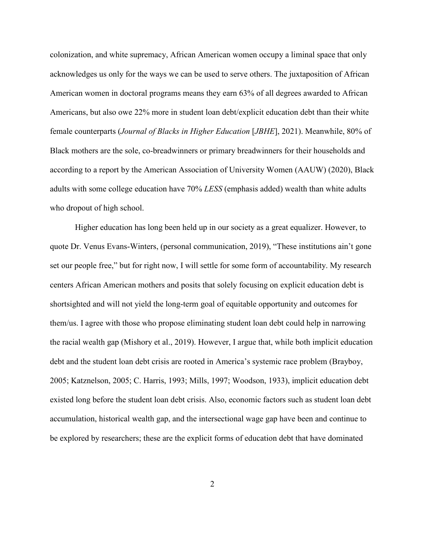colonization, and white supremacy, African American women occupy a liminal space that only acknowledges us only for the ways we can be used to serve others. The juxtaposition of African American women in doctoral programs means they earn 63% of all degrees awarded to African Americans, but also owe 22% more in student loan debt/explicit education debt than their white female counterparts (*Journal of Blacks in Higher Education* [*JBHE*], 2021). Meanwhile, 80% of Black mothers are the sole, co-breadwinners or primary breadwinners for their households and according to a report by the American Association of University Women (AAUW) (2020), Black adults with some college education have 70% *LESS* (emphasis added) wealth than white adults who dropout of high school.

Higher education has long been held up in our society as a great equalizer. However, to quote Dr. Venus Evans-Winters, (personal communication, 2019), "These institutions ain't gone set our people free," but for right now, I will settle for some form of accountability. My research centers African American mothers and posits that solely focusing on explicit education debt is shortsighted and will not yield the long-term goal of equitable opportunity and outcomes for them/us. I agree with those who propose eliminating student loan debt could help in narrowing the racial wealth gap (Mishory et al., 2019). However, I argue that, while both implicit education debt and the student loan debt crisis are rooted in America's systemic race problem (Brayboy, 2005; Katznelson, 2005; C. Harris, 1993; Mills, 1997; Woodson, 1933), implicit education debt existed long before the student loan debt crisis. Also, economic factors such as student loan debt accumulation, historical wealth gap, and the intersectional wage gap have been and continue to be explored by researchers; these are the explicit forms of education debt that have dominated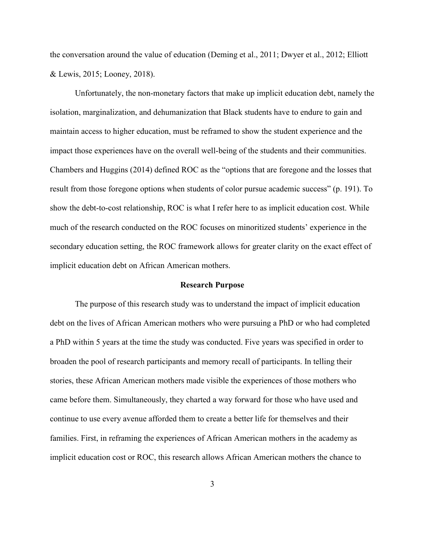the conversation around the value of education (Deming et al., 2011; Dwyer et al., 2012; Elliott & Lewis, 2015; Looney, 2018).

Unfortunately, the non-monetary factors that make up implicit education debt, namely the isolation, marginalization, and dehumanization that Black students have to endure to gain and maintain access to higher education, must be reframed to show the student experience and the impact those experiences have on the overall well-being of the students and their communities. Chambers and Huggins (2014) defined ROC as the "options that are foregone and the losses that result from those foregone options when students of color pursue academic success" (p. 191). To show the debt-to-cost relationship, ROC is what I refer here to as implicit education cost. While much of the research conducted on the ROC focuses on minoritized students' experience in the secondary education setting, the ROC framework allows for greater clarity on the exact effect of implicit education debt on African American mothers.

#### **Research Purpose**

The purpose of this research study was to understand the impact of implicit education debt on the lives of African American mothers who were pursuing a PhD or who had completed a PhD within 5 years at the time the study was conducted. Five years was specified in order to broaden the pool of research participants and memory recall of participants. In telling their stories, these African American mothers made visible the experiences of those mothers who came before them. Simultaneously, they charted a way forward for those who have used and continue to use every avenue afforded them to create a better life for themselves and their families. First, in reframing the experiences of African American mothers in the academy as implicit education cost or ROC, this research allows African American mothers the chance to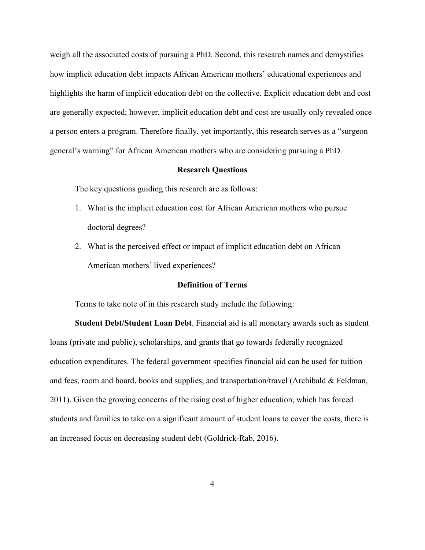weigh all the associated costs of pursuing a PhD. Second, this research names and demystifies how implicit education debt impacts African American mothers' educational experiences and highlights the harm of implicit education debt on the collective. Explicit education debt and cost are generally expected; however, implicit education debt and cost are usually only revealed once a person enters a program. Therefore finally, yet importantly, this research serves as a "surgeon general's warning" for African American mothers who are considering pursuing a PhD.

#### **Research Questions**

The key questions guiding this research are as follows:

- 1. What is the implicit education cost for African American mothers who pursue doctoral degrees?
- 2. What is the perceived effect or impact of implicit education debt on African American mothers' lived experiences?

#### **Definition of Terms**

Terms to take note of in this research study include the following:

**Student Debt/Student Loan Debt**. Financial aid is all monetary awards such as student loans (private and public), scholarships, and grants that go towards federally recognized education expenditures. The federal government specifies financial aid can be used for tuition and fees, room and board, books and supplies, and transportation/travel (Archibald & Feldman, 2011). Given the growing concerns of the rising cost of higher education, which has forced students and families to take on a significant amount of student loans to cover the costs, there is an increased focus on decreasing student debt (Goldrick-Rab, 2016).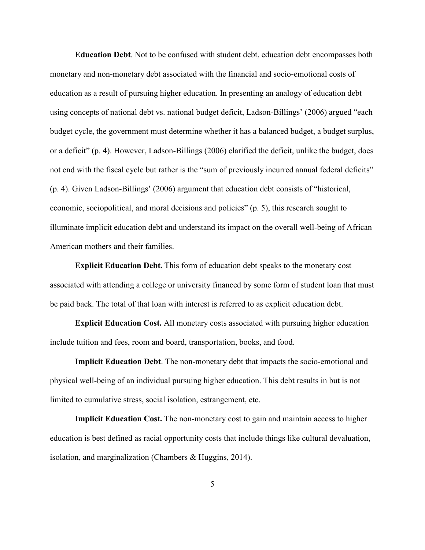**Education Debt**. Not to be confused with student debt, education debt encompasses both monetary and non-monetary debt associated with the financial and socio-emotional costs of education as a result of pursuing higher education. In presenting an analogy of education debt using concepts of national debt vs. national budget deficit, Ladson-Billings' (2006) argued "each budget cycle, the government must determine whether it has a balanced budget, a budget surplus, or a deficit" (p. 4). However, Ladson-Billings (2006) clarified the deficit, unlike the budget, does not end with the fiscal cycle but rather is the "sum of previously incurred annual federal deficits" (p. 4). Given Ladson-Billings' (2006) argument that education debt consists of "historical, economic, sociopolitical, and moral decisions and policies" (p. 5), this research sought to illuminate implicit education debt and understand its impact on the overall well-being of African American mothers and their families.

**Explicit Education Debt.** This form of education debt speaks to the monetary cost associated with attending a college or university financed by some form of student loan that must be paid back. The total of that loan with interest is referred to as explicit education debt.

**Explicit Education Cost.** All monetary costs associated with pursuing higher education include tuition and fees, room and board, transportation, books, and food.

**Implicit Education Debt**. The non-monetary debt that impacts the socio-emotional and physical well-being of an individual pursuing higher education. This debt results in but is not limited to cumulative stress, social isolation, estrangement, etc.

**Implicit Education Cost.** The non-monetary cost to gain and maintain access to higher education is best defined as racial opportunity costs that include things like cultural devaluation, isolation, and marginalization (Chambers & Huggins, 2014).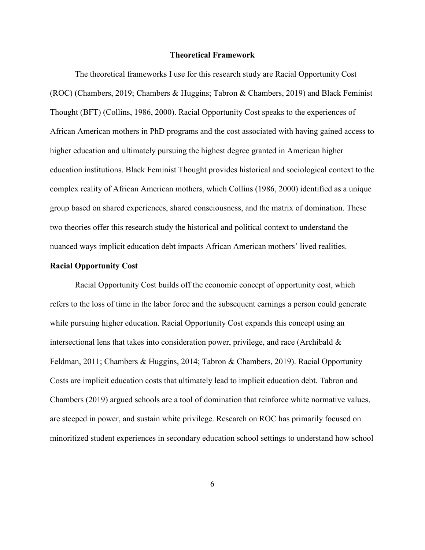#### **Theoretical Framework**

The theoretical frameworks I use for this research study are Racial Opportunity Cost (ROC) (Chambers, 2019; Chambers & Huggins; Tabron & Chambers, 2019) and Black Feminist Thought (BFT) (Collins, 1986, 2000). Racial Opportunity Cost speaks to the experiences of African American mothers in PhD programs and the cost associated with having gained access to higher education and ultimately pursuing the highest degree granted in American higher education institutions. Black Feminist Thought provides historical and sociological context to the complex reality of African American mothers, which Collins (1986, 2000) identified as a unique group based on shared experiences, shared consciousness, and the matrix of domination. These two theories offer this research study the historical and political context to understand the nuanced ways implicit education debt impacts African American mothers' lived realities.

#### **Racial Opportunity Cost**

Racial Opportunity Cost builds off the economic concept of opportunity cost, which refers to the loss of time in the labor force and the subsequent earnings a person could generate while pursuing higher education. Racial Opportunity Cost expands this concept using an intersectional lens that takes into consideration power, privilege, and race (Archibald & Feldman, 2011; Chambers & Huggins, 2014; Tabron & Chambers, 2019). Racial Opportunity Costs are implicit education costs that ultimately lead to implicit education debt. Tabron and Chambers (2019) argued schools are a tool of domination that reinforce white normative values, are steeped in power, and sustain white privilege. Research on ROC has primarily focused on minoritized student experiences in secondary education school settings to understand how school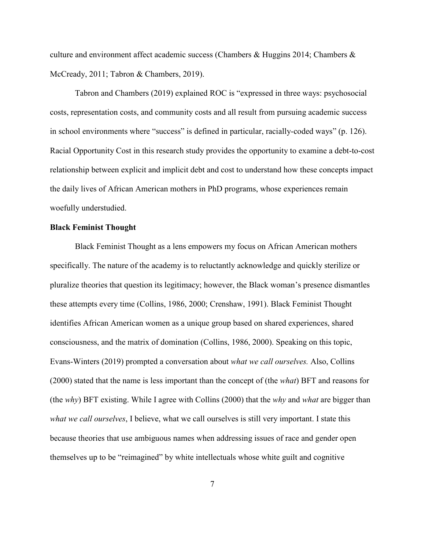culture and environment affect academic success (Chambers & Huggins 2014; Chambers & McCready, 2011; Tabron & Chambers, 2019).

Tabron and Chambers (2019) explained ROC is "expressed in three ways: psychosocial costs, representation costs, and community costs and all result from pursuing academic success in school environments where "success" is defined in particular, racially-coded ways" (p. 126). Racial Opportunity Cost in this research study provides the opportunity to examine a debt-to-cost relationship between explicit and implicit debt and cost to understand how these concepts impact the daily lives of African American mothers in PhD programs, whose experiences remain woefully understudied.

#### **Black Feminist Thought**

Black Feminist Thought as a lens empowers my focus on African American mothers specifically. The nature of the academy is to reluctantly acknowledge and quickly sterilize or pluralize theories that question its legitimacy; however, the Black woman's presence dismantles these attempts every time (Collins, 1986, 2000; Crenshaw, 1991). Black Feminist Thought identifies African American women as a unique group based on shared experiences, shared consciousness, and the matrix of domination (Collins, 1986, 2000). Speaking on this topic, Evans-Winters (2019) prompted a conversation about *what we call ourselves.* Also, Collins (2000) stated that the name is less important than the concept of (the *what*) BFT and reasons for (the *why*) BFT existing. While I agree with Collins (2000) that the *why* and *what* are bigger than *what we call ourselves*, I believe, what we call ourselves is still very important. I state this because theories that use ambiguous names when addressing issues of race and gender open themselves up to be "reimagined" by white intellectuals whose white guilt and cognitive

7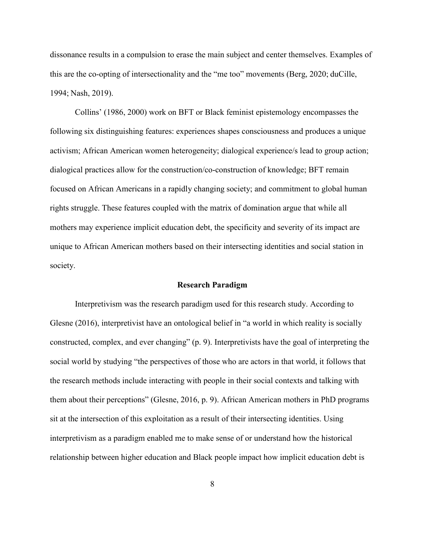dissonance results in a compulsion to erase the main subject and center themselves. Examples of this are the co-opting of intersectionality and the "me too" movements (Berg, 2020; duCille, 1994; Nash, 2019).

Collins' (1986, 2000) work on BFT or Black feminist epistemology encompasses the following six distinguishing features: experiences shapes consciousness and produces a unique activism; African American women heterogeneity; dialogical experience/s lead to group action; dialogical practices allow for the construction/co-construction of knowledge; BFT remain focused on African Americans in a rapidly changing society; and commitment to global human rights struggle. These features coupled with the matrix of domination argue that while all mothers may experience implicit education debt, the specificity and severity of its impact are unique to African American mothers based on their intersecting identities and social station in society.

#### **Research Paradigm**

Interpretivism was the research paradigm used for this research study. According to Glesne (2016), interpretivist have an ontological belief in "a world in which reality is socially constructed, complex, and ever changing" (p. 9). Interpretivists have the goal of interpreting the social world by studying "the perspectives of those who are actors in that world, it follows that the research methods include interacting with people in their social contexts and talking with them about their perceptions" (Glesne, 2016, p. 9). African American mothers in PhD programs sit at the intersection of this exploitation as a result of their intersecting identities. Using interpretivism as a paradigm enabled me to make sense of or understand how the historical relationship between higher education and Black people impact how implicit education debt is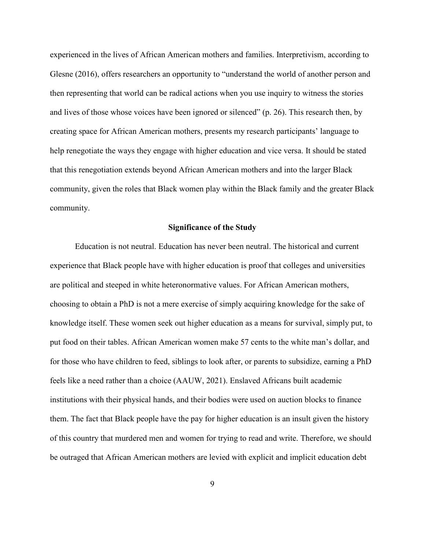experienced in the lives of African American mothers and families. Interpretivism, according to Glesne (2016), offers researchers an opportunity to "understand the world of another person and then representing that world can be radical actions when you use inquiry to witness the stories and lives of those whose voices have been ignored or silenced" (p. 26). This research then, by creating space for African American mothers, presents my research participants' language to help renegotiate the ways they engage with higher education and vice versa. It should be stated that this renegotiation extends beyond African American mothers and into the larger Black community, given the roles that Black women play within the Black family and the greater Black community.

#### **Significance of the Study**

Education is not neutral. Education has never been neutral. The historical and current experience that Black people have with higher education is proof that colleges and universities are political and steeped in white heteronormative values. For African American mothers, choosing to obtain a PhD is not a mere exercise of simply acquiring knowledge for the sake of knowledge itself. These women seek out higher education as a means for survival, simply put, to put food on their tables. African American women make 57 cents to the white man's dollar, and for those who have children to feed, siblings to look after, or parents to subsidize, earning a PhD feels like a need rather than a choice (AAUW, 2021). Enslaved Africans built academic institutions with their physical hands, and their bodies were used on auction blocks to finance them. The fact that Black people have the pay for higher education is an insult given the history of this country that murdered men and women for trying to read and write. Therefore, we should be outraged that African American mothers are levied with explicit and implicit education debt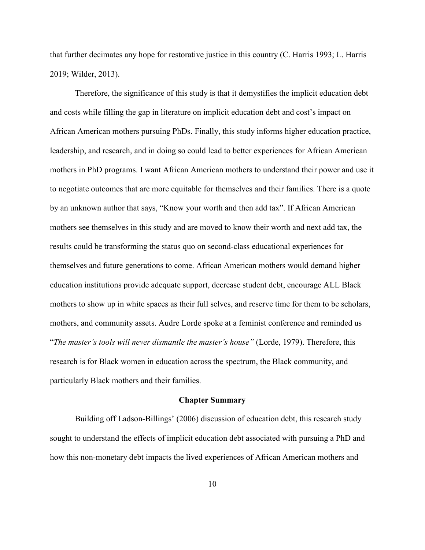that further decimates any hope for restorative justice in this country (C. Harris 1993; L. Harris 2019; Wilder, 2013).

Therefore, the significance of this study is that it demystifies the implicit education debt and costs while filling the gap in literature on implicit education debt and cost's impact on African American mothers pursuing PhDs. Finally, this study informs higher education practice, leadership, and research, and in doing so could lead to better experiences for African American mothers in PhD programs. I want African American mothers to understand their power and use it to negotiate outcomes that are more equitable for themselves and their families. There is a quote by an unknown author that says, "Know your worth and then add tax". If African American mothers see themselves in this study and are moved to know their worth and next add tax, the results could be transforming the status quo on second-class educational experiences for themselves and future generations to come. African American mothers would demand higher education institutions provide adequate support, decrease student debt, encourage ALL Black mothers to show up in white spaces as their full selves, and reserve time for them to be scholars, mothers, and community assets. Audre Lorde spoke at a feminist conference and reminded us "*The master's tools will never dismantle the master's house"* (Lorde, 1979). Therefore, this research is for Black women in education across the spectrum, the Black community, and particularly Black mothers and their families.

#### **Chapter Summary**

Building off Ladson-Billings' (2006) discussion of education debt, this research study sought to understand the effects of implicit education debt associated with pursuing a PhD and how this non-monetary debt impacts the lived experiences of African American mothers and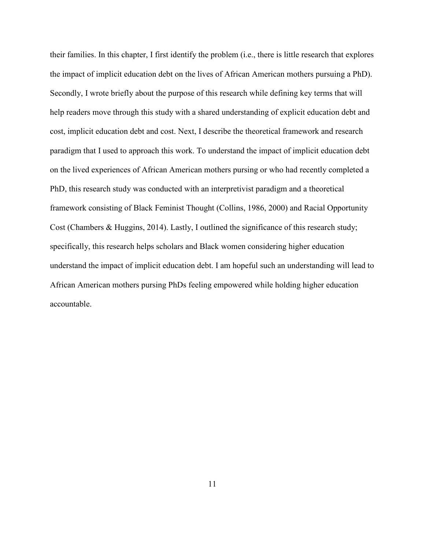their families. In this chapter, I first identify the problem (i.e., there is little research that explores the impact of implicit education debt on the lives of African American mothers pursuing a PhD). Secondly, I wrote briefly about the purpose of this research while defining key terms that will help readers move through this study with a shared understanding of explicit education debt and cost, implicit education debt and cost. Next, I describe the theoretical framework and research paradigm that I used to approach this work. To understand the impact of implicit education debt on the lived experiences of African American mothers pursing or who had recently completed a PhD, this research study was conducted with an interpretivist paradigm and a theoretical framework consisting of Black Feminist Thought (Collins, 1986, 2000) and Racial Opportunity Cost (Chambers & Huggins, 2014). Lastly, I outlined the significance of this research study; specifically, this research helps scholars and Black women considering higher education understand the impact of implicit education debt. I am hopeful such an understanding will lead to African American mothers pursing PhDs feeling empowered while holding higher education accountable.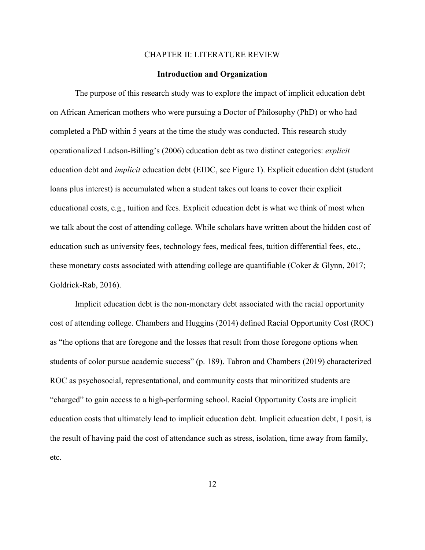#### CHAPTER II: LITERATURE REVIEW

#### **Introduction and Organization**

The purpose of this research study was to explore the impact of implicit education debt on African American mothers who were pursuing a Doctor of Philosophy (PhD) or who had completed a PhD within 5 years at the time the study was conducted. This research study operationalized Ladson-Billing's (2006) education debt as two distinct categories: *explicit*  education debt and *implicit* education debt (EIDC, see Figure 1). Explicit education debt (student loans plus interest) is accumulated when a student takes out loans to cover their explicit educational costs, e.g., tuition and fees. Explicit education debt is what we think of most when we talk about the cost of attending college. While scholars have written about the hidden cost of education such as university fees, technology fees, medical fees, tuition differential fees, etc., these monetary costs associated with attending college are quantifiable (Coker & Glynn, 2017; Goldrick-Rab, 2016).

Implicit education debt is the non-monetary debt associated with the racial opportunity cost of attending college. Chambers and Huggins (2014) defined Racial Opportunity Cost (ROC) as "the options that are foregone and the losses that result from those foregone options when students of color pursue academic success" (p. 189). Tabron and Chambers (2019) characterized ROC as psychosocial, representational, and community costs that minoritized students are "charged" to gain access to a high-performing school. Racial Opportunity Costs are implicit education costs that ultimately lead to implicit education debt. Implicit education debt, I posit, is the result of having paid the cost of attendance such as stress, isolation, time away from family, etc.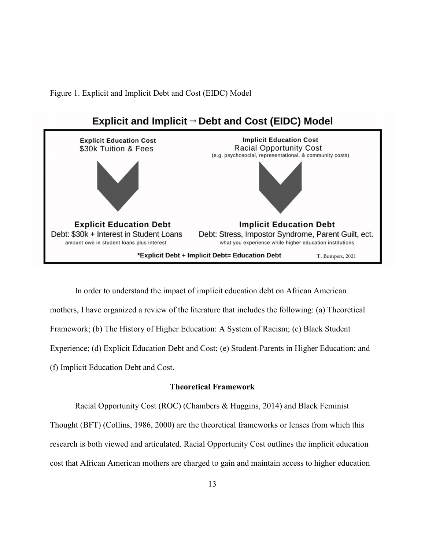Figure 1. Explicit and Implicit Debt and Cost (EIDC) Model



In order to understand the impact of implicit education debt on African American mothers, I have organized a review of the literature that includes the following: (a) Theoretical Framework; (b) The History of Higher Education: A System of Racism; (c) Black Student Experience; (d) Explicit Education Debt and Cost; (e) Student-Parents in Higher Education; and (f) Implicit Education Debt and Cost.

### **Theoretical Framework**

Racial Opportunity Cost (ROC) (Chambers & Huggins, 2014) and Black Feminist Thought (BFT) (Collins, 1986, 2000) are the theoretical frameworks or lenses from which this research is both viewed and articulated. Racial Opportunity Cost outlines the implicit education cost that African American mothers are charged to gain and maintain access to higher education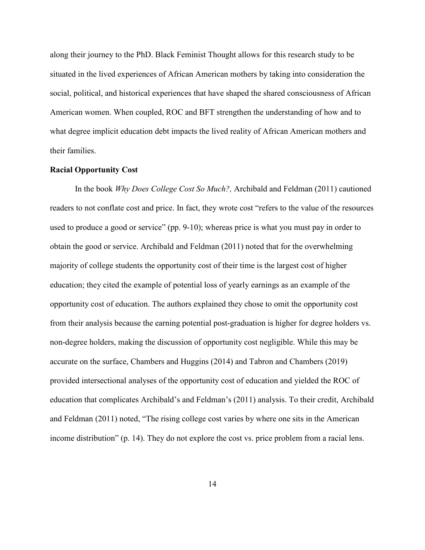along their journey to the PhD. Black Feminist Thought allows for this research study to be situated in the lived experiences of African American mothers by taking into consideration the social, political, and historical experiences that have shaped the shared consciousness of African American women. When coupled, ROC and BFT strengthen the understanding of how and to what degree implicit education debt impacts the lived reality of African American mothers and their families.

#### **Racial Opportunity Cost**

In the book *Why Does College Cost So Much?,* Archibald and Feldman (2011) cautioned readers to not conflate cost and price. In fact, they wrote cost "refers to the value of the resources used to produce a good or service" (pp. 9-10); whereas price is what you must pay in order to obtain the good or service. Archibald and Feldman (2011) noted that for the overwhelming majority of college students the opportunity cost of their time is the largest cost of higher education; they cited the example of potential loss of yearly earnings as an example of the opportunity cost of education. The authors explained they chose to omit the opportunity cost from their analysis because the earning potential post-graduation is higher for degree holders vs. non-degree holders, making the discussion of opportunity cost negligible. While this may be accurate on the surface, Chambers and Huggins (2014) and Tabron and Chambers (2019) provided intersectional analyses of the opportunity cost of education and yielded the ROC of education that complicates Archibald's and Feldman's (2011) analysis. To their credit, Archibald and Feldman (2011) noted, "The rising college cost varies by where one sits in the American income distribution" (p. 14). They do not explore the cost vs. price problem from a racial lens.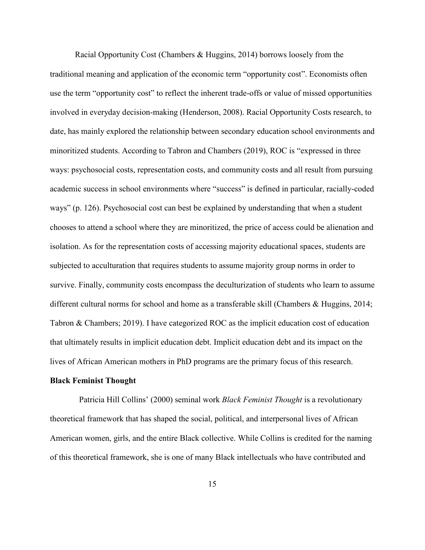Racial Opportunity Cost (Chambers & Huggins, 2014) borrows loosely from the traditional meaning and application of the economic term "opportunity cost". Economists often use the term "opportunity cost" to reflect the inherent trade-offs or value of missed opportunities involved in everyday decision-making (Henderson, 2008). Racial Opportunity Costs research, to date, has mainly explored the relationship between secondary education school environments and minoritized students. According to Tabron and Chambers (2019), ROC is "expressed in three ways: psychosocial costs, representation costs, and community costs and all result from pursuing academic success in school environments where "success" is defined in particular, racially-coded ways" (p. 126). Psychosocial cost can best be explained by understanding that when a student chooses to attend a school where they are minoritized, the price of access could be alienation and isolation. As for the representation costs of accessing majority educational spaces, students are subjected to acculturation that requires students to assume majority group norms in order to survive. Finally, community costs encompass the deculturization of students who learn to assume different cultural norms for school and home as a transferable skill (Chambers & Huggins, 2014; Tabron & Chambers; 2019). I have categorized ROC as the implicit education cost of education that ultimately results in implicit education debt. Implicit education debt and its impact on the lives of African American mothers in PhD programs are the primary focus of this research.

#### **Black Feminist Thought**

 Patricia Hill Collins' (2000) seminal work *Black Feminist Thought* is a revolutionary theoretical framework that has shaped the social, political, and interpersonal lives of African American women, girls, and the entire Black collective. While Collins is credited for the naming of this theoretical framework, she is one of many Black intellectuals who have contributed and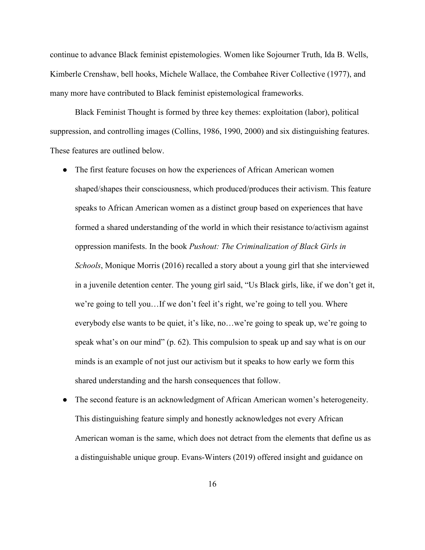continue to advance Black feminist epistemologies. Women like Sojourner Truth, Ida B. Wells, Kimberle Crenshaw, bell hooks, Michele Wallace, the Combahee River Collective (1977), and many more have contributed to Black feminist epistemological frameworks.

Black Feminist Thought is formed by three key themes: exploitation (labor), political suppression, and controlling images (Collins, 1986, 1990, 2000) and six distinguishing features. These features are outlined below.

- The first feature focuses on how the experiences of African American women shaped/shapes their consciousness, which produced/produces their activism. This feature speaks to African American women as a distinct group based on experiences that have formed a shared understanding of the world in which their resistance to/activism against oppression manifests. In the book *Pushout: The Criminalization of Black Girls in Schools*, Monique Morris (2016) recalled a story about a young girl that she interviewed in a juvenile detention center. The young girl said, "Us Black girls, like, if we don't get it, we're going to tell you…If we don't feel it's right, we're going to tell you. Where everybody else wants to be quiet, it's like, no…we're going to speak up, we're going to speak what's on our mind" (p. 62). This compulsion to speak up and say what is on our minds is an example of not just our activism but it speaks to how early we form this shared understanding and the harsh consequences that follow.
- The second feature is an acknowledgment of African American women's heterogeneity. This distinguishing feature simply and honestly acknowledges not every African American woman is the same, which does not detract from the elements that define us as a distinguishable unique group. Evans-Winters (2019) offered insight and guidance on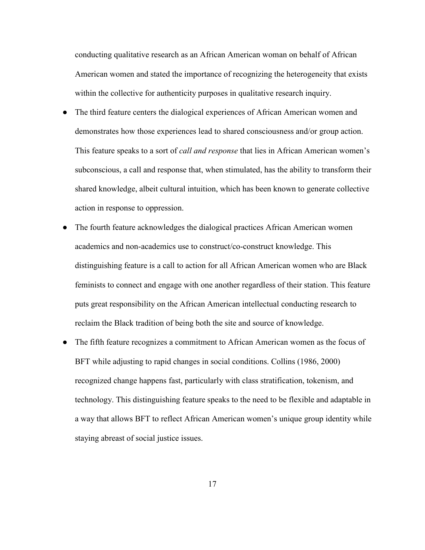conducting qualitative research as an African American woman on behalf of African American women and stated the importance of recognizing the heterogeneity that exists within the collective for authenticity purposes in qualitative research inquiry.

- The third feature centers the dialogical experiences of African American women and demonstrates how those experiences lead to shared consciousness and/or group action. This feature speaks to a sort of *call and response* that lies in African American women's subconscious, a call and response that, when stimulated, has the ability to transform their shared knowledge, albeit cultural intuition, which has been known to generate collective action in response to oppression.
- The fourth feature acknowledges the dialogical practices African American women academics and non-academics use to construct/co-construct knowledge. This distinguishing feature is a call to action for all African American women who are Black feminists to connect and engage with one another regardless of their station. This feature puts great responsibility on the African American intellectual conducting research to reclaim the Black tradition of being both the site and source of knowledge.
- The fifth feature recognizes a commitment to African American women as the focus of BFT while adjusting to rapid changes in social conditions. Collins (1986, 2000) recognized change happens fast, particularly with class stratification, tokenism, and technology. This distinguishing feature speaks to the need to be flexible and adaptable in a way that allows BFT to reflect African American women's unique group identity while staying abreast of social justice issues.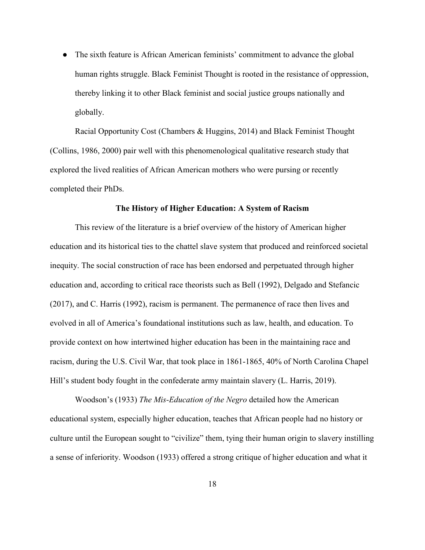• The sixth feature is African American feminists' commitment to advance the global human rights struggle. Black Feminist Thought is rooted in the resistance of oppression, thereby linking it to other Black feminist and social justice groups nationally and globally.

Racial Opportunity Cost (Chambers & Huggins, 2014) and Black Feminist Thought (Collins, 1986, 2000) pair well with this phenomenological qualitative research study that explored the lived realities of African American mothers who were pursing or recently completed their PhDs.

#### **The History of Higher Education: A System of Racism**

This review of the literature is a brief overview of the history of American higher education and its historical ties to the chattel slave system that produced and reinforced societal inequity. The social construction of race has been endorsed and perpetuated through higher education and, according to critical race theorists such as Bell (1992), Delgado and Stefancic (2017), and C. Harris (1992), racism is permanent. The permanence of race then lives and evolved in all of America's foundational institutions such as law, health, and education. To provide context on how intertwined higher education has been in the maintaining race and racism, during the U.S. Civil War, that took place in 1861-1865, 40% of North Carolina Chapel Hill's student body fought in the confederate army maintain slavery (L. Harris, 2019).

Woodson's (1933) *The Mis-Education of the Negro* detailed how the American educational system, especially higher education, teaches that African people had no history or culture until the European sought to "civilize" them, tying their human origin to slavery instilling a sense of inferiority. Woodson (1933) offered a strong critique of higher education and what it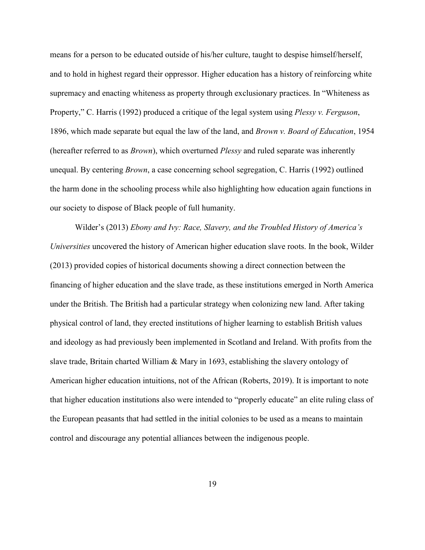means for a person to be educated outside of his/her culture, taught to despise himself/herself, and to hold in highest regard their oppressor. Higher education has a history of reinforcing white supremacy and enacting whiteness as property through exclusionary practices. In "Whiteness as Property," C. Harris (1992) produced a critique of the legal system using *Plessy v. Ferguson*, 1896, which made separate but equal the law of the land, and *Brown v. Board of Education*, 1954 (hereafter referred to as *Brown*), which overturned *Plessy* and ruled separate was inherently unequal. By centering *Brown*, a case concerning school segregation, C. Harris (1992) outlined the harm done in the schooling process while also highlighting how education again functions in our society to dispose of Black people of full humanity.

Wilder's (2013) *Ebony and Ivy: Race, Slavery, and the Troubled History of America's Universities* uncovered the history of American higher education slave roots. In the book, Wilder (2013) provided copies of historical documents showing a direct connection between the financing of higher education and the slave trade, as these institutions emerged in North America under the British. The British had a particular strategy when colonizing new land. After taking physical control of land, they erected institutions of higher learning to establish British values and ideology as had previously been implemented in Scotland and Ireland. With profits from the slave trade, Britain charted William & Mary in 1693, establishing the slavery ontology of American higher education intuitions, not of the African (Roberts, 2019). It is important to note that higher education institutions also were intended to "properly educate" an elite ruling class of the European peasants that had settled in the initial colonies to be used as a means to maintain control and discourage any potential alliances between the indigenous people.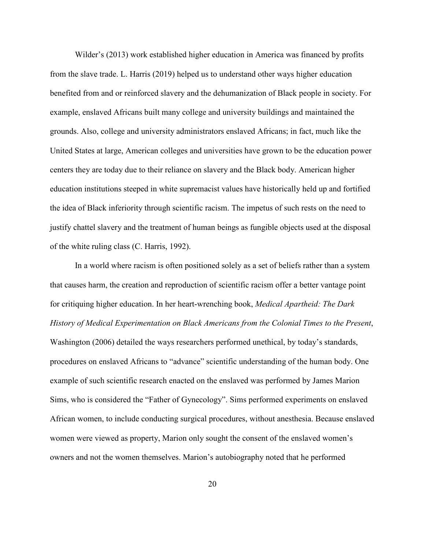Wilder's (2013) work established higher education in America was financed by profits from the slave trade. L. Harris (2019) helped us to understand other ways higher education benefited from and or reinforced slavery and the dehumanization of Black people in society. For example, enslaved Africans built many college and university buildings and maintained the grounds. Also, college and university administrators enslaved Africans; in fact, much like the United States at large, American colleges and universities have grown to be the education power centers they are today due to their reliance on slavery and the Black body. American higher education institutions steeped in white supremacist values have historically held up and fortified the idea of Black inferiority through scientific racism. The impetus of such rests on the need to justify chattel slavery and the treatment of human beings as fungible objects used at the disposal of the white ruling class (C. Harris, 1992).

In a world where racism is often positioned solely as a set of beliefs rather than a system that causes harm, the creation and reproduction of scientific racism offer a better vantage point for critiquing higher education. In her heart-wrenching book, *Medical Apartheid: The Dark History of Medical Experimentation on Black Americans from the Colonial Times to the Present*, Washington (2006) detailed the ways researchers performed unethical, by today's standards, procedures on enslaved Africans to "advance" scientific understanding of the human body. One example of such scientific research enacted on the enslaved was performed by James Marion Sims, who is considered the "Father of Gynecology". Sims performed experiments on enslaved African women, to include conducting surgical procedures, without anesthesia. Because enslaved women were viewed as property, Marion only sought the consent of the enslaved women's owners and not the women themselves. Marion's autobiography noted that he performed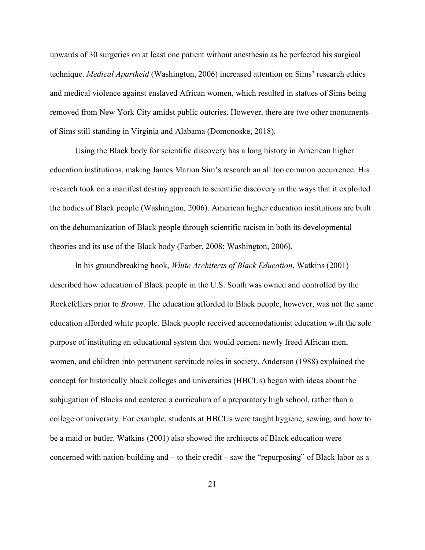upwards of 30 surgeries on at least one patient without anesthesia as he perfected his surgical technique. *Medical Apartheid* (Washington, 2006) increased attention on Sims' research ethics and medical violence against enslaved African women, which resulted in statues of Sims being removed from New York City amidst public outcries. However, there are two other monuments of Sims still standing in Virginia and Alabama (Domonoske, 2018).

Using the Black body for scientific discovery has a long history in American higher education institutions, making James Marion Sim's research an all too common occurrence. His research took on a manifest destiny approach to scientific discovery in the ways that it exploited the bodies of Black people (Washington, 2006). American higher education institutions are built on the dehumanization of Black people through scientific racism in both its developmental theories and its use of the Black body (Farber, 2008; Washington, 2006).

In his groundbreaking book, *White Architects of Black Education*, Watkins (2001) described how education of Black people in the U.S. South was owned and controlled by the Rockefellers prior to *Brown*. The education afforded to Black people, however, was not the same education afforded white people. Black people received accomodationist education with the sole purpose of instituting an educational system that would cement newly freed African men, women, and children into permanent servitude roles in society. Anderson (1988) explained the concept for historically black colleges and universities (HBCUs) began with ideas about the subjugation of Blacks and centered a curriculum of a preparatory high school, rather than a college or university. For example, students at HBCUs were taught hygiene, sewing, and how to be a maid or butler. Watkins (2001) also showed the architects of Black education were concerned with nation-building and – to their credit – saw the "repurposing" of Black labor as a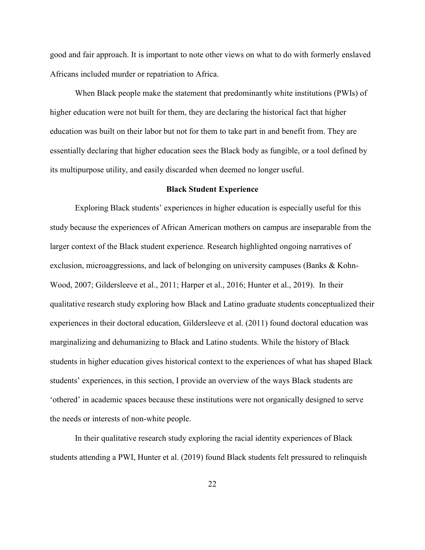good and fair approach. It is important to note other views on what to do with formerly enslaved Africans included murder or repatriation to Africa.

When Black people make the statement that predominantly white institutions (PWIs) of higher education were not built for them, they are declaring the historical fact that higher education was built on their labor but not for them to take part in and benefit from. They are essentially declaring that higher education sees the Black body as fungible, or a tool defined by its multipurpose utility, and easily discarded when deemed no longer useful.

#### **Black Student Experience**

Exploring Black students' experiences in higher education is especially useful for this study because the experiences of African American mothers on campus are inseparable from the larger context of the Black student experience. Research highlighted ongoing narratives of exclusion, microaggressions, and lack of belonging on university campuses (Banks & Kohn-Wood, 2007; Gildersleeve et al., 2011; Harper et al., 2016; Hunter et al., 2019). In their qualitative research study exploring how Black and Latino graduate students conceptualized their experiences in their doctoral education, Gildersleeve et al. (2011) found doctoral education was marginalizing and dehumanizing to Black and Latino students. While the history of Black students in higher education gives historical context to the experiences of what has shaped Black students' experiences, in this section, I provide an overview of the ways Black students are 'othered' in academic spaces because these institutions were not organically designed to serve the needs or interests of non-white people.

In their qualitative research study exploring the racial identity experiences of Black students attending a PWI, Hunter et al. (2019) found Black students felt pressured to relinquish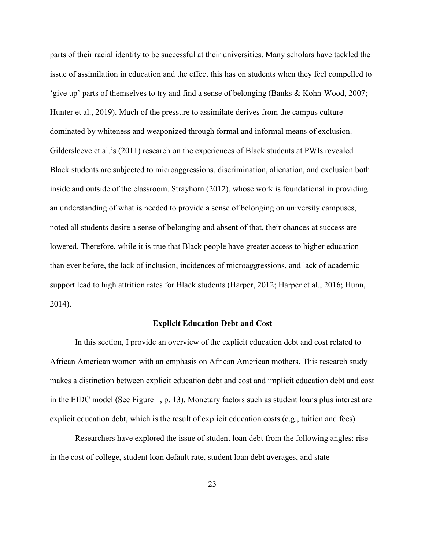parts of their racial identity to be successful at their universities. Many scholars have tackled the issue of assimilation in education and the effect this has on students when they feel compelled to 'give up' parts of themselves to try and find a sense of belonging (Banks & Kohn-Wood, 2007; Hunter et al., 2019). Much of the pressure to assimilate derives from the campus culture dominated by whiteness and weaponized through formal and informal means of exclusion. Gildersleeve et al.'s (2011) research on the experiences of Black students at PWIs revealed Black students are subjected to microaggressions, discrimination, alienation, and exclusion both inside and outside of the classroom. Strayhorn (2012), whose work is foundational in providing an understanding of what is needed to provide a sense of belonging on university campuses, noted all students desire a sense of belonging and absent of that, their chances at success are lowered. Therefore, while it is true that Black people have greater access to higher education than ever before, the lack of inclusion, incidences of microaggressions, and lack of academic support lead to high attrition rates for Black students (Harper, 2012; Harper et al., 2016; Hunn, 2014).

#### **Explicit Education Debt and Cost**

In this section, I provide an overview of the explicit education debt and cost related to African American women with an emphasis on African American mothers. This research study makes a distinction between explicit education debt and cost and implicit education debt and cost in the EIDC model (See Figure 1, p. 13). Monetary factors such as student loans plus interest are explicit education debt, which is the result of explicit education costs (e.g., tuition and fees).

Researchers have explored the issue of student loan debt from the following angles: rise in the cost of college, student loan default rate, student loan debt averages, and state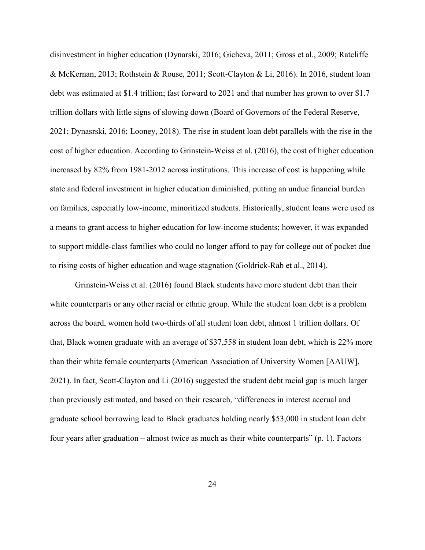disinvestment in higher education (Dynarski, 2016; Gicheva, 2011; Gross et al., 2009; Ratcliffe & McKernan, 2013; Rothstein & Rouse, 2011; Scott-Clayton & Li, 2016). In 2016, student loan debt was estimated at \$1.4 trillion; fast forward to 2021 and that number has grown to over \$1.7 trillion dollars with little signs of slowing down (Board of Governors of the Federal Reserve, 2021; Dynasrski, 2016; Looney, 2018). The rise in student loan debt parallels with the rise in the cost of higher education. According to Grinstein-Weiss et al. (2016), the cost of higher education increased by 82% from 1981-2012 across institutions. This increase of cost is happening while state and federal investment in higher education diminished, putting an undue financial burden on families, especially low-income, minoritized students. Historically, student loans were used as a means to grant access to higher education for low-income students; however, it was expanded to support middle-class families who could no longer afford to pay for college out of pocket due to rising costs of higher education and wage stagnation (Goldrick-Rab et al., 2014).

Grinstein-Weiss et al. (2016) found Black students have more student debt than their white counterparts or any other racial or ethnic group. While the student loan debt is a problem across the board, women hold two-thirds of all student loan debt, almost 1 trillion dollars. Of that, Black women graduate with an average of \$37,558 in student loan debt, which is 22% more than their white female counterparts (American Association of University Women [AAUW], 2021). In fact, Scott-Clayton and Li (2016) suggested the student debt racial gap is much larger than previously estimated, and based on their research, "differences in interest accrual and graduate school borrowing lead to Black graduates holding nearly \$53,000 in student loan debt four years after graduation – almost twice as much as their white counterparts" (p. 1). Factors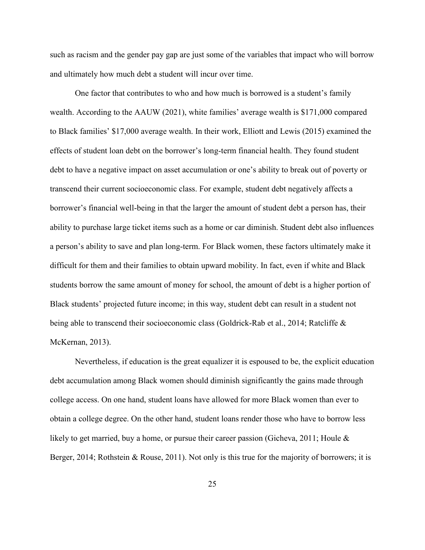such as racism and the gender pay gap are just some of the variables that impact who will borrow and ultimately how much debt a student will incur over time.

One factor that contributes to who and how much is borrowed is a student's family wealth. According to the AAUW (2021), white families' average wealth is \$171,000 compared to Black families' \$17,000 average wealth. In their work, Elliott and Lewis (2015) examined the effects of student loan debt on the borrower's long-term financial health. They found student debt to have a negative impact on asset accumulation or one's ability to break out of poverty or transcend their current socioeconomic class. For example, student debt negatively affects a borrower's financial well-being in that the larger the amount of student debt a person has, their ability to purchase large ticket items such as a home or car diminish. Student debt also influences a person's ability to save and plan long-term. For Black women, these factors ultimately make it difficult for them and their families to obtain upward mobility. In fact, even if white and Black students borrow the same amount of money for school, the amount of debt is a higher portion of Black students' projected future income; in this way, student debt can result in a student not being able to transcend their socioeconomic class (Goldrick-Rab et al., 2014; Ratcliffe & McKernan, 2013).

Nevertheless, if education is the great equalizer it is espoused to be, the explicit education debt accumulation among Black women should diminish significantly the gains made through college access. On one hand, student loans have allowed for more Black women than ever to obtain a college degree. On the other hand, student loans render those who have to borrow less likely to get married, buy a home, or pursue their career passion (Gicheva, 2011; Houle  $\&$ Berger, 2014; Rothstein & Rouse, 2011). Not only is this true for the majority of borrowers; it is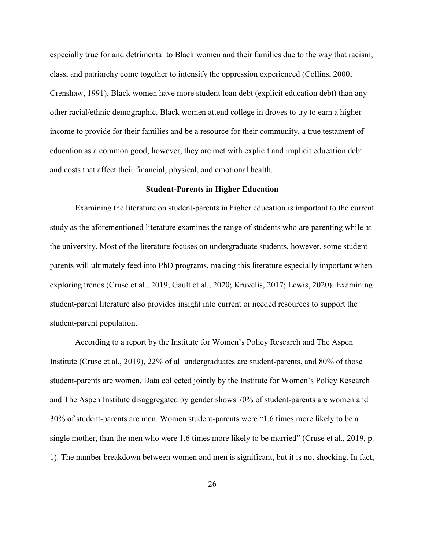especially true for and detrimental to Black women and their families due to the way that racism, class, and patriarchy come together to intensify the oppression experienced (Collins, 2000; Crenshaw, 1991). Black women have more student loan debt (explicit education debt) than any other racial/ethnic demographic. Black women attend college in droves to try to earn a higher income to provide for their families and be a resource for their community, a true testament of education as a common good; however, they are met with explicit and implicit education debt and costs that affect their financial, physical, and emotional health.

## **Student-Parents in Higher Education**

Examining the literature on student-parents in higher education is important to the current study as the aforementioned literature examines the range of students who are parenting while at the university. Most of the literature focuses on undergraduate students, however, some studentparents will ultimately feed into PhD programs, making this literature especially important when exploring trends (Cruse et al., 2019; Gault et al., 2020; Kruvelis, 2017; Lewis, 2020). Examining student-parent literature also provides insight into current or needed resources to support the student-parent population.

According to a report by the Institute for Women's Policy Research and The Aspen Institute (Cruse et al., 2019), 22% of all undergraduates are student-parents, and 80% of those student-parents are women. Data collected jointly by the Institute for Women's Policy Research and The Aspen Institute disaggregated by gender shows 70% of student-parents are women and 30% of student-parents are men. Women student-parents were "1.6 times more likely to be a single mother, than the men who were 1.6 times more likely to be married" (Cruse et al., 2019, p. 1). The number breakdown between women and men is significant, but it is not shocking. In fact,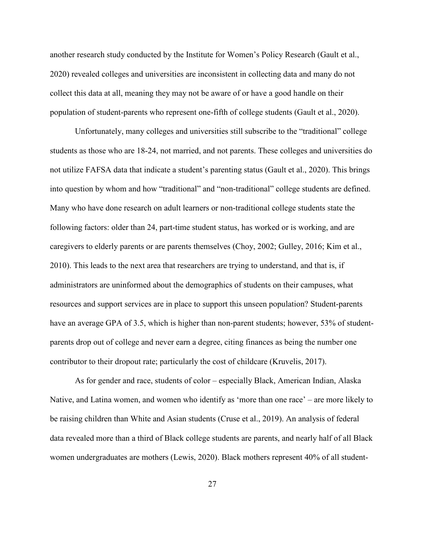another research study conducted by the Institute for Women's Policy Research (Gault et al., 2020) revealed colleges and universities are inconsistent in collecting data and many do not collect this data at all, meaning they may not be aware of or have a good handle on their population of student-parents who represent one-fifth of college students (Gault et al., 2020).

Unfortunately, many colleges and universities still subscribe to the "traditional" college students as those who are 18-24, not married, and not parents. These colleges and universities do not utilize FAFSA data that indicate a student's parenting status (Gault et al., 2020). This brings into question by whom and how "traditional" and "non-traditional" college students are defined. Many who have done research on adult learners or non-traditional college students state the following factors: older than 24, part-time student status, has worked or is working, and are caregivers to elderly parents or are parents themselves (Choy, 2002; Gulley, 2016; Kim et al., 2010). This leads to the next area that researchers are trying to understand, and that is, if administrators are uninformed about the demographics of students on their campuses, what resources and support services are in place to support this unseen population? Student-parents have an average GPA of 3.5, which is higher than non-parent students; however, 53% of studentparents drop out of college and never earn a degree, citing finances as being the number one contributor to their dropout rate; particularly the cost of childcare (Kruvelis, 2017).

As for gender and race, students of color – especially Black, American Indian, Alaska Native, and Latina women, and women who identify as 'more than one race' – are more likely to be raising children than White and Asian students (Cruse et al., 2019). An analysis of federal data revealed more than a third of Black college students are parents, and nearly half of all Black women undergraduates are mothers (Lewis, 2020). Black mothers represent 40% of all student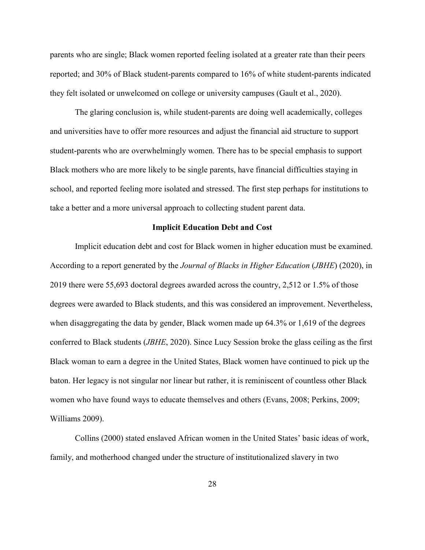parents who are single; Black women reported feeling isolated at a greater rate than their peers reported; and 30% of Black student-parents compared to 16% of white student-parents indicated they felt isolated or unwelcomed on college or university campuses (Gault et al., 2020).

The glaring conclusion is, while student-parents are doing well academically, colleges and universities have to offer more resources and adjust the financial aid structure to support student-parents who are overwhelmingly women. There has to be special emphasis to support Black mothers who are more likely to be single parents, have financial difficulties staying in school, and reported feeling more isolated and stressed. The first step perhaps for institutions to take a better and a more universal approach to collecting student parent data.

## **Implicit Education Debt and Cost**

Implicit education debt and cost for Black women in higher education must be examined. According to a report generated by the *Journal of Blacks in Higher Education* (*JBHE*) (2020), in 2019 there were 55,693 doctoral degrees awarded across the country, 2,512 or 1.5% of those degrees were awarded to Black students, and this was considered an improvement. Nevertheless, when disaggregating the data by gender, Black women made up 64.3% or 1,619 of the degrees conferred to Black students (*JBHE*, 2020). Since Lucy Session broke the glass ceiling as the first Black woman to earn a degree in the United States, Black women have continued to pick up the baton. Her legacy is not singular nor linear but rather, it is reminiscent of countless other Black women who have found ways to educate themselves and others (Evans, 2008; Perkins, 2009; Williams 2009).

Collins (2000) stated enslaved African women in the United States' basic ideas of work, family, and motherhood changed under the structure of institutionalized slavery in two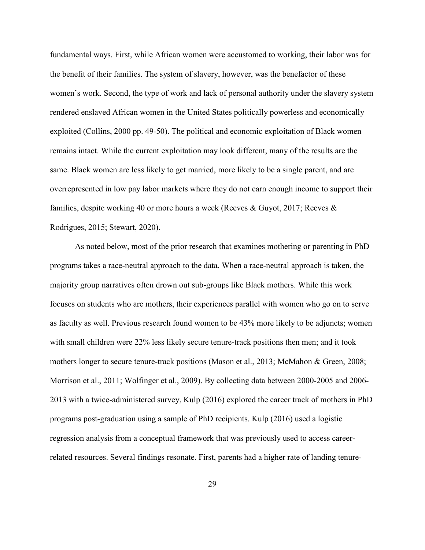fundamental ways. First, while African women were accustomed to working, their labor was for the benefit of their families. The system of slavery, however, was the benefactor of these women's work. Second, the type of work and lack of personal authority under the slavery system rendered enslaved African women in the United States politically powerless and economically exploited (Collins, 2000 pp. 49-50). The political and economic exploitation of Black women remains intact. While the current exploitation may look different, many of the results are the same. Black women are less likely to get married, more likely to be a single parent, and are overrepresented in low pay labor markets where they do not earn enough income to support their families, despite working 40 or more hours a week (Reeves & Guyot, 2017; Reeves & Rodrigues, 2015; Stewart, 2020).

As noted below, most of the prior research that examines mothering or parenting in PhD programs takes a race-neutral approach to the data. When a race-neutral approach is taken, the majority group narratives often drown out sub-groups like Black mothers. While this work focuses on students who are mothers, their experiences parallel with women who go on to serve as faculty as well. Previous research found women to be 43% more likely to be adjuncts; women with small children were 22% less likely secure tenure-track positions then men; and it took mothers longer to secure tenure-track positions (Mason et al., 2013; McMahon & Green, 2008; Morrison et al., 2011; Wolfinger et al., 2009). By collecting data between 2000-2005 and 2006- 2013 with a twice-administered survey, Kulp (2016) explored the career track of mothers in PhD programs post-graduation using a sample of PhD recipients. Kulp (2016) used a logistic regression analysis from a conceptual framework that was previously used to access careerrelated resources. Several findings resonate. First, parents had a higher rate of landing tenure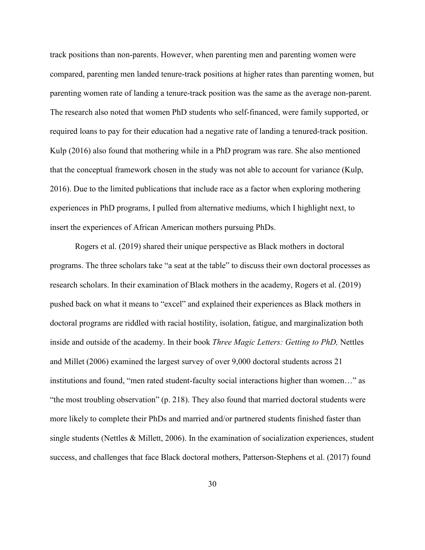track positions than non-parents. However, when parenting men and parenting women were compared, parenting men landed tenure-track positions at higher rates than parenting women, but parenting women rate of landing a tenure-track position was the same as the average non-parent. The research also noted that women PhD students who self-financed, were family supported, or required loans to pay for their education had a negative rate of landing a tenured-track position. Kulp (2016) also found that mothering while in a PhD program was rare. She also mentioned that the conceptual framework chosen in the study was not able to account for variance (Kulp, 2016). Due to the limited publications that include race as a factor when exploring mothering experiences in PhD programs, I pulled from alternative mediums, which I highlight next, to insert the experiences of African American mothers pursuing PhDs.

Rogers et al. (2019) shared their unique perspective as Black mothers in doctoral programs. The three scholars take "a seat at the table" to discuss their own doctoral processes as research scholars. In their examination of Black mothers in the academy, Rogers et al. (2019) pushed back on what it means to "excel" and explained their experiences as Black mothers in doctoral programs are riddled with racial hostility, isolation, fatigue, and marginalization both inside and outside of the academy. In their book *Three Magic Letters: Getting to PhD,* Nettles and Millet (2006) examined the largest survey of over 9,000 doctoral students across 21 institutions and found, "men rated student-faculty social interactions higher than women…" as "the most troubling observation" (p. 218). They also found that married doctoral students were more likely to complete their PhDs and married and/or partnered students finished faster than single students (Nettles  $\&$  Millett, 2006). In the examination of socialization experiences, student success, and challenges that face Black doctoral mothers, Patterson-Stephens et al. (2017) found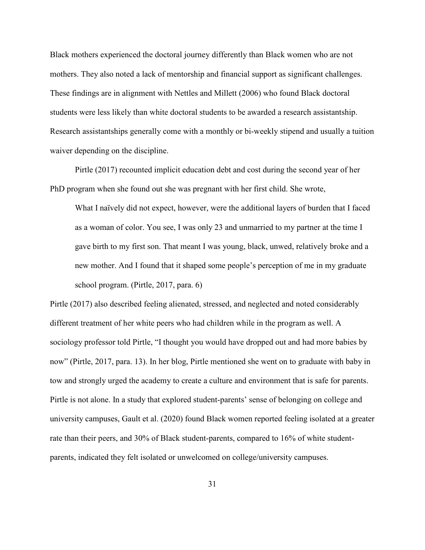Black mothers experienced the doctoral journey differently than Black women who are not mothers. They also noted a lack of mentorship and financial support as significant challenges. These findings are in alignment with Nettles and Millett (2006) who found Black doctoral students were less likely than white doctoral students to be awarded a research assistantship. Research assistantships generally come with a monthly or bi-weekly stipend and usually a tuition waiver depending on the discipline.

Pirtle (2017) recounted implicit education debt and cost during the second year of her PhD program when she found out she was pregnant with her first child. She wrote,

What I naïvely did not expect, however, were the additional layers of burden that I faced as a woman of color. You see, I was only 23 and unmarried to my partner at the time I gave birth to my first son. That meant I was young, black, unwed, relatively broke and a new mother. And I found that it shaped some people's perception of me in my graduate school program. (Pirtle, 2017, para. 6)

Pirtle (2017) also described feeling alienated, stressed, and neglected and noted considerably different treatment of her white peers who had children while in the program as well. A sociology professor told Pirtle, "I thought you would have dropped out and had more babies by now" (Pirtle, 2017, para. 13). In her blog, Pirtle mentioned she went on to graduate with baby in tow and strongly urged the academy to create a culture and environment that is safe for parents. Pirtle is not alone. In a study that explored student-parents' sense of belonging on college and university campuses, Gault et al. (2020) found Black women reported feeling isolated at a greater rate than their peers, and 30% of Black student-parents, compared to 16% of white studentparents, indicated they felt isolated or unwelcomed on college/university campuses.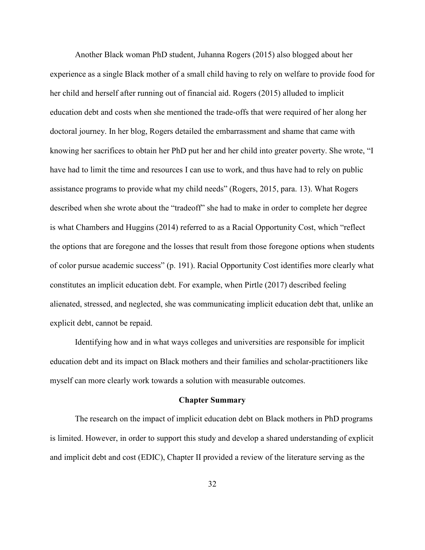Another Black woman PhD student, Juhanna Rogers (2015) also blogged about her experience as a single Black mother of a small child having to rely on welfare to provide food for her child and herself after running out of financial aid. Rogers (2015) alluded to implicit education debt and costs when she mentioned the trade-offs that were required of her along her doctoral journey. In her blog, Rogers detailed the embarrassment and shame that came with knowing her sacrifices to obtain her PhD put her and her child into greater poverty. She wrote, "I have had to limit the time and resources I can use to work, and thus have had to rely on public assistance programs to provide what my child needs" (Rogers, 2015, para. 13). What Rogers described when she wrote about the "tradeoff" she had to make in order to complete her degree is what Chambers and Huggins (2014) referred to as a Racial Opportunity Cost, which "reflect the options that are foregone and the losses that result from those foregone options when students of color pursue academic success" (p. 191). Racial Opportunity Cost identifies more clearly what constitutes an implicit education debt. For example, when Pirtle (2017) described feeling alienated, stressed, and neglected, she was communicating implicit education debt that, unlike an explicit debt, cannot be repaid.

Identifying how and in what ways colleges and universities are responsible for implicit education debt and its impact on Black mothers and their families and scholar-practitioners like myself can more clearly work towards a solution with measurable outcomes.

## **Chapter Summary**

The research on the impact of implicit education debt on Black mothers in PhD programs is limited. However, in order to support this study and develop a shared understanding of explicit and implicit debt and cost (EDIC), Chapter II provided a review of the literature serving as the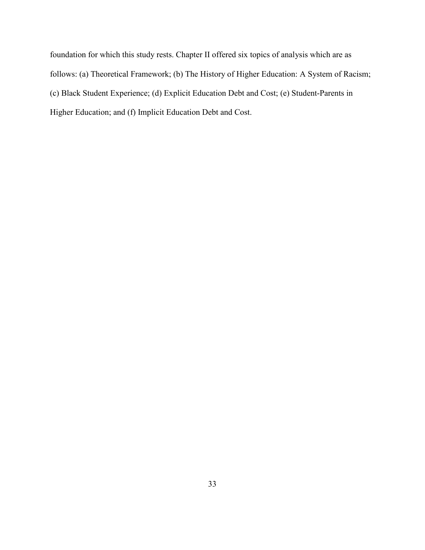foundation for which this study rests. Chapter II offered six topics of analysis which are as follows: (a) Theoretical Framework; (b) The History of Higher Education: A System of Racism; (c) Black Student Experience; (d) Explicit Education Debt and Cost; (e) Student-Parents in Higher Education; and (f) Implicit Education Debt and Cost.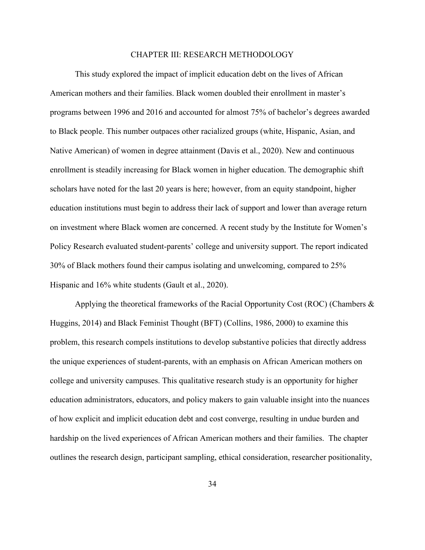#### CHAPTER III: RESEARCH METHODOLOGY

This study explored the impact of implicit education debt on the lives of African American mothers and their families. Black women doubled their enrollment in master's programs between 1996 and 2016 and accounted for almost 75% of bachelor's degrees awarded to Black people. This number outpaces other racialized groups (white, Hispanic, Asian, and Native American) of women in degree attainment (Davis et al., 2020). New and continuous enrollment is steadily increasing for Black women in higher education. The demographic shift scholars have noted for the last 20 years is here; however, from an equity standpoint, higher education institutions must begin to address their lack of support and lower than average return on investment where Black women are concerned. A recent study by the Institute for Women's Policy Research evaluated student-parents' college and university support. The report indicated 30% of Black mothers found their campus isolating and unwelcoming, compared to 25% Hispanic and 16% white students (Gault et al., 2020).

Applying the theoretical frameworks of the Racial Opportunity Cost (ROC) (Chambers  $\&$ Huggins, 2014) and Black Feminist Thought (BFT) (Collins, 1986, 2000) to examine this problem, this research compels institutions to develop substantive policies that directly address the unique experiences of student-parents, with an emphasis on African American mothers on college and university campuses. This qualitative research study is an opportunity for higher education administrators, educators, and policy makers to gain valuable insight into the nuances of how explicit and implicit education debt and cost converge, resulting in undue burden and hardship on the lived experiences of African American mothers and their families. The chapter outlines the research design, participant sampling, ethical consideration, researcher positionality,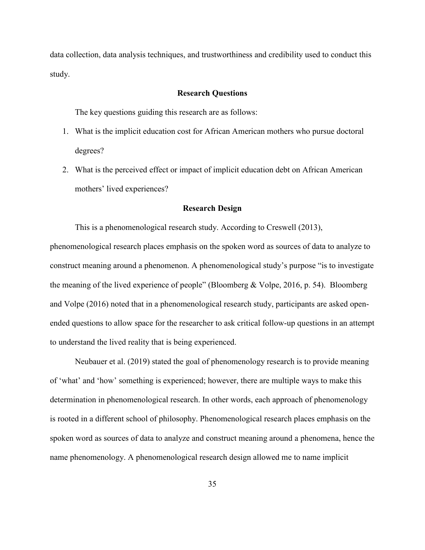data collection, data analysis techniques, and trustworthiness and credibility used to conduct this study.

## **Research Questions**

The key questions guiding this research are as follows:

- 1. What is the implicit education cost for African American mothers who pursue doctoral degrees?
- 2. What is the perceived effect or impact of implicit education debt on African American mothers' lived experiences?

## **Research Design**

This is a phenomenological research study. According to Creswell (2013),

phenomenological research places emphasis on the spoken word as sources of data to analyze to construct meaning around a phenomenon. A phenomenological study's purpose "is to investigate the meaning of the lived experience of people" (Bloomberg & Volpe, 2016, p. 54). Bloomberg and Volpe (2016) noted that in a phenomenological research study, participants are asked openended questions to allow space for the researcher to ask critical follow-up questions in an attempt to understand the lived reality that is being experienced.

Neubauer et al. (2019) stated the goal of phenomenology research is to provide meaning of 'what' and 'how' something is experienced; however, there are multiple ways to make this determination in phenomenological research. In other words, each approach of phenomenology is rooted in a different school of philosophy. Phenomenological research places emphasis on the spoken word as sources of data to analyze and construct meaning around a phenomena, hence the name phenomenology. A phenomenological research design allowed me to name implicit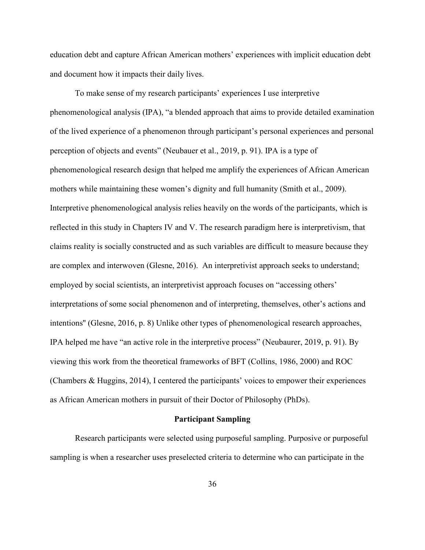education debt and capture African American mothers' experiences with implicit education debt and document how it impacts their daily lives.

To make sense of my research participants' experiences I use interpretive phenomenological analysis (IPA), "a blended approach that aims to provide detailed examination of the lived experience of a phenomenon through participant's personal experiences and personal perception of objects and events" (Neubauer et al., 2019, p. 91). IPA is a type of phenomenological research design that helped me amplify the experiences of African American mothers while maintaining these women's dignity and full humanity (Smith et al., 2009). Interpretive phenomenological analysis relies heavily on the words of the participants, which is reflected in this study in Chapters IV and V. The research paradigm here is interpretivism, that claims reality is socially constructed and as such variables are difficult to measure because they are complex and interwoven (Glesne, 2016). An interpretivist approach seeks to understand; employed by social scientists, an interpretivist approach focuses on "accessing others' interpretations of some social phenomenon and of interpreting, themselves, other's actions and intentions'' (Glesne, 2016, p. 8) Unlike other types of phenomenological research approaches, IPA helped me have "an active role in the interpretive process" (Neubaurer, 2019, p. 91). By viewing this work from the theoretical frameworks of BFT (Collins, 1986, 2000) and ROC (Chambers & Huggins, 2014), I centered the participants' voices to empower their experiences as African American mothers in pursuit of their Doctor of Philosophy (PhDs).

## **Participant Sampling**

Research participants were selected using purposeful sampling. Purposive or purposeful sampling is when a researcher uses preselected criteria to determine who can participate in the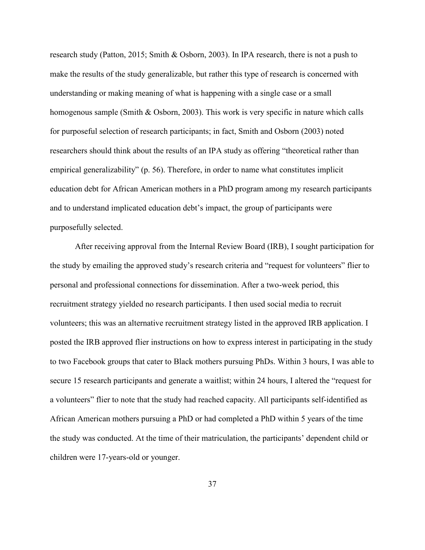research study (Patton, 2015; Smith & Osborn, 2003). In IPA research, there is not a push to make the results of the study generalizable, but rather this type of research is concerned with understanding or making meaning of what is happening with a single case or a small homogenous sample (Smith & Osborn, 2003). This work is very specific in nature which calls for purposeful selection of research participants; in fact, Smith and Osborn (2003) noted researchers should think about the results of an IPA study as offering "theoretical rather than empirical generalizability" (p. 56). Therefore, in order to name what constitutes implicit education debt for African American mothers in a PhD program among my research participants and to understand implicated education debt's impact, the group of participants were purposefully selected.

After receiving approval from the Internal Review Board (IRB), I sought participation for the study by emailing the approved study's research criteria and "request for volunteers" flier to personal and professional connections for dissemination. After a two-week period, this recruitment strategy yielded no research participants. I then used social media to recruit volunteers; this was an alternative recruitment strategy listed in the approved IRB application. I posted the IRB approved flier instructions on how to express interest in participating in the study to two Facebook groups that cater to Black mothers pursuing PhDs. Within 3 hours, I was able to secure 15 research participants and generate a waitlist; within 24 hours, I altered the "request for a volunteers" flier to note that the study had reached capacity. All participants self-identified as African American mothers pursuing a PhD or had completed a PhD within 5 years of the time the study was conducted. At the time of their matriculation, the participants' dependent child or children were 17-years-old or younger.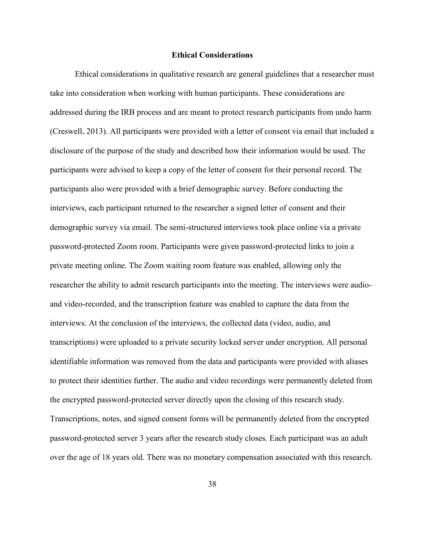## **Ethical Considerations**

Ethical considerations in qualitative research are general guidelines that a researcher must take into consideration when working with human participants. These considerations are addressed during the IRB process and are meant to protect research participants from undo harm (Creswell, 2013). All participants were provided with a letter of consent via email that included a disclosure of the purpose of the study and described how their information would be used. The participants were advised to keep a copy of the letter of consent for their personal record. The participants also were provided with a brief demographic survey. Before conducting the interviews, each participant returned to the researcher a signed letter of consent and their demographic survey via email. The semi-structured interviews took place online via a private password-protected Zoom room. Participants were given password-protected links to join a private meeting online. The Zoom waiting room feature was enabled, allowing only the researcher the ability to admit research participants into the meeting. The interviews were audioand video-recorded, and the transcription feature was enabled to capture the data from the interviews. At the conclusion of the interviews, the collected data (video, audio, and transcriptions) were uploaded to a private security locked server under encryption. All personal identifiable information was removed from the data and participants were provided with aliases to protect their identities further. The audio and video recordings were permanently deleted from the encrypted password-protected server directly upon the closing of this research study. Transcriptions, notes, and signed consent forms will be permanently deleted from the encrypted password-protected server 3 years after the research study closes. Each participant was an adult over the age of 18 years old. There was no monetary compensation associated with this research.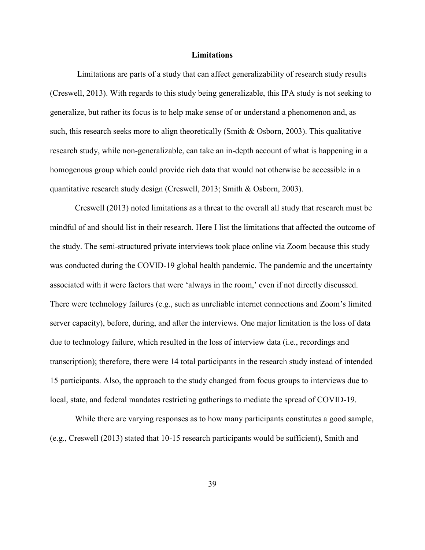#### **Limitations**

 Limitations are parts of a study that can affect generalizability of research study results (Creswell, 2013). With regards to this study being generalizable, this IPA study is not seeking to generalize, but rather its focus is to help make sense of or understand a phenomenon and, as such, this research seeks more to align theoretically (Smith & Osborn, 2003). This qualitative research study, while non-generalizable, can take an in-depth account of what is happening in a homogenous group which could provide rich data that would not otherwise be accessible in a quantitative research study design (Creswell, 2013; Smith & Osborn, 2003).

Creswell (2013) noted limitations as a threat to the overall all study that research must be mindful of and should list in their research. Here I list the limitations that affected the outcome of the study. The semi-structured private interviews took place online via Zoom because this study was conducted during the COVID-19 global health pandemic. The pandemic and the uncertainty associated with it were factors that were 'always in the room,' even if not directly discussed. There were technology failures (e.g., such as unreliable internet connections and Zoom's limited server capacity), before, during, and after the interviews. One major limitation is the loss of data due to technology failure, which resulted in the loss of interview data (i.e., recordings and transcription); therefore, there were 14 total participants in the research study instead of intended 15 participants. Also, the approach to the study changed from focus groups to interviews due to local, state, and federal mandates restricting gatherings to mediate the spread of COVID-19.

While there are varying responses as to how many participants constitutes a good sample, (e.g., Creswell (2013) stated that 10-15 research participants would be sufficient), Smith and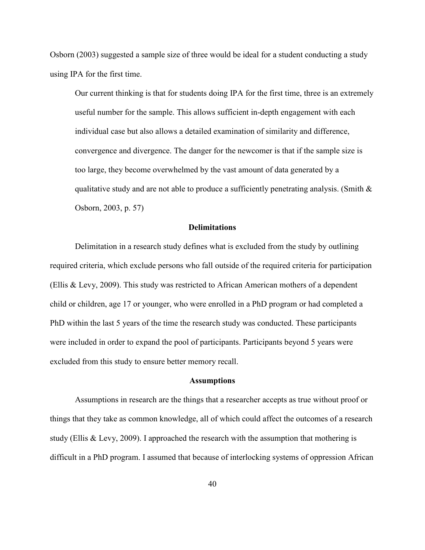Osborn (2003) suggested a sample size of three would be ideal for a student conducting a study using IPA for the first time.

Our current thinking is that for students doing IPA for the first time, three is an extremely useful number for the sample. This allows sufficient in-depth engagement with each individual case but also allows a detailed examination of similarity and difference, convergence and divergence. The danger for the newcomer is that if the sample size is too large, they become overwhelmed by the vast amount of data generated by a qualitative study and are not able to produce a sufficiently penetrating analysis. (Smith  $\&$ Osborn, 2003, p. 57)

## **Delimitations**

Delimitation in a research study defines what is excluded from the study by outlining required criteria, which exclude persons who fall outside of the required criteria for participation (Ellis & Levy, 2009). This study was restricted to African American mothers of a dependent child or children, age 17 or younger, who were enrolled in a PhD program or had completed a PhD within the last 5 years of the time the research study was conducted. These participants were included in order to expand the pool of participants. Participants beyond 5 years were excluded from this study to ensure better memory recall.

#### **Assumptions**

Assumptions in research are the things that a researcher accepts as true without proof or things that they take as common knowledge, all of which could affect the outcomes of a research study (Ellis & Levy, 2009). I approached the research with the assumption that mothering is difficult in a PhD program. I assumed that because of interlocking systems of oppression African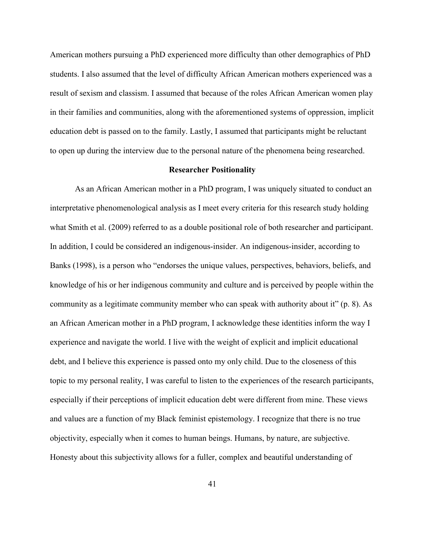American mothers pursuing a PhD experienced more difficulty than other demographics of PhD students. I also assumed that the level of difficulty African American mothers experienced was a result of sexism and classism. I assumed that because of the roles African American women play in their families and communities, along with the aforementioned systems of oppression, implicit education debt is passed on to the family. Lastly, I assumed that participants might be reluctant to open up during the interview due to the personal nature of the phenomena being researched.

## **Researcher Positionality**

As an African American mother in a PhD program, I was uniquely situated to conduct an interpretative phenomenological analysis as I meet every criteria for this research study holding what Smith et al. (2009) referred to as a double positional role of both researcher and participant. In addition, I could be considered an indigenous-insider. An indigenous-insider, according to Banks (1998), is a person who "endorses the unique values, perspectives, behaviors, beliefs, and knowledge of his or her indigenous community and culture and is perceived by people within the community as a legitimate community member who can speak with authority about it" (p. 8). As an African American mother in a PhD program, I acknowledge these identities inform the way I experience and navigate the world. I live with the weight of explicit and implicit educational debt, and I believe this experience is passed onto my only child. Due to the closeness of this topic to my personal reality, I was careful to listen to the experiences of the research participants, especially if their perceptions of implicit education debt were different from mine. These views and values are a function of my Black feminist epistemology. I recognize that there is no true objectivity, especially when it comes to human beings. Humans, by nature, are subjective. Honesty about this subjectivity allows for a fuller, complex and beautiful understanding of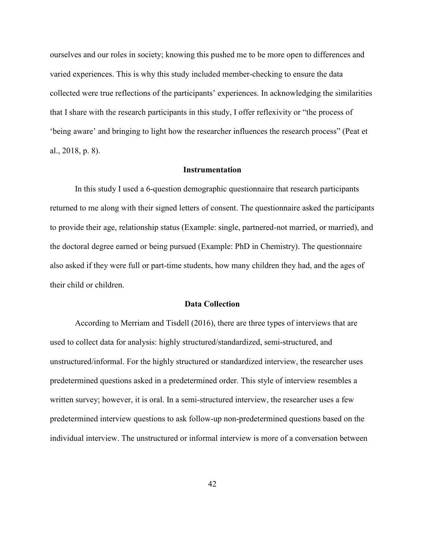ourselves and our roles in society; knowing this pushed me to be more open to differences and varied experiences. This is why this study included member-checking to ensure the data collected were true reflections of the participants' experiences. In acknowledging the similarities that I share with the research participants in this study, I offer reflexivity or "the process of 'being aware' and bringing to light how the researcher influences the research process" (Peat et al., 2018, p. 8).

## **Instrumentation**

 In this study I used a 6-question demographic questionnaire that research participants returned to me along with their signed letters of consent. The questionnaire asked the participants to provide their age, relationship status (Example: single, partnered-not married, or married), and the doctoral degree earned or being pursued (Example: PhD in Chemistry). The questionnaire also asked if they were full or part-time students, how many children they had, and the ages of their child or children.

### **Data Collection**

According to Merriam and Tisdell (2016), there are three types of interviews that are used to collect data for analysis: highly structured/standardized, semi-structured, and unstructured/informal. For the highly structured or standardized interview, the researcher uses predetermined questions asked in a predetermined order. This style of interview resembles a written survey; however, it is oral. In a semi-structured interview, the researcher uses a few predetermined interview questions to ask follow-up non-predetermined questions based on the individual interview. The unstructured or informal interview is more of a conversation between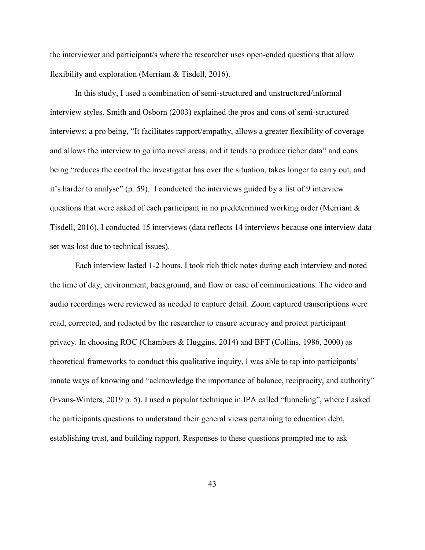the interviewer and participant/s where the researcher uses open-ended questions that allow flexibility and exploration (Merriam & Tisdell, 2016).

In this study, I used a combination of semi-structured and unstructured/informal interview styles. Smith and Osborn (2003) explained the pros and cons of semi-structured interviews; a pro being, "It facilitates rapport/empathy, allows a greater flexibility of coverage and allows the interview to go into novel areas, and it tends to produce richer data" and cons being "reduces the control the investigator has over the situation, takes longer to carry out, and it's harder to analyse" (p. 59). I conducted the interviews guided by a list of 9 interview questions that were asked of each participant in no predetermined working order (Merriam  $\&$ Tisdell, 2016). I conducted 15 interviews (data reflects 14 interviews because one interview data set was lost due to technical issues).

Each interview lasted 1-2 hours. I took rich thick notes during each interview and noted the time of day, environment, background, and flow or ease of communications. The video and audio recordings were reviewed as needed to capture detail. Zoom captured transcriptions were read, corrected, and redacted by the researcher to ensure accuracy and protect participant privacy. In choosing ROC (Chambers & Huggins, 2014) and BFT (Collins, 1986, 2000) as theoretical frameworks to conduct this qualitative inquiry, I was able to tap into participants' innate ways of knowing and "acknowledge the importance of balance, reciprocity, and authority" (Evans-Winters, 2019 p. 5). I used a popular technique in IPA called "funneling", where I asked the participants questions to understand their general views pertaining to education debt, establishing trust, and building rapport. Responses to these questions prompted me to ask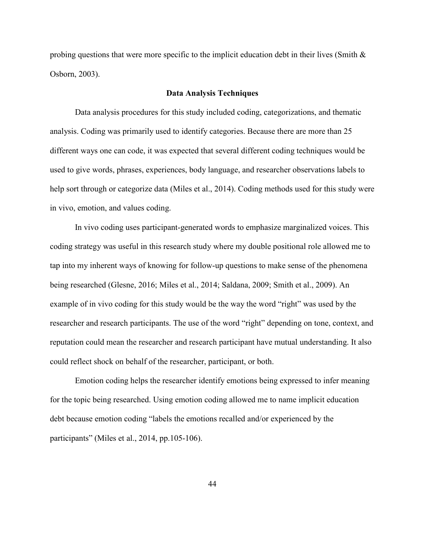probing questions that were more specific to the implicit education debt in their lives (Smith  $\&$ Osborn, 2003).

## **Data Analysis Techniques**

Data analysis procedures for this study included coding, categorizations, and thematic analysis. Coding was primarily used to identify categories. Because there are more than 25 different ways one can code, it was expected that several different coding techniques would be used to give words, phrases, experiences, body language, and researcher observations labels to help sort through or categorize data (Miles et al., 2014). Coding methods used for this study were in vivo, emotion, and values coding.

In vivo coding uses participant-generated words to emphasize marginalized voices. This coding strategy was useful in this research study where my double positional role allowed me to tap into my inherent ways of knowing for follow-up questions to make sense of the phenomena being researched (Glesne, 2016; Miles et al., 2014; Saldana, 2009; Smith et al., 2009). An example of in vivo coding for this study would be the way the word "right" was used by the researcher and research participants. The use of the word "right" depending on tone, context, and reputation could mean the researcher and research participant have mutual understanding. It also could reflect shock on behalf of the researcher, participant, or both.

Emotion coding helps the researcher identify emotions being expressed to infer meaning for the topic being researched. Using emotion coding allowed me to name implicit education debt because emotion coding "labels the emotions recalled and/or experienced by the participants" (Miles et al., 2014, pp.105-106).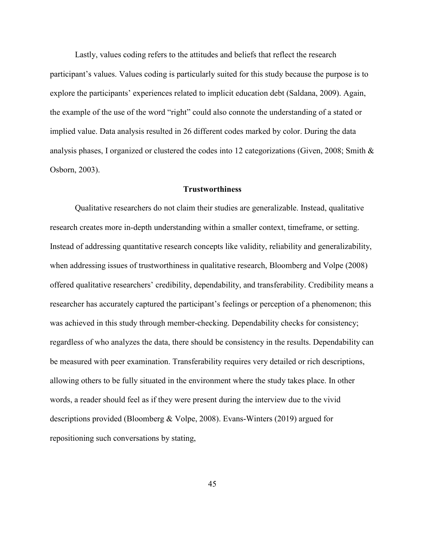Lastly, values coding refers to the attitudes and beliefs that reflect the research participant's values. Values coding is particularly suited for this study because the purpose is to explore the participants' experiences related to implicit education debt (Saldana, 2009). Again, the example of the use of the word "right" could also connote the understanding of a stated or implied value. Data analysis resulted in 26 different codes marked by color. During the data analysis phases, I organized or clustered the codes into 12 categorizations (Given, 2008; Smith & Osborn, 2003).

### **Trustworthiness**

Qualitative researchers do not claim their studies are generalizable. Instead, qualitative research creates more in-depth understanding within a smaller context, timeframe, or setting. Instead of addressing quantitative research concepts like validity, reliability and generalizability, when addressing issues of trustworthiness in qualitative research, Bloomberg and Volpe (2008) offered qualitative researchers' credibility, dependability, and transferability. Credibility means a researcher has accurately captured the participant's feelings or perception of a phenomenon; this was achieved in this study through member-checking. Dependability checks for consistency; regardless of who analyzes the data, there should be consistency in the results. Dependability can be measured with peer examination. Transferability requires very detailed or rich descriptions, allowing others to be fully situated in the environment where the study takes place. In other words, a reader should feel as if they were present during the interview due to the vivid descriptions provided (Bloomberg & Volpe, 2008). Evans-Winters (2019) argued for repositioning such conversations by stating,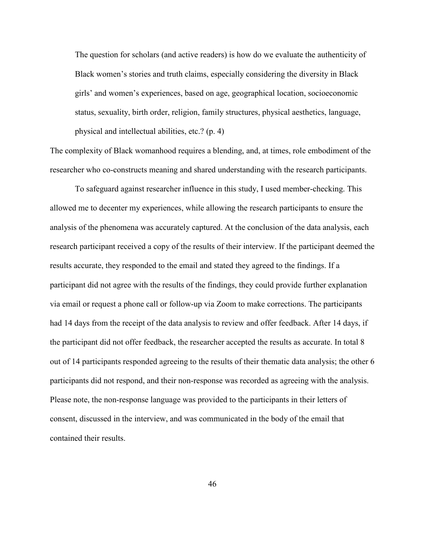The question for scholars (and active readers) is how do we evaluate the authenticity of Black women's stories and truth claims, especially considering the diversity in Black girls' and women's experiences, based on age, geographical location, socioeconomic status, sexuality, birth order, religion, family structures, physical aesthetics, language, physical and intellectual abilities, etc.? (p. 4)

The complexity of Black womanhood requires a blending, and, at times, role embodiment of the researcher who co-constructs meaning and shared understanding with the research participants.

To safeguard against researcher influence in this study, I used member-checking. This allowed me to decenter my experiences, while allowing the research participants to ensure the analysis of the phenomena was accurately captured. At the conclusion of the data analysis, each research participant received a copy of the results of their interview. If the participant deemed the results accurate, they responded to the email and stated they agreed to the findings. If a participant did not agree with the results of the findings, they could provide further explanation via email or request a phone call or follow-up via Zoom to make corrections. The participants had 14 days from the receipt of the data analysis to review and offer feedback. After 14 days, if the participant did not offer feedback, the researcher accepted the results as accurate. In total 8 out of 14 participants responded agreeing to the results of their thematic data analysis; the other 6 participants did not respond, and their non-response was recorded as agreeing with the analysis. Please note, the non-response language was provided to the participants in their letters of consent, discussed in the interview, and was communicated in the body of the email that contained their results.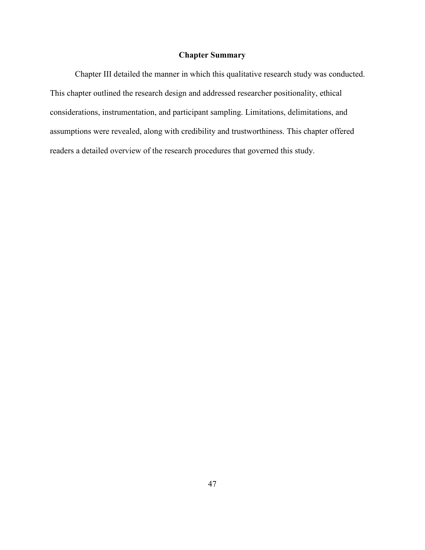## **Chapter Summary**

Chapter III detailed the manner in which this qualitative research study was conducted. This chapter outlined the research design and addressed researcher positionality, ethical considerations, instrumentation, and participant sampling. Limitations, delimitations, and assumptions were revealed, along with credibility and trustworthiness. This chapter offered readers a detailed overview of the research procedures that governed this study.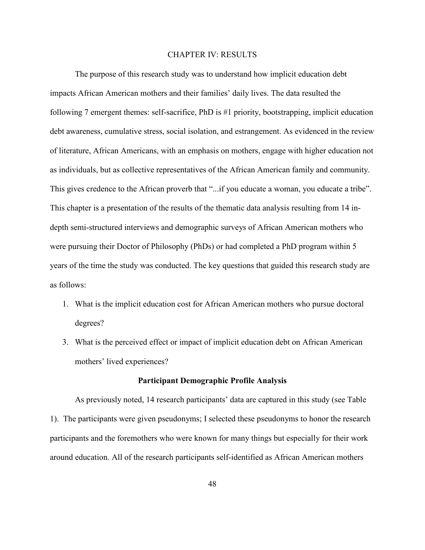### CHAPTER IV: RESULTS

The purpose of this research study was to understand how implicit education debt impacts African American mothers and their families' daily lives. The data resulted the following 7 emergent themes: self-sacrifice, PhD is #1 priority, bootstrapping, implicit education debt awareness, cumulative stress, social isolation, and estrangement. As evidenced in the review of literature, African Americans, with an emphasis on mothers, engage with higher education not as individuals, but as collective representatives of the African American family and community. This gives credence to the African proverb that "...if you educate a woman, you educate a tribe". This chapter is a presentation of the results of the thematic data analysis resulting from 14 indepth semi-structured interviews and demographic surveys of African American mothers who were pursuing their Doctor of Philosophy (PhDs) or had completed a PhD program within 5 years of the time the study was conducted. The key questions that guided this research study are as follows:

- 1. What is the implicit education cost for African American mothers who pursue doctoral degrees?
- 3. What is the perceived effect or impact of implicit education debt on African American mothers' lived experiences?

## **Participant Demographic Profile Analysis**

As previously noted, 14 research participants' data are captured in this study (see Table 1). The participants were given pseudonyms; I selected these pseudonyms to honor the research participants and the foremothers who were known for many things but especially for their work around education. All of the research participants self-identified as African American mothers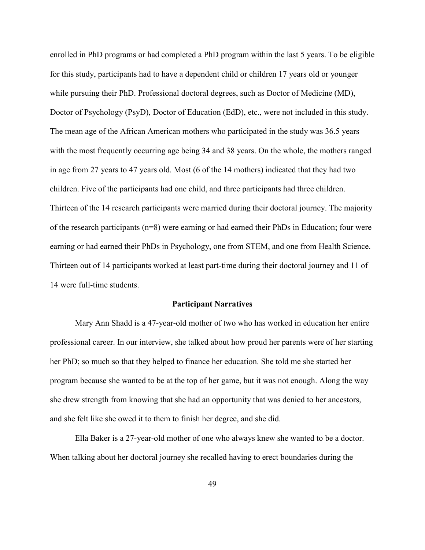enrolled in PhD programs or had completed a PhD program within the last 5 years. To be eligible for this study, participants had to have a dependent child or children 17 years old or younger while pursuing their PhD. Professional doctoral degrees, such as Doctor of Medicine (MD), Doctor of Psychology (PsyD), Doctor of Education (EdD), etc., were not included in this study. The mean age of the African American mothers who participated in the study was 36.5 years with the most frequently occurring age being 34 and 38 years. On the whole, the mothers ranged in age from 27 years to 47 years old. Most (6 of the 14 mothers) indicated that they had two children. Five of the participants had one child, and three participants had three children. Thirteen of the 14 research participants were married during their doctoral journey. The majority of the research participants (n=8) were earning or had earned their PhDs in Education; four were earning or had earned their PhDs in Psychology, one from STEM, and one from Health Science. Thirteen out of 14 participants worked at least part-time during their doctoral journey and 11 of 14 were full-time students.

### **Participant Narratives**

Mary Ann Shadd is a 47-year-old mother of two who has worked in education her entire professional career. In our interview, she talked about how proud her parents were of her starting her PhD; so much so that they helped to finance her education. She told me she started her program because she wanted to be at the top of her game, but it was not enough. Along the way she drew strength from knowing that she had an opportunity that was denied to her ancestors, and she felt like she owed it to them to finish her degree, and she did.

Ella Baker is a 27-year-old mother of one who always knew she wanted to be a doctor. When talking about her doctoral journey she recalled having to erect boundaries during the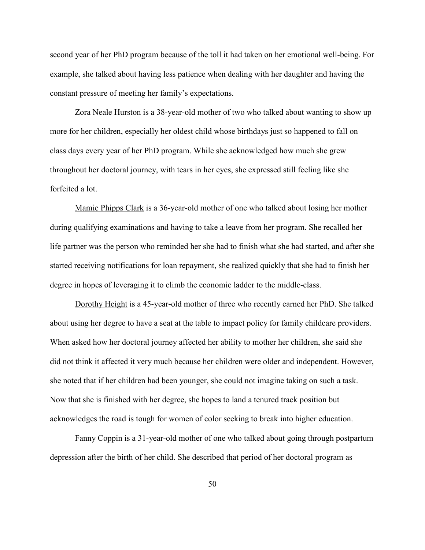second year of her PhD program because of the toll it had taken on her emotional well-being. For example, she talked about having less patience when dealing with her daughter and having the constant pressure of meeting her family's expectations.

Zora Neale Hurston is a 38-year-old mother of two who talked about wanting to show up more for her children, especially her oldest child whose birthdays just so happened to fall on class days every year of her PhD program. While she acknowledged how much she grew throughout her doctoral journey, with tears in her eyes, she expressed still feeling like she forfeited a lot.

Mamie Phipps Clark is a 36-year-old mother of one who talked about losing her mother during qualifying examinations and having to take a leave from her program. She recalled her life partner was the person who reminded her she had to finish what she had started, and after she started receiving notifications for loan repayment, she realized quickly that she had to finish her degree in hopes of leveraging it to climb the economic ladder to the middle-class.

Dorothy Height is a 45-year-old mother of three who recently earned her PhD. She talked about using her degree to have a seat at the table to impact policy for family childcare providers. When asked how her doctoral journey affected her ability to mother her children, she said she did not think it affected it very much because her children were older and independent. However, she noted that if her children had been younger, she could not imagine taking on such a task. Now that she is finished with her degree, she hopes to land a tenured track position but acknowledges the road is tough for women of color seeking to break into higher education.

Fanny Coppin is a 31-year-old mother of one who talked about going through postpartum depression after the birth of her child. She described that period of her doctoral program as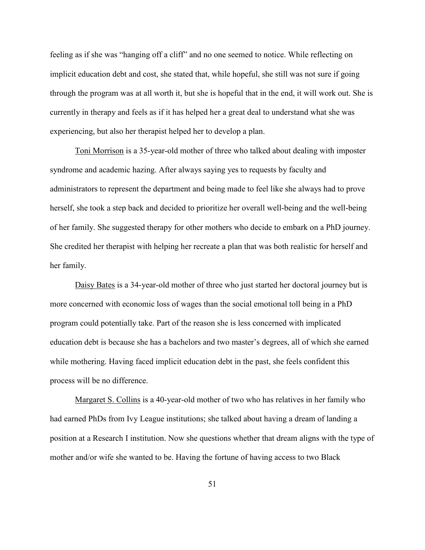feeling as if she was "hanging off a cliff" and no one seemed to notice. While reflecting on implicit education debt and cost, she stated that, while hopeful, she still was not sure if going through the program was at all worth it, but she is hopeful that in the end, it will work out. She is currently in therapy and feels as if it has helped her a great deal to understand what she was experiencing, but also her therapist helped her to develop a plan.

Toni Morrison is a 35-year-old mother of three who talked about dealing with imposter syndrome and academic hazing. After always saying yes to requests by faculty and administrators to represent the department and being made to feel like she always had to prove herself, she took a step back and decided to prioritize her overall well-being and the well-being of her family. She suggested therapy for other mothers who decide to embark on a PhD journey. She credited her therapist with helping her recreate a plan that was both realistic for herself and her family.

Daisy Bates is a 34-year-old mother of three who just started her doctoral journey but is more concerned with economic loss of wages than the social emotional toll being in a PhD program could potentially take. Part of the reason she is less concerned with implicated education debt is because she has a bachelors and two master's degrees, all of which she earned while mothering. Having faced implicit education debt in the past, she feels confident this process will be no difference.

Margaret S. Collins is a 40-year-old mother of two who has relatives in her family who had earned PhDs from Ivy League institutions; she talked about having a dream of landing a position at a Research I institution. Now she questions whether that dream aligns with the type of mother and/or wife she wanted to be. Having the fortune of having access to two Black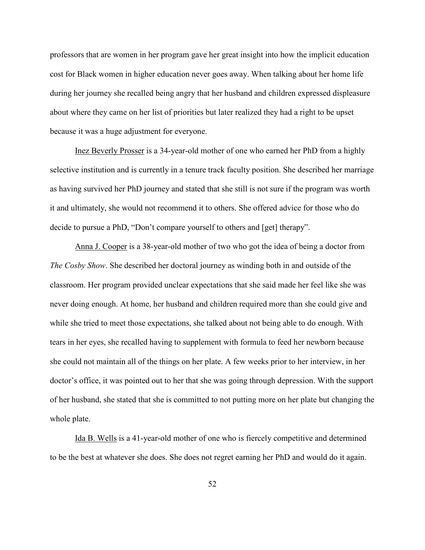professors that are women in her program gave her great insight into how the implicit education cost for Black women in higher education never goes away. When talking about her home life during her journey she recalled being angry that her husband and children expressed displeasure about where they came on her list of priorities but later realized they had a right to be upset because it was a huge adjustment for everyone.

Inez Beverly Prosser is a 34-year-old mother of one who earned her PhD from a highly selective institution and is currently in a tenure track faculty position. She described her marriage as having survived her PhD journey and stated that she still is not sure if the program was worth it and ultimately, she would not recommend it to others. She offered advice for those who do decide to pursue a PhD, "Don't compare yourself to others and [get] therapy".

Anna J. Cooper is a 38-year-old mother of two who got the idea of being a doctor from *The Cosby Show*. She described her doctoral journey as winding both in and outside of the classroom. Her program provided unclear expectations that she said made her feel like she was never doing enough. At home, her husband and children required more than she could give and while she tried to meet those expectations, she talked about not being able to do enough. With tears in her eyes, she recalled having to supplement with formula to feed her newborn because she could not maintain all of the things on her plate. A few weeks prior to her interview, in her doctor's office, it was pointed out to her that she was going through depression. With the support of her husband, she stated that she is committed to not putting more on her plate but changing the whole plate.

Ida B. Wells is a 41-year-old mother of one who is fiercely competitive and determined to be the best at whatever she does. She does not regret earning her PhD and would do it again.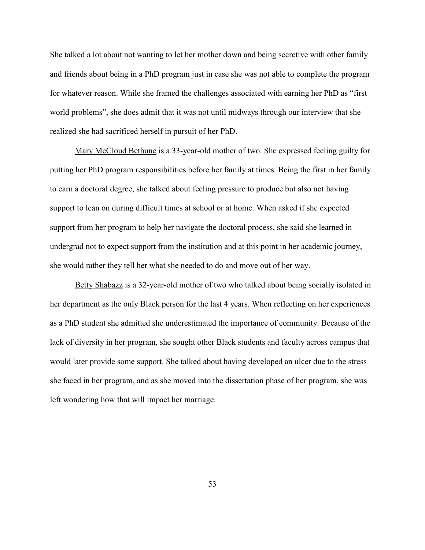She talked a lot about not wanting to let her mother down and being secretive with other family and friends about being in a PhD program just in case she was not able to complete the program for whatever reason. While she framed the challenges associated with earning her PhD as "first world problems", she does admit that it was not until midways through our interview that she realized she had sacrificed herself in pursuit of her PhD.

Mary McCloud Bethune is a 33-year-old mother of two. She expressed feeling guilty for putting her PhD program responsibilities before her family at times. Being the first in her family to earn a doctoral degree, she talked about feeling pressure to produce but also not having support to lean on during difficult times at school or at home. When asked if she expected support from her program to help her navigate the doctoral process, she said she learned in undergrad not to expect support from the institution and at this point in her academic journey, she would rather they tell her what she needed to do and move out of her way.

Betty Shabazz is a 32-year-old mother of two who talked about being socially isolated in her department as the only Black person for the last 4 years. When reflecting on her experiences as a PhD student she admitted she underestimated the importance of community. Because of the lack of diversity in her program, she sought other Black students and faculty across campus that would later provide some support. She talked about having developed an ulcer due to the stress she faced in her program, and as she moved into the dissertation phase of her program, she was left wondering how that will impact her marriage.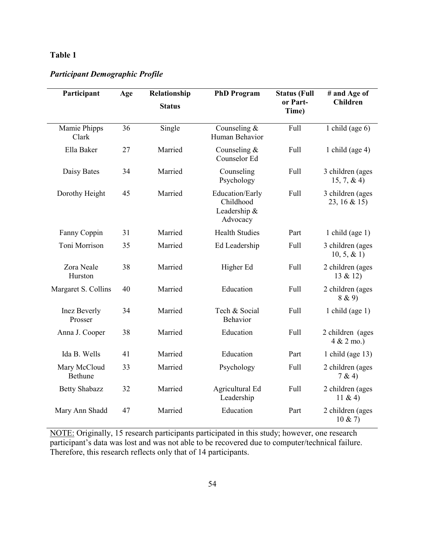# **Table 1**

## *Participant Demographic Profile*

| Participant                    | Age | Relationship  | <b>PhD Program</b>                                       | <b>Status (Full</b> | # and Age of                            |
|--------------------------------|-----|---------------|----------------------------------------------------------|---------------------|-----------------------------------------|
|                                |     | <b>Status</b> |                                                          | or Part-<br>Time)   | <b>Children</b>                         |
| Mamie Phipps<br>Clark          | 36  | Single        | Counseling $&$<br>Human Behavior                         | Full                | 1 child (age $6$ )                      |
| Ella Baker                     | 27  | Married       | Counseling $&$<br>Counselor Ed                           | Full                | 1 child (age $4$ )                      |
| Daisy Bates                    | 34  | Married       | Counseling<br>Psychology                                 | Full                | 3 children (ages<br>$15, 7, \& 4)$      |
| Dorothy Height                 | 45  | Married       | Education/Early<br>Childhood<br>Leadership &<br>Advocacy | Full                | 3 children (ages<br>23, 16 & 15)        |
| Fanny Coppin                   | 31  | Married       | <b>Health Studies</b>                                    | Part                | 1 child (age $1$ )                      |
| Toni Morrison                  | 35  | Married       | Ed Leadership                                            | Full                | 3 children (ages<br>$10, 5, \& 1)$      |
| Zora Neale<br>Hurston          | 38  | Married       | Higher Ed                                                | Full                | 2 children (ages<br>13 & 12)            |
| Margaret S. Collins            | 40  | Married       | Education                                                | Full                | 2 children (ages<br>8 & 9)              |
| <b>Inez Beverly</b><br>Prosser | 34  | Married       | Tech & Social<br><b>Behavior</b>                         | Full                | 1 child (age $1$ )                      |
| Anna J. Cooper                 | 38  | Married       | Education                                                | Full                | 2 children (ages<br>$4 & 2 \text{ mo.}$ |
| Ida B. Wells                   | 41  | Married       | Education                                                | Part                | 1 child (age $13$ )                     |
| Mary McCloud<br>Bethune        | 33  | Married       | Psychology                                               | Full                | 2 children (ages<br>7 & 4)              |
| <b>Betty Shabazz</b>           | 32  | Married       | Agricultural Ed<br>Leadership                            | Full                | 2 children (ages<br>11 & 4)             |
| Mary Ann Shadd                 | 47  | Married       | Education                                                | Part                | 2 children (ages<br>10 & 27             |

NOTE: Originally, 15 research participants participated in this study; however, one research participant's data was lost and was not able to be recovered due to computer/technical failure. Therefore, this research reflects only that of 14 participants.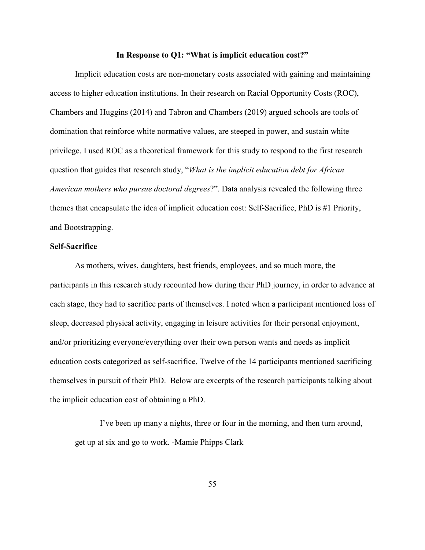#### **In Response to Q1: "What is implicit education cost?"**

Implicit education costs are non-monetary costs associated with gaining and maintaining access to higher education institutions. In their research on Racial Opportunity Costs (ROC), Chambers and Huggins (2014) and Tabron and Chambers (2019) argued schools are tools of domination that reinforce white normative values, are steeped in power, and sustain white privilege. I used ROC as a theoretical framework for this study to respond to the first research question that guides that research study, "*What is the implicit education debt for African American mothers who pursue doctoral degrees*?". Data analysis revealed the following three themes that encapsulate the idea of implicit education cost: Self-Sacrifice, PhD is #1 Priority, and Bootstrapping.

## **Self-Sacrifice**

As mothers, wives, daughters, best friends, employees, and so much more, the participants in this research study recounted how during their PhD journey, in order to advance at each stage, they had to sacrifice parts of themselves. I noted when a participant mentioned loss of sleep, decreased physical activity, engaging in leisure activities for their personal enjoyment, and/or prioritizing everyone/everything over their own person wants and needs as implicit education costs categorized as self-sacrifice. Twelve of the 14 participants mentioned sacrificing themselves in pursuit of their PhD. Below are excerpts of the research participants talking about the implicit education cost of obtaining a PhD.

I've been up many a nights, three or four in the morning, and then turn around, get up at six and go to work. -Mamie Phipps Clark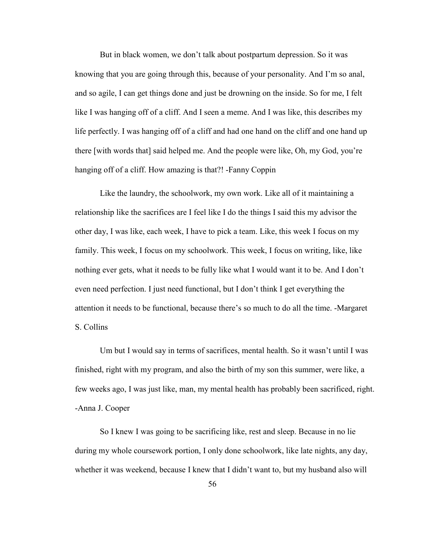But in black women, we don't talk about postpartum depression. So it was knowing that you are going through this, because of your personality. And I'm so anal, and so agile, I can get things done and just be drowning on the inside. So for me, I felt like I was hanging off of a cliff. And I seen a meme. And I was like, this describes my life perfectly. I was hanging off of a cliff and had one hand on the cliff and one hand up there [with words that] said helped me. And the people were like, Oh, my God, you're hanging off of a cliff. How amazing is that?! -Fanny Coppin

Like the laundry, the schoolwork, my own work. Like all of it maintaining a relationship like the sacrifices are I feel like I do the things I said this my advisor the other day, I was like, each week, I have to pick a team. Like, this week I focus on my family. This week, I focus on my schoolwork. This week, I focus on writing, like, like nothing ever gets, what it needs to be fully like what I would want it to be. And I don't even need perfection. I just need functional, but I don't think I get everything the attention it needs to be functional, because there's so much to do all the time. -Margaret S. Collins

Um but I would say in terms of sacrifices, mental health. So it wasn't until I was finished, right with my program, and also the birth of my son this summer, were like, a few weeks ago, I was just like, man, my mental health has probably been sacrificed, right. -Anna J. Cooper

So I knew I was going to be sacrificing like, rest and sleep. Because in no lie during my whole coursework portion, I only done schoolwork, like late nights, any day, whether it was weekend, because I knew that I didn't want to, but my husband also will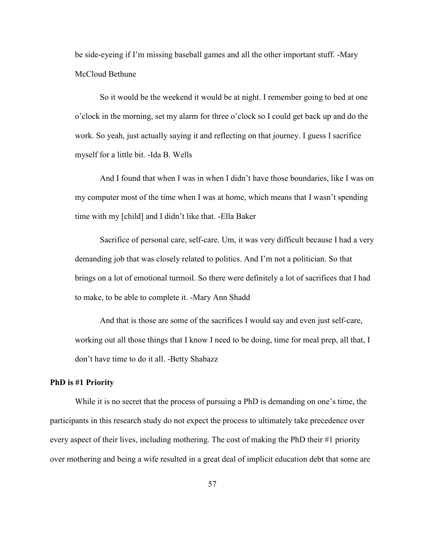be side-eyeing if I'm missing baseball games and all the other important stuff. -Mary McCloud Bethune

So it would be the weekend it would be at night. I remember going to bed at one o'clock in the morning, set my alarm for three o'clock so I could get back up and do the work. So yeah, just actually saying it and reflecting on that journey. I guess I sacrifice myself for a little bit. -Ida B. Wells

And I found that when I was in when I didn't have those boundaries, like I was on my computer most of the time when I was at home, which means that I wasn't spending time with my [child] and I didn't like that. -Ella Baker

Sacrifice of personal care, self-care. Um, it was very difficult because I had a very demanding job that was closely related to politics. And I'm not a politician. So that brings on a lot of emotional turmoil. So there were definitely a lot of sacrifices that I had to make, to be able to complete it. -Mary Ann Shadd

And that is those are some of the sacrifices I would say and even just self-care, working out all those things that I know I need to be doing, time for meal prep, all that, I don't have time to do it all. -Betty Shabazz

## **PhD is #1 Priority**

While it is no secret that the process of pursuing a PhD is demanding on one's time, the participants in this research study do not expect the process to ultimately take precedence over every aspect of their lives, including mothering. The cost of making the PhD their #1 priority over mothering and being a wife resulted in a great deal of implicit education debt that some are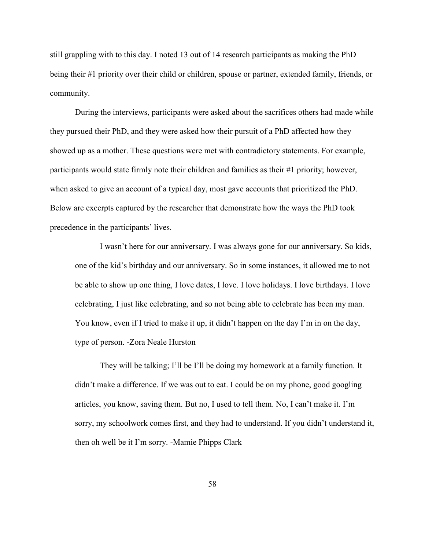still grappling with to this day. I noted 13 out of 14 research participants as making the PhD being their #1 priority over their child or children, spouse or partner, extended family, friends, or community.

During the interviews, participants were asked about the sacrifices others had made while they pursued their PhD, and they were asked how their pursuit of a PhD affected how they showed up as a mother. These questions were met with contradictory statements. For example, participants would state firmly note their children and families as their #1 priority; however, when asked to give an account of a typical day, most gave accounts that prioritized the PhD. Below are excerpts captured by the researcher that demonstrate how the ways the PhD took precedence in the participants' lives.

I wasn't here for our anniversary. I was always gone for our anniversary. So kids, one of the kid's birthday and our anniversary. So in some instances, it allowed me to not be able to show up one thing, I love dates, I love. I love holidays. I love birthdays. I love celebrating, I just like celebrating, and so not being able to celebrate has been my man. You know, even if I tried to make it up, it didn't happen on the day I'm in on the day, type of person. -Zora Neale Hurston

They will be talking; I'll be I'll be doing my homework at a family function. It didn't make a difference. If we was out to eat. I could be on my phone, good googling articles, you know, saving them. But no, I used to tell them. No, I can't make it. I'm sorry, my schoolwork comes first, and they had to understand. If you didn't understand it, then oh well be it I'm sorry. -Mamie Phipps Clark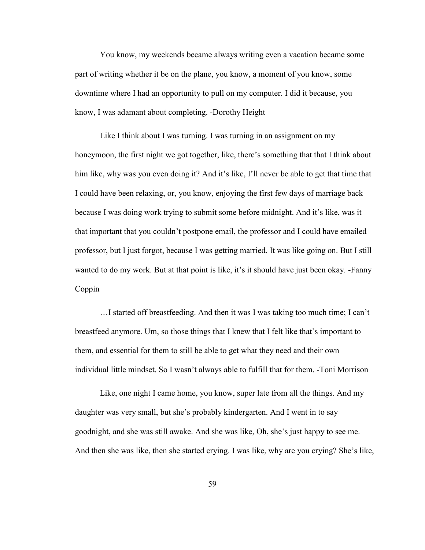You know, my weekends became always writing even a vacation became some part of writing whether it be on the plane, you know, a moment of you know, some downtime where I had an opportunity to pull on my computer. I did it because, you know, I was adamant about completing. -Dorothy Height

Like I think about I was turning. I was turning in an assignment on my honeymoon, the first night we got together, like, there's something that that I think about him like, why was you even doing it? And it's like, I'll never be able to get that time that I could have been relaxing, or, you know, enjoying the first few days of marriage back because I was doing work trying to submit some before midnight. And it's like, was it that important that you couldn't postpone email, the professor and I could have emailed professor, but I just forgot, because I was getting married. It was like going on. But I still wanted to do my work. But at that point is like, it's it should have just been okay. -Fanny Coppin

…I started off breastfeeding. And then it was I was taking too much time; I can't breastfeed anymore. Um, so those things that I knew that I felt like that's important to them, and essential for them to still be able to get what they need and their own individual little mindset. So I wasn't always able to fulfill that for them. -Toni Morrison

Like, one night I came home, you know, super late from all the things. And my daughter was very small, but she's probably kindergarten. And I went in to say goodnight, and she was still awake. And she was like, Oh, she's just happy to see me. And then she was like, then she started crying. I was like, why are you crying? She's like,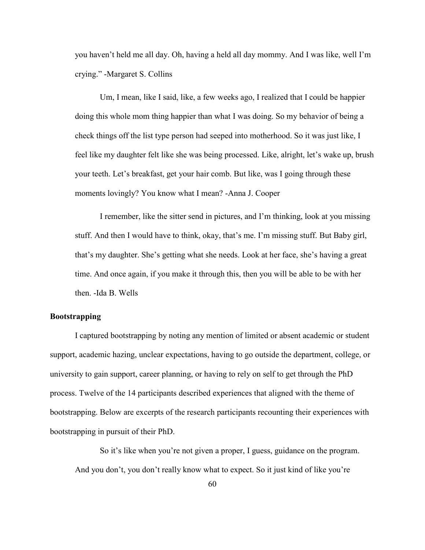you haven't held me all day. Oh, having a held all day mommy. And I was like, well I'm crying." -Margaret S. Collins

Um, I mean, like I said, like, a few weeks ago, I realized that I could be happier doing this whole mom thing happier than what I was doing. So my behavior of being a check things off the list type person had seeped into motherhood. So it was just like, I feel like my daughter felt like she was being processed. Like, alright, let's wake up, brush your teeth. Let's breakfast, get your hair comb. But like, was I going through these moments lovingly? You know what I mean? -Anna J. Cooper

I remember, like the sitter send in pictures, and I'm thinking, look at you missing stuff. And then I would have to think, okay, that's me. I'm missing stuff. But Baby girl, that's my daughter. She's getting what she needs. Look at her face, she's having a great time. And once again, if you make it through this, then you will be able to be with her then. -Ida B. Wells

# **Bootstrapping**

I captured bootstrapping by noting any mention of limited or absent academic or student support, academic hazing, unclear expectations, having to go outside the department, college, or university to gain support, career planning, or having to rely on self to get through the PhD process. Twelve of the 14 participants described experiences that aligned with the theme of bootstrapping. Below are excerpts of the research participants recounting their experiences with bootstrapping in pursuit of their PhD.

So it's like when you're not given a proper, I guess, guidance on the program. And you don't, you don't really know what to expect. So it just kind of like you're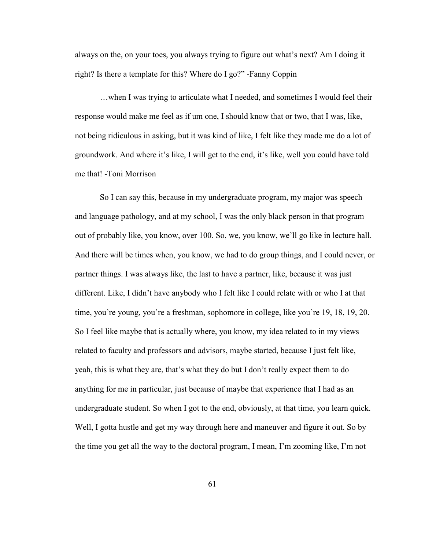always on the, on your toes, you always trying to figure out what's next? Am I doing it right? Is there a template for this? Where do I go?" -Fanny Coppin

…when I was trying to articulate what I needed, and sometimes I would feel their response would make me feel as if um one, I should know that or two, that I was, like, not being ridiculous in asking, but it was kind of like, I felt like they made me do a lot of groundwork. And where it's like, I will get to the end, it's like, well you could have told me that! -Toni Morrison

So I can say this, because in my undergraduate program, my major was speech and language pathology, and at my school, I was the only black person in that program out of probably like, you know, over 100. So, we, you know, we'll go like in lecture hall. And there will be times when, you know, we had to do group things, and I could never, or partner things. I was always like, the last to have a partner, like, because it was just different. Like, I didn't have anybody who I felt like I could relate with or who I at that time, you're young, you're a freshman, sophomore in college, like you're 19, 18, 19, 20. So I feel like maybe that is actually where, you know, my idea related to in my views related to faculty and professors and advisors, maybe started, because I just felt like, yeah, this is what they are, that's what they do but I don't really expect them to do anything for me in particular, just because of maybe that experience that I had as an undergraduate student. So when I got to the end, obviously, at that time, you learn quick. Well, I gotta hustle and get my way through here and maneuver and figure it out. So by the time you get all the way to the doctoral program, I mean, I'm zooming like, I'm not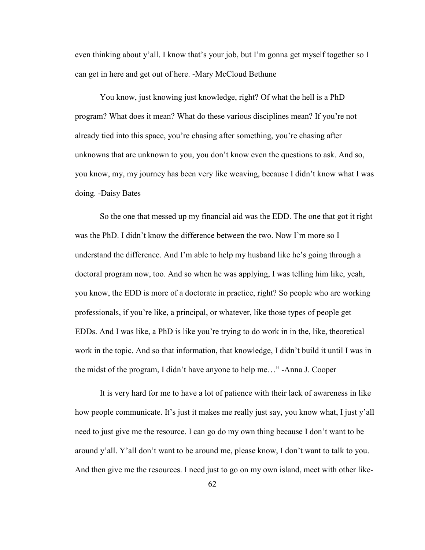even thinking about y'all. I know that's your job, but I'm gonna get myself together so I can get in here and get out of here. -Mary McCloud Bethune

You know, just knowing just knowledge, right? Of what the hell is a PhD program? What does it mean? What do these various disciplines mean? If you're not already tied into this space, you're chasing after something, you're chasing after unknowns that are unknown to you, you don't know even the questions to ask. And so, you know, my, my journey has been very like weaving, because I didn't know what I was doing. -Daisy Bates

So the one that messed up my financial aid was the EDD. The one that got it right was the PhD. I didn't know the difference between the two. Now I'm more so I understand the difference. And I'm able to help my husband like he's going through a doctoral program now, too. And so when he was applying, I was telling him like, yeah, you know, the EDD is more of a doctorate in practice, right? So people who are working professionals, if you're like, a principal, or whatever, like those types of people get EDDs. And I was like, a PhD is like you're trying to do work in in the, like, theoretical work in the topic. And so that information, that knowledge, I didn't build it until I was in the midst of the program, I didn't have anyone to help me…" -Anna J. Cooper

It is very hard for me to have a lot of patience with their lack of awareness in like how people communicate. It's just it makes me really just say, you know what, I just y'all need to just give me the resource. I can go do my own thing because I don't want to be around y'all. Y'all don't want to be around me, please know, I don't want to talk to you. And then give me the resources. I need just to go on my own island, meet with other like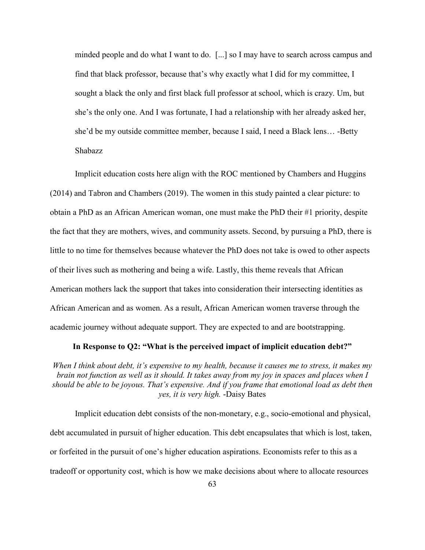minded people and do what I want to do. [...] so I may have to search across campus and find that black professor, because that's why exactly what I did for my committee, I sought a black the only and first black full professor at school, which is crazy. Um, but she's the only one. And I was fortunate, I had a relationship with her already asked her, she'd be my outside committee member, because I said, I need a Black lens… -Betty Shabazz

Implicit education costs here align with the ROC mentioned by Chambers and Huggins (2014) and Tabron and Chambers (2019). The women in this study painted a clear picture: to obtain a PhD as an African American woman, one must make the PhD their #1 priority, despite the fact that they are mothers, wives, and community assets. Second, by pursuing a PhD, there is little to no time for themselves because whatever the PhD does not take is owed to other aspects of their lives such as mothering and being a wife. Lastly, this theme reveals that African American mothers lack the support that takes into consideration their intersecting identities as African American and as women. As a result, African American women traverse through the academic journey without adequate support. They are expected to and are bootstrapping.

# **In Response to Q2: "What is the perceived impact of implicit education debt?"**

*When I think about debt, it's expensive to my health, because it causes me to stress, it makes my brain not function as well as it should. It takes away from my joy in spaces and places when I should be able to be joyous. That's expensive. And if you frame that emotional load as debt then yes, it is very high.* -Daisy Bates

Implicit education debt consists of the non-monetary, e.g., socio-emotional and physical, debt accumulated in pursuit of higher education. This debt encapsulates that which is lost, taken, or forfeited in the pursuit of one's higher education aspirations. Economists refer to this as a tradeoff or opportunity cost, which is how we make decisions about where to allocate resources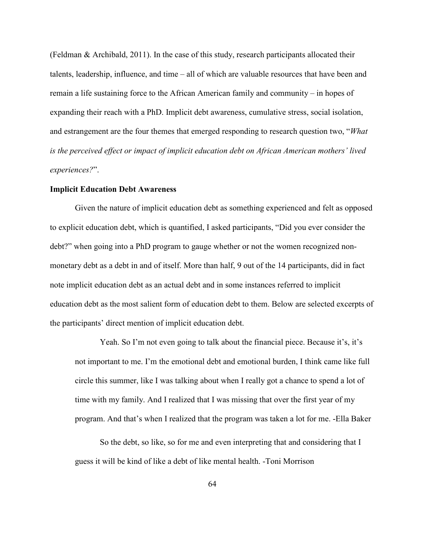(Feldman & Archibald, 2011). In the case of this study, research participants allocated their talents, leadership, influence, and time – all of which are valuable resources that have been and remain a life sustaining force to the African American family and community – in hopes of expanding their reach with a PhD. Implicit debt awareness, cumulative stress, social isolation, and estrangement are the four themes that emerged responding to research question two, "*What is the perceived effect or impact of implicit education debt on African American mothers' lived experiences?*".

# **Implicit Education Debt Awareness**

Given the nature of implicit education debt as something experienced and felt as opposed to explicit education debt, which is quantified, I asked participants, "Did you ever consider the debt?" when going into a PhD program to gauge whether or not the women recognized nonmonetary debt as a debt in and of itself. More than half, 9 out of the 14 participants, did in fact note implicit education debt as an actual debt and in some instances referred to implicit education debt as the most salient form of education debt to them. Below are selected excerpts of the participants' direct mention of implicit education debt.

Yeah. So I'm not even going to talk about the financial piece. Because it's, it's not important to me. I'm the emotional debt and emotional burden, I think came like full circle this summer, like I was talking about when I really got a chance to spend a lot of time with my family. And I realized that I was missing that over the first year of my program. And that's when I realized that the program was taken a lot for me. -Ella Baker

So the debt, so like, so for me and even interpreting that and considering that I guess it will be kind of like a debt of like mental health. -Toni Morrison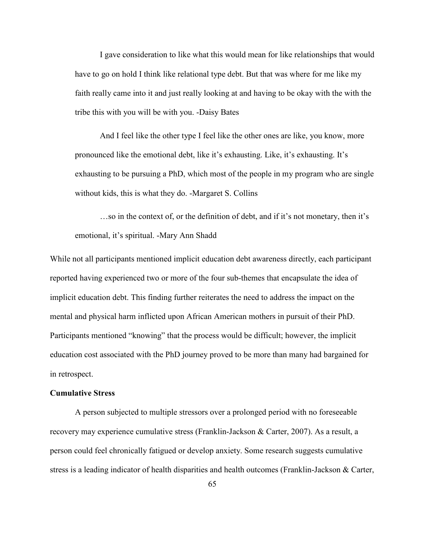I gave consideration to like what this would mean for like relationships that would have to go on hold I think like relational type debt. But that was where for me like my faith really came into it and just really looking at and having to be okay with the with the tribe this with you will be with you. -Daisy Bates

And I feel like the other type I feel like the other ones are like, you know, more pronounced like the emotional debt, like it's exhausting. Like, it's exhausting. It's exhausting to be pursuing a PhD, which most of the people in my program who are single without kids, this is what they do. -Margaret S. Collins

…so in the context of, or the definition of debt, and if it's not monetary, then it's emotional, it's spiritual. -Mary Ann Shadd

While not all participants mentioned implicit education debt awareness directly, each participant reported having experienced two or more of the four sub-themes that encapsulate the idea of implicit education debt. This finding further reiterates the need to address the impact on the mental and physical harm inflicted upon African American mothers in pursuit of their PhD. Participants mentioned "knowing" that the process would be difficult; however, the implicit education cost associated with the PhD journey proved to be more than many had bargained for in retrospect.

# **Cumulative Stress**

A person subjected to multiple stressors over a prolonged period with no foreseeable recovery may experience cumulative stress (Franklin-Jackson & Carter, 2007). As a result, a person could feel chronically fatigued or develop anxiety. Some research suggests cumulative stress is a leading indicator of health disparities and health outcomes (Franklin-Jackson & Carter,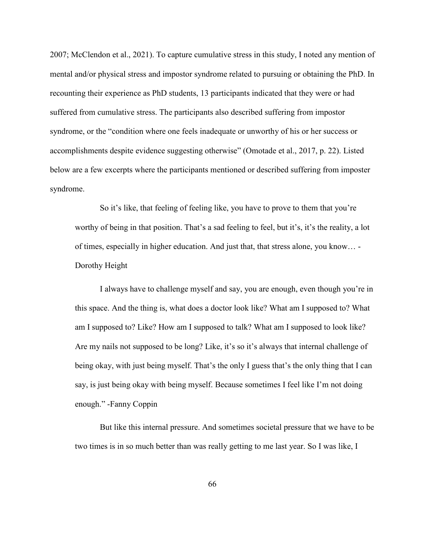2007; McClendon et al., 2021). To capture cumulative stress in this study, I noted any mention of mental and/or physical stress and impostor syndrome related to pursuing or obtaining the PhD. In recounting their experience as PhD students, 13 participants indicated that they were or had suffered from cumulative stress. The participants also described suffering from impostor syndrome, or the "condition where one feels inadequate or unworthy of his or her success or accomplishments despite evidence suggesting otherwise" (Omotade et al., 2017, p. 22). Listed below are a few excerpts where the participants mentioned or described suffering from imposter syndrome.

So it's like, that feeling of feeling like, you have to prove to them that you're worthy of being in that position. That's a sad feeling to feel, but it's, it's the reality, a lot of times, especially in higher education. And just that, that stress alone, you know… - Dorothy Height

I always have to challenge myself and say, you are enough, even though you're in this space. And the thing is, what does a doctor look like? What am I supposed to? What am I supposed to? Like? How am I supposed to talk? What am I supposed to look like? Are my nails not supposed to be long? Like, it's so it's always that internal challenge of being okay, with just being myself. That's the only I guess that's the only thing that I can say, is just being okay with being myself. Because sometimes I feel like I'm not doing enough." -Fanny Coppin

But like this internal pressure. And sometimes societal pressure that we have to be two times is in so much better than was really getting to me last year. So I was like, I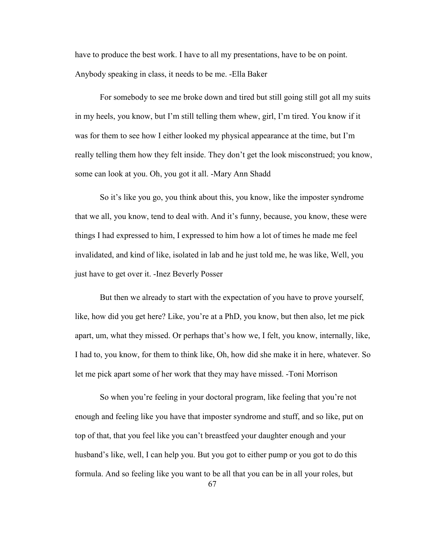have to produce the best work. I have to all my presentations, have to be on point. Anybody speaking in class, it needs to be me. -Ella Baker

For somebody to see me broke down and tired but still going still got all my suits in my heels, you know, but I'm still telling them whew, girl, I'm tired. You know if it was for them to see how I either looked my physical appearance at the time, but I'm really telling them how they felt inside. They don't get the look misconstrued; you know, some can look at you. Oh, you got it all. -Mary Ann Shadd

So it's like you go, you think about this, you know, like the imposter syndrome that we all, you know, tend to deal with. And it's funny, because, you know, these were things I had expressed to him, I expressed to him how a lot of times he made me feel invalidated, and kind of like, isolated in lab and he just told me, he was like, Well, you just have to get over it. -Inez Beverly Posser

But then we already to start with the expectation of you have to prove yourself, like, how did you get here? Like, you're at a PhD, you know, but then also, let me pick apart, um, what they missed. Or perhaps that's how we, I felt, you know, internally, like, I had to, you know, for them to think like, Oh, how did she make it in here, whatever. So let me pick apart some of her work that they may have missed. -Toni Morrison

So when you're feeling in your doctoral program, like feeling that you're not enough and feeling like you have that imposter syndrome and stuff, and so like, put on top of that, that you feel like you can't breastfeed your daughter enough and your husband's like, well, I can help you. But you got to either pump or you got to do this formula. And so feeling like you want to be all that you can be in all your roles, but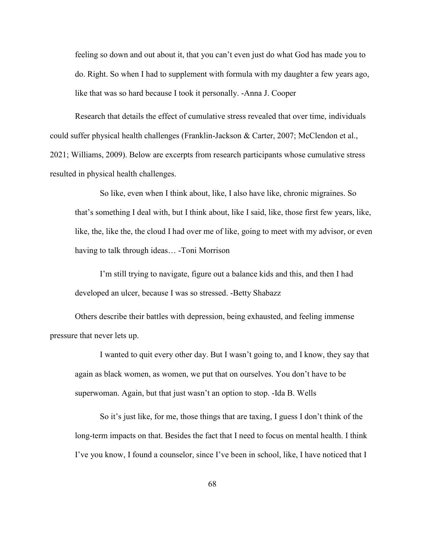feeling so down and out about it, that you can't even just do what God has made you to do. Right. So when I had to supplement with formula with my daughter a few years ago, like that was so hard because I took it personally. -Anna J. Cooper

Research that details the effect of cumulative stress revealed that over time, individuals could suffer physical health challenges (Franklin-Jackson & Carter, 2007; McClendon et al., 2021; Williams, 2009). Below are excerpts from research participants whose cumulative stress resulted in physical health challenges.

So like, even when I think about, like, I also have like, chronic migraines. So that's something I deal with, but I think about, like I said, like, those first few years, like, like, the, like the, the cloud I had over me of like, going to meet with my advisor, or even having to talk through ideas… -Toni Morrison

I'm still trying to navigate, figure out a balance kids and this, and then I had developed an ulcer, because I was so stressed. -Betty Shabazz

Others describe their battles with depression, being exhausted, and feeling immense pressure that never lets up.

I wanted to quit every other day. But I wasn't going to, and I know, they say that again as black women, as women, we put that on ourselves. You don't have to be superwoman. Again, but that just wasn't an option to stop. -Ida B. Wells

So it's just like, for me, those things that are taxing, I guess I don't think of the long-term impacts on that. Besides the fact that I need to focus on mental health. I think I've you know, I found a counselor, since I've been in school, like, I have noticed that I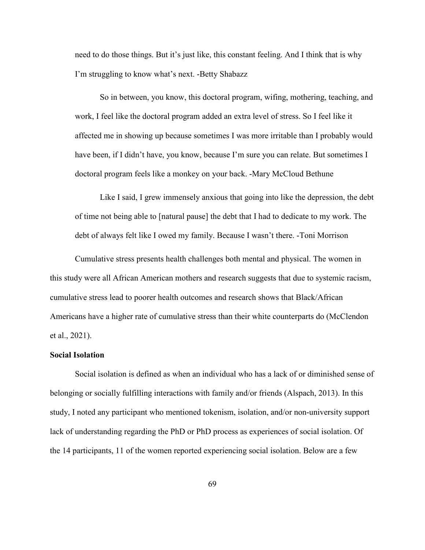need to do those things. But it's just like, this constant feeling. And I think that is why I'm struggling to know what's next. -Betty Shabazz

So in between, you know, this doctoral program, wifing, mothering, teaching, and work, I feel like the doctoral program added an extra level of stress. So I feel like it affected me in showing up because sometimes I was more irritable than I probably would have been, if I didn't have, you know, because I'm sure you can relate. But sometimes I doctoral program feels like a monkey on your back. -Mary McCloud Bethune

Like I said, I grew immensely anxious that going into like the depression, the debt of time not being able to [natural pause] the debt that I had to dedicate to my work. The debt of always felt like I owed my family. Because I wasn't there. -Toni Morrison

Cumulative stress presents health challenges both mental and physical. The women in this study were all African American mothers and research suggests that due to systemic racism, cumulative stress lead to poorer health outcomes and research shows that Black/African Americans have a higher rate of cumulative stress than their white counterparts do (McClendon et al., 2021).

# **Social Isolation**

Social isolation is defined as when an individual who has a lack of or diminished sense of belonging or socially fulfilling interactions with family and/or friends (Alspach, 2013). In this study, I noted any participant who mentioned tokenism, isolation, and/or non-university support lack of understanding regarding the PhD or PhD process as experiences of social isolation. Of the 14 participants, 11 of the women reported experiencing social isolation. Below are a few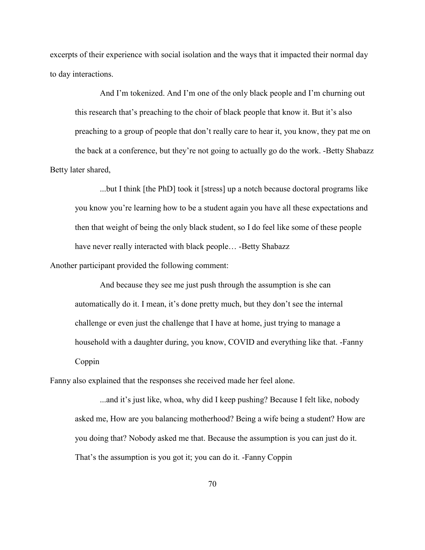excerpts of their experience with social isolation and the ways that it impacted their normal day to day interactions.

And I'm tokenized. And I'm one of the only black people and I'm churning out this research that's preaching to the choir of black people that know it. But it's also preaching to a group of people that don't really care to hear it, you know, they pat me on the back at a conference, but they're not going to actually go do the work. -Betty Shabazz Betty later shared,

...but I think [the PhD] took it [stress] up a notch because doctoral programs like you know you're learning how to be a student again you have all these expectations and then that weight of being the only black student, so I do feel like some of these people have never really interacted with black people... -Betty Shabazz

Another participant provided the following comment:

And because they see me just push through the assumption is she can automatically do it. I mean, it's done pretty much, but they don't see the internal challenge or even just the challenge that I have at home, just trying to manage a household with a daughter during, you know, COVID and everything like that. -Fanny Coppin

Fanny also explained that the responses she received made her feel alone.

...and it's just like, whoa, why did I keep pushing? Because I felt like, nobody asked me, How are you balancing motherhood? Being a wife being a student? How are you doing that? Nobody asked me that. Because the assumption is you can just do it. That's the assumption is you got it; you can do it. -Fanny Coppin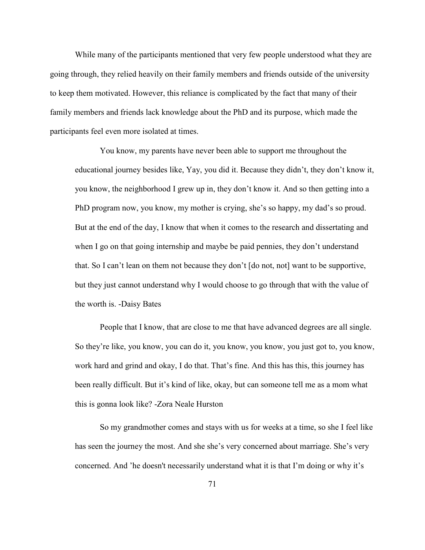While many of the participants mentioned that very few people understood what they are going through, they relied heavily on their family members and friends outside of the university to keep them motivated. However, this reliance is complicated by the fact that many of their family members and friends lack knowledge about the PhD and its purpose, which made the participants feel even more isolated at times.

You know, my parents have never been able to support me throughout the educational journey besides like, Yay, you did it. Because they didn't, they don't know it, you know, the neighborhood I grew up in, they don't know it. And so then getting into a PhD program now, you know, my mother is crying, she's so happy, my dad's so proud. But at the end of the day, I know that when it comes to the research and dissertating and when I go on that going internship and maybe be paid pennies, they don't understand that. So I can't lean on them not because they don't [do not, not] want to be supportive, but they just cannot understand why I would choose to go through that with the value of the worth is. -Daisy Bates

People that I know, that are close to me that have advanced degrees are all single. So they're like, you know, you can do it, you know, you know, you just got to, you know, work hard and grind and okay, I do that. That's fine. And this has this, this journey has been really difficult. But it's kind of like, okay, but can someone tell me as a mom what this is gonna look like? -Zora Neale Hurston

So my grandmother comes and stays with us for weeks at a time, so she I feel like has seen the journey the most. And she she's very concerned about marriage. She's very concerned. And 'he doesn't necessarily understand what it is that I'm doing or why it's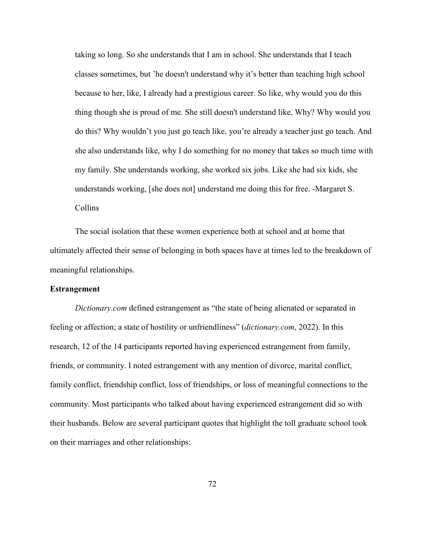taking so long. So she understands that I am in school. She understands that I teach classes sometimes, but 'he doesn't understand why it's better than teaching high school because to her, like, I already had a prestigious career. So like, why would you do this thing though she is proud of me. She still doesn't understand like, Why? Why would you do this? Why wouldn't you just go teach like, you're already a teacher just go teach. And she also understands like, why I do something for no money that takes so much time with my family. She understands working, she worked six jobs. Like she had six kids, she understands working, [she does not] understand me doing this for free. -Margaret S. Collins

The social isolation that these women experience both at school and at home that ultimately affected their sense of belonging in both spaces have at times led to the breakdown of meaningful relationships.

# **Estrangement**

*Dictionary.com* defined estrangement as "the state of being alienated or separated in feeling or affection; a state of hostility or unfriendliness" (*dictionary.com*, 2022). In this research, 12 of the 14 participants reported having experienced estrangement from family, friends, or community. I noted estrangement with any mention of divorce, marital conflict, family conflict, friendship conflict, loss of friendships, or loss of meaningful connections to the community. Most participants who talked about having experienced estrangement did so with their husbands. Below are several participant quotes that highlight the toll graduate school took on their marriages and other relationships: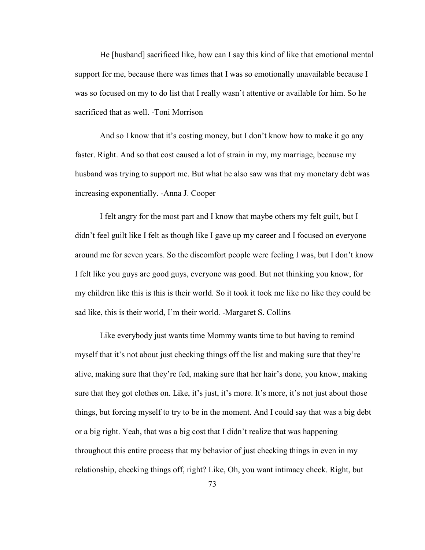He [husband] sacrificed like, how can I say this kind of like that emotional mental support for me, because there was times that I was so emotionally unavailable because I was so focused on my to do list that I really wasn't attentive or available for him. So he sacrificed that as well. -Toni Morrison

And so I know that it's costing money, but I don't know how to make it go any faster. Right. And so that cost caused a lot of strain in my, my marriage, because my husband was trying to support me. But what he also saw was that my monetary debt was increasing exponentially. -Anna J. Cooper

I felt angry for the most part and I know that maybe others my felt guilt, but I didn't feel guilt like I felt as though like I gave up my career and I focused on everyone around me for seven years. So the discomfort people were feeling I was, but I don't know I felt like you guys are good guys, everyone was good. But not thinking you know, for my children like this is this is their world. So it took it took me like no like they could be sad like, this is their world, I'm their world. -Margaret S. Collins

Like everybody just wants time Mommy wants time to but having to remind myself that it's not about just checking things off the list and making sure that they're alive, making sure that they're fed, making sure that her hair's done, you know, making sure that they got clothes on. Like, it's just, it's more. It's more, it's not just about those things, but forcing myself to try to be in the moment. And I could say that was a big debt or a big right. Yeah, that was a big cost that I didn't realize that was happening throughout this entire process that my behavior of just checking things in even in my relationship, checking things off, right? Like, Oh, you want intimacy check. Right, but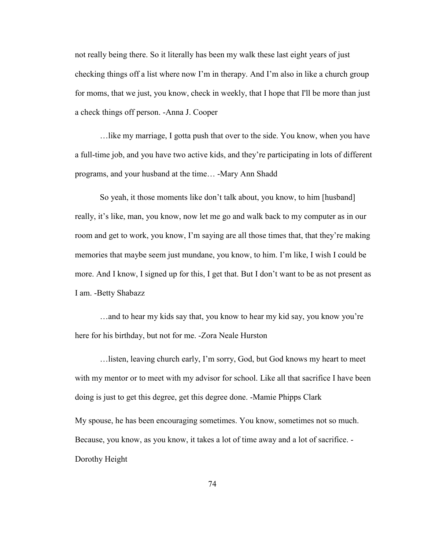not really being there. So it literally has been my walk these last eight years of just checking things off a list where now I'm in therapy. And I'm also in like a church group for moms, that we just, you know, check in weekly, that I hope that I'll be more than just a check things off person. -Anna J. Cooper

…like my marriage, I gotta push that over to the side. You know, when you have a full-time job, and you have two active kids, and they're participating in lots of different programs, and your husband at the time… -Mary Ann Shadd

So yeah, it those moments like don't talk about, you know, to him [husband] really, it's like, man, you know, now let me go and walk back to my computer as in our room and get to work, you know, I'm saying are all those times that, that they're making memories that maybe seem just mundane, you know, to him. I'm like, I wish I could be more. And I know, I signed up for this, I get that. But I don't want to be as not present as I am. -Betty Shabazz

…and to hear my kids say that, you know to hear my kid say, you know you're here for his birthday, but not for me. -Zora Neale Hurston

…listen, leaving church early, I'm sorry, God, but God knows my heart to meet with my mentor or to meet with my advisor for school. Like all that sacrifice I have been doing is just to get this degree, get this degree done. -Mamie Phipps Clark My spouse, he has been encouraging sometimes. You know, sometimes not so much. Because, you know, as you know, it takes a lot of time away and a lot of sacrifice. - Dorothy Height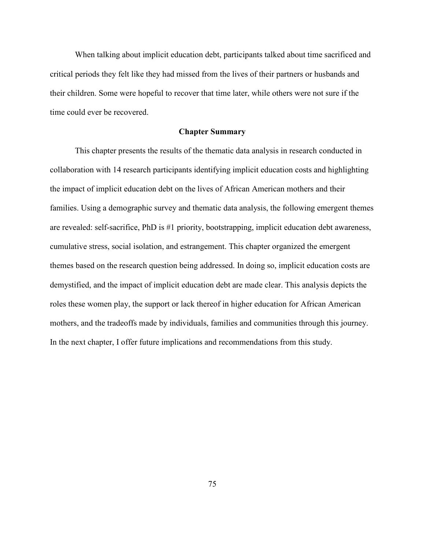When talking about implicit education debt, participants talked about time sacrificed and critical periods they felt like they had missed from the lives of their partners or husbands and their children. Some were hopeful to recover that time later, while others were not sure if the time could ever be recovered.

# **Chapter Summary**

This chapter presents the results of the thematic data analysis in research conducted in collaboration with 14 research participants identifying implicit education costs and highlighting the impact of implicit education debt on the lives of African American mothers and their families. Using a demographic survey and thematic data analysis, the following emergent themes are revealed: self-sacrifice, PhD is #1 priority, bootstrapping, implicit education debt awareness, cumulative stress, social isolation, and estrangement. This chapter organized the emergent themes based on the research question being addressed. In doing so, implicit education costs are demystified, and the impact of implicit education debt are made clear. This analysis depicts the roles these women play, the support or lack thereof in higher education for African American mothers, and the tradeoffs made by individuals, families and communities through this journey. In the next chapter, I offer future implications and recommendations from this study.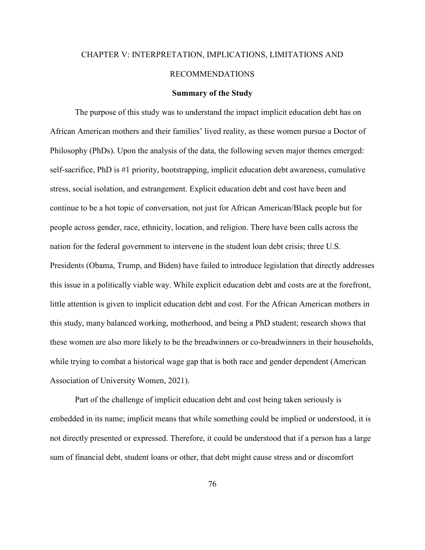# CHAPTER V: INTERPRETATION, IMPLICATIONS, LIMITATIONS AND RECOMMENDATIONS

#### **Summary of the Study**

The purpose of this study was to understand the impact implicit education debt has on African American mothers and their families' lived reality, as these women pursue a Doctor of Philosophy (PhDs). Upon the analysis of the data, the following seven major themes emerged: self-sacrifice, PhD is #1 priority, bootstrapping, implicit education debt awareness, cumulative stress, social isolation, and estrangement. Explicit education debt and cost have been and continue to be a hot topic of conversation, not just for African American/Black people but for people across gender, race, ethnicity, location, and religion. There have been calls across the nation for the federal government to intervene in the student loan debt crisis; three U.S. Presidents (Obama, Trump, and Biden) have failed to introduce legislation that directly addresses this issue in a politically viable way. While explicit education debt and costs are at the forefront, little attention is given to implicit education debt and cost. For the African American mothers in this study, many balanced working, motherhood, and being a PhD student; research shows that these women are also more likely to be the breadwinners or co-breadwinners in their households, while trying to combat a historical wage gap that is both race and gender dependent (American Association of University Women, 2021).

Part of the challenge of implicit education debt and cost being taken seriously is embedded in its name; implicit means that while something could be implied or understood, it is not directly presented or expressed. Therefore, it could be understood that if a person has a large sum of financial debt, student loans or other, that debt might cause stress and or discomfort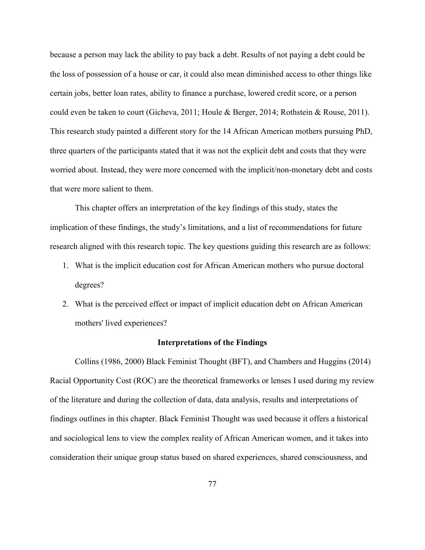because a person may lack the ability to pay back a debt. Results of not paying a debt could be the loss of possession of a house or car, it could also mean diminished access to other things like certain jobs, better loan rates, ability to finance a purchase, lowered credit score, or a person could even be taken to court (Gicheva, 2011; Houle & Berger, 2014; Rothstein & Rouse, 2011). This research study painted a different story for the 14 African American mothers pursuing PhD, three quarters of the participants stated that it was not the explicit debt and costs that they were worried about. Instead, they were more concerned with the implicit/non-monetary debt and costs that were more salient to them.

This chapter offers an interpretation of the key findings of this study, states the implication of these findings, the study's limitations, and a list of recommendations for future research aligned with this research topic. The key questions guiding this research are as follows:

- 1. What is the implicit education cost for African American mothers who pursue doctoral degrees?
- 2. What is the perceived effect or impact of implicit education debt on African American mothers' lived experiences?

#### **Interpretations of the Findings**

Collins (1986, 2000) Black Feminist Thought (BFT), and Chambers and Huggins (2014) Racial Opportunity Cost (ROC) are the theoretical frameworks or lenses I used during my review of the literature and during the collection of data, data analysis, results and interpretations of findings outlines in this chapter. Black Feminist Thought was used because it offers a historical and sociological lens to view the complex reality of African American women, and it takes into consideration their unique group status based on shared experiences, shared consciousness, and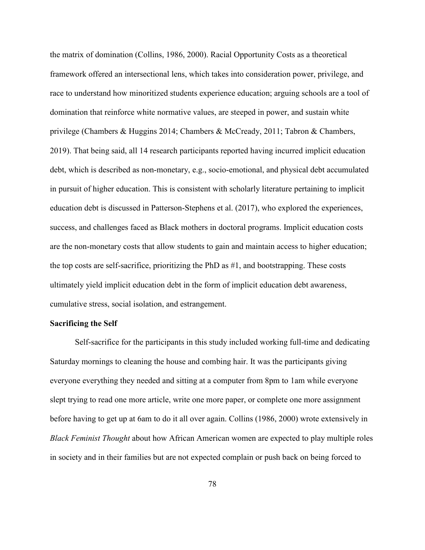the matrix of domination (Collins, 1986, 2000). Racial Opportunity Costs as a theoretical framework offered an intersectional lens, which takes into consideration power, privilege, and race to understand how minoritized students experience education; arguing schools are a tool of domination that reinforce white normative values, are steeped in power, and sustain white privilege (Chambers & Huggins 2014; Chambers & McCready, 2011; Tabron & Chambers, 2019). That being said, all 14 research participants reported having incurred implicit education debt, which is described as non-monetary, e.g., socio-emotional, and physical debt accumulated in pursuit of higher education. This is consistent with scholarly literature pertaining to implicit education debt is discussed in Patterson-Stephens et al. (2017), who explored the experiences, success, and challenges faced as Black mothers in doctoral programs. Implicit education costs are the non-monetary costs that allow students to gain and maintain access to higher education; the top costs are self-sacrifice, prioritizing the PhD as #1, and bootstrapping. These costs ultimately yield implicit education debt in the form of implicit education debt awareness, cumulative stress, social isolation, and estrangement.

### **Sacrificing the Self**

Self-sacrifice for the participants in this study included working full-time and dedicating Saturday mornings to cleaning the house and combing hair. It was the participants giving everyone everything they needed and sitting at a computer from 8pm to 1am while everyone slept trying to read one more article, write one more paper, or complete one more assignment before having to get up at 6am to do it all over again. Collins (1986, 2000) wrote extensively in *Black Feminist Thought* about how African American women are expected to play multiple roles in society and in their families but are not expected complain or push back on being forced to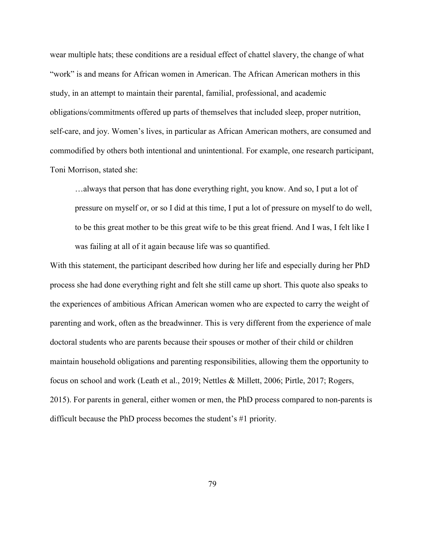wear multiple hats; these conditions are a residual effect of chattel slavery, the change of what "work" is and means for African women in American. The African American mothers in this study, in an attempt to maintain their parental, familial, professional, and academic obligations/commitments offered up parts of themselves that included sleep, proper nutrition, self-care, and joy. Women's lives, in particular as African American mothers, are consumed and commodified by others both intentional and unintentional. For example, one research participant, Toni Morrison, stated she:

…always that person that has done everything right, you know. And so, I put a lot of pressure on myself or, or so I did at this time, I put a lot of pressure on myself to do well, to be this great mother to be this great wife to be this great friend. And I was, I felt like I was failing at all of it again because life was so quantified.

With this statement, the participant described how during her life and especially during her PhD process she had done everything right and felt she still came up short. This quote also speaks to the experiences of ambitious African American women who are expected to carry the weight of parenting and work, often as the breadwinner. This is very different from the experience of male doctoral students who are parents because their spouses or mother of their child or children maintain household obligations and parenting responsibilities, allowing them the opportunity to focus on school and work (Leath et al., 2019; Nettles & Millett, 2006; Pirtle, 2017; Rogers, 2015). For parents in general, either women or men, the PhD process compared to non-parents is difficult because the PhD process becomes the student's #1 priority.

79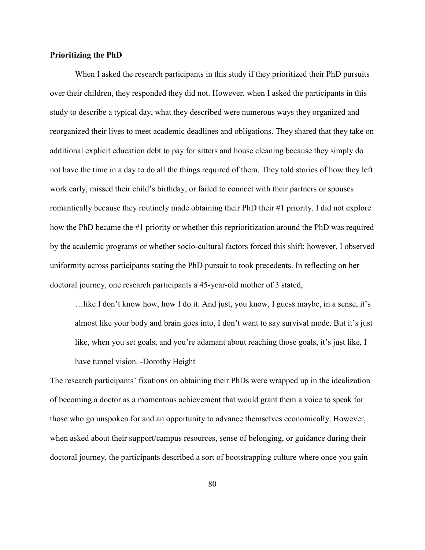# **Prioritizing the PhD**

When I asked the research participants in this study if they prioritized their PhD pursuits over their children, they responded they did not. However, when I asked the participants in this study to describe a typical day, what they described were numerous ways they organized and reorganized their lives to meet academic deadlines and obligations. They shared that they take on additional explicit education debt to pay for sitters and house cleaning because they simply do not have the time in a day to do all the things required of them. They told stories of how they left work early, missed their child's birthday, or failed to connect with their partners or spouses romantically because they routinely made obtaining their PhD their #1 priority. I did not explore how the PhD became the #1 priority or whether this reprioritization around the PhD was required by the academic programs or whether socio-cultural factors forced this shift; however, I observed uniformity across participants stating the PhD pursuit to took precedents. In reflecting on her doctoral journey, one research participants a 45-year-old mother of 3 stated,

…like I don't know how, how I do it. And just, you know, I guess maybe, in a sense, it's almost like your body and brain goes into, I don't want to say survival mode. But it's just like, when you set goals, and you're adamant about reaching those goals, it's just like, I have tunnel vision. -Dorothy Height

The research participants' fixations on obtaining their PhDs were wrapped up in the idealization of becoming a doctor as a momentous achievement that would grant them a voice to speak for those who go unspoken for and an opportunity to advance themselves economically. However, when asked about their support/campus resources, sense of belonging, or guidance during their doctoral journey, the participants described a sort of bootstrapping culture where once you gain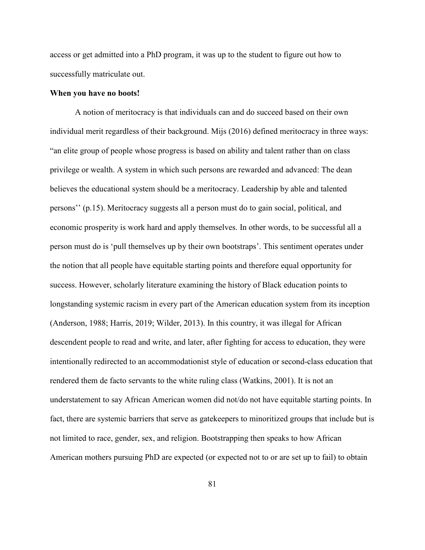access or get admitted into a PhD program, it was up to the student to figure out how to successfully matriculate out.

#### **When you have no boots!**

A notion of meritocracy is that individuals can and do succeed based on their own individual merit regardless of their background. Mijs (2016) defined meritocracy in three ways: "an elite group of people whose progress is based on ability and talent rather than on class privilege or wealth. A system in which such persons are rewarded and advanced: The dean believes the educational system should be a meritocracy. Leadership by able and talented persons'' (p.15). Meritocracy suggests all a person must do to gain social, political, and economic prosperity is work hard and apply themselves. In other words, to be successful all a person must do is 'pull themselves up by their own bootstraps'. This sentiment operates under the notion that all people have equitable starting points and therefore equal opportunity for success. However, scholarly literature examining the history of Black education points to longstanding systemic racism in every part of the American education system from its inception (Anderson, 1988; Harris, 2019; Wilder, 2013). In this country, it was illegal for African descendent people to read and write, and later, after fighting for access to education, they were intentionally redirected to an accommodationist style of education or second-class education that rendered them de facto servants to the white ruling class (Watkins, 2001). It is not an understatement to say African American women did not/do not have equitable starting points. In fact, there are systemic barriers that serve as gatekeepers to minoritized groups that include but is not limited to race, gender, sex, and religion. Bootstrapping then speaks to how African American mothers pursuing PhD are expected (or expected not to or are set up to fail) to obtain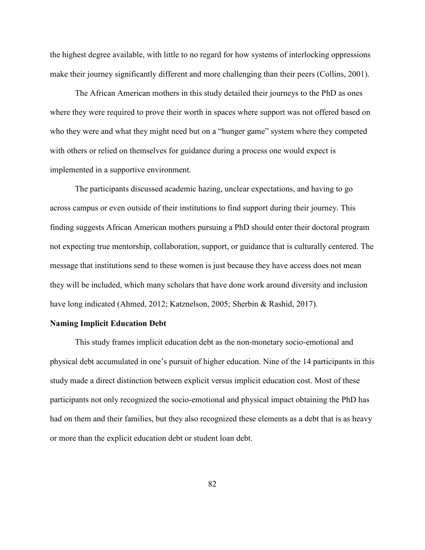the highest degree available, with little to no regard for how systems of interlocking oppressions make their journey significantly different and more challenging than their peers (Collins, 2001).

The African American mothers in this study detailed their journeys to the PhD as ones where they were required to prove their worth in spaces where support was not offered based on who they were and what they might need but on a "hunger game" system where they competed with others or relied on themselves for guidance during a process one would expect is implemented in a supportive environment.

The participants discussed academic hazing, unclear expectations, and having to go across campus or even outside of their institutions to find support during their journey. This finding suggests African American mothers pursuing a PhD should enter their doctoral program not expecting true mentorship, collaboration, support, or guidance that is culturally centered. The message that institutions send to these women is just because they have access does not mean they will be included, which many scholars that have done work around diversity and inclusion have long indicated (Ahmed, 2012; Katznelson, 2005; Sherbin & Rashid, 2017).

### **Naming Implicit Education Debt**

This study frames implicit education debt as the non-monetary socio-emotional and physical debt accumulated in one's pursuit of higher education. Nine of the 14 participants in this study made a direct distinction between explicit versus implicit education cost. Most of these participants not only recognized the socio-emotional and physical impact obtaining the PhD has had on them and their families, but they also recognized these elements as a debt that is as heavy or more than the explicit education debt or student loan debt.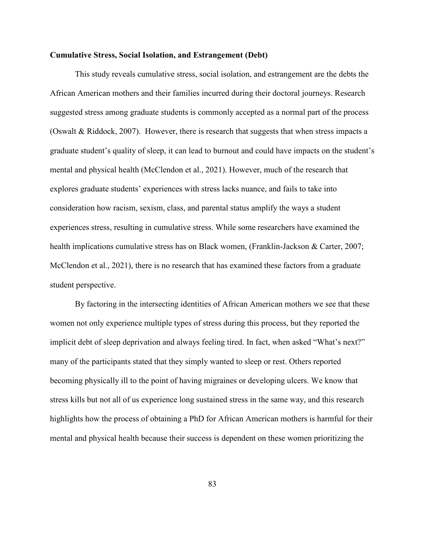## **Cumulative Stress, Social Isolation, and Estrangement (Debt)**

This study reveals cumulative stress, social isolation, and estrangement are the debts the African American mothers and their families incurred during their doctoral journeys. Research suggested stress among graduate students is commonly accepted as a normal part of the process (Oswalt & Riddock, 2007). However, there is research that suggests that when stress impacts a graduate student's quality of sleep, it can lead to burnout and could have impacts on the student's mental and physical health (McClendon et al., 2021). However, much of the research that explores graduate students' experiences with stress lacks nuance, and fails to take into consideration how racism, sexism, class, and parental status amplify the ways a student experiences stress, resulting in cumulative stress. While some researchers have examined the health implications cumulative stress has on Black women, (Franklin-Jackson & Carter, 2007; McClendon et al., 2021), there is no research that has examined these factors from a graduate student perspective.

By factoring in the intersecting identities of African American mothers we see that these women not only experience multiple types of stress during this process, but they reported the implicit debt of sleep deprivation and always feeling tired. In fact, when asked "What's next?" many of the participants stated that they simply wanted to sleep or rest. Others reported becoming physically ill to the point of having migraines or developing ulcers. We know that stress kills but not all of us experience long sustained stress in the same way, and this research highlights how the process of obtaining a PhD for African American mothers is harmful for their mental and physical health because their success is dependent on these women prioritizing the

83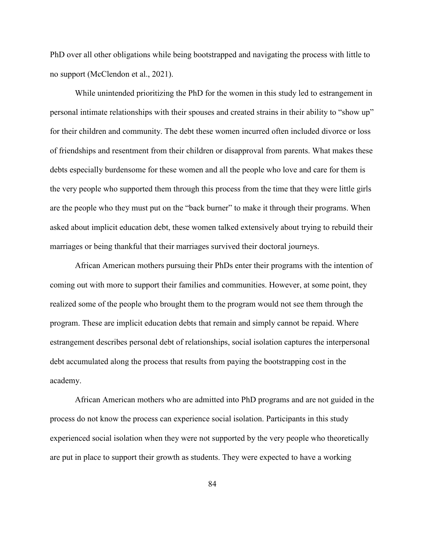PhD over all other obligations while being bootstrapped and navigating the process with little to no support (McClendon et al., 2021).

While unintended prioritizing the PhD for the women in this study led to estrangement in personal intimate relationships with their spouses and created strains in their ability to "show up" for their children and community. The debt these women incurred often included divorce or loss of friendships and resentment from their children or disapproval from parents. What makes these debts especially burdensome for these women and all the people who love and care for them is the very people who supported them through this process from the time that they were little girls are the people who they must put on the "back burner" to make it through their programs. When asked about implicit education debt, these women talked extensively about trying to rebuild their marriages or being thankful that their marriages survived their doctoral journeys.

African American mothers pursuing their PhDs enter their programs with the intention of coming out with more to support their families and communities. However, at some point, they realized some of the people who brought them to the program would not see them through the program. These are implicit education debts that remain and simply cannot be repaid. Where estrangement describes personal debt of relationships, social isolation captures the interpersonal debt accumulated along the process that results from paying the bootstrapping cost in the academy.

African American mothers who are admitted into PhD programs and are not guided in the process do not know the process can experience social isolation. Participants in this study experienced social isolation when they were not supported by the very people who theoretically are put in place to support their growth as students. They were expected to have a working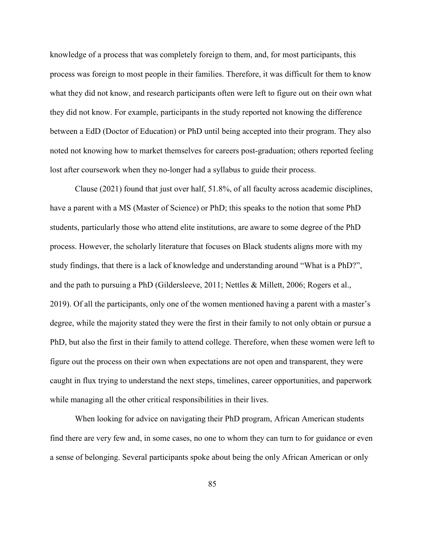knowledge of a process that was completely foreign to them, and, for most participants, this process was foreign to most people in their families. Therefore, it was difficult for them to know what they did not know, and research participants often were left to figure out on their own what they did not know. For example, participants in the study reported not knowing the difference between a EdD (Doctor of Education) or PhD until being accepted into their program. They also noted not knowing how to market themselves for careers post-graduation; others reported feeling lost after coursework when they no-longer had a syllabus to guide their process.

Clause (2021) found that just over half, 51.8%, of all faculty across academic disciplines, have a parent with a MS (Master of Science) or PhD; this speaks to the notion that some PhD students, particularly those who attend elite institutions, are aware to some degree of the PhD process. However, the scholarly literature that focuses on Black students aligns more with my study findings, that there is a lack of knowledge and understanding around "What is a PhD?", and the path to pursuing a PhD (Gildersleeve, 2011; Nettles & Millett, 2006; Rogers et al., 2019). Of all the participants, only one of the women mentioned having a parent with a master's degree, while the majority stated they were the first in their family to not only obtain or pursue a PhD, but also the first in their family to attend college. Therefore, when these women were left to figure out the process on their own when expectations are not open and transparent, they were caught in flux trying to understand the next steps, timelines, career opportunities, and paperwork while managing all the other critical responsibilities in their lives.

When looking for advice on navigating their PhD program, African American students find there are very few and, in some cases, no one to whom they can turn to for guidance or even a sense of belonging. Several participants spoke about being the only African American or only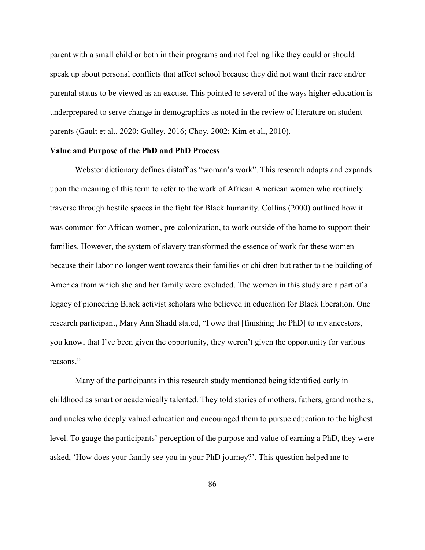parent with a small child or both in their programs and not feeling like they could or should speak up about personal conflicts that affect school because they did not want their race and/or parental status to be viewed as an excuse. This pointed to several of the ways higher education is underprepared to serve change in demographics as noted in the review of literature on studentparents (Gault et al., 2020; Gulley, 2016; Choy, 2002; Kim et al., 2010).

#### **Value and Purpose of the PhD and PhD Process**

Webster dictionary defines distaff as "woman's work". This research adapts and expands upon the meaning of this term to refer to the work of African American women who routinely traverse through hostile spaces in the fight for Black humanity. Collins (2000) outlined how it was common for African women, pre-colonization, to work outside of the home to support their families. However, the system of slavery transformed the essence of work for these women because their labor no longer went towards their families or children but rather to the building of America from which she and her family were excluded. The women in this study are a part of a legacy of pioneering Black activist scholars who believed in education for Black liberation. One research participant, Mary Ann Shadd stated, "I owe that [finishing the PhD] to my ancestors, you know, that I've been given the opportunity, they weren't given the opportunity for various reasons."

Many of the participants in this research study mentioned being identified early in childhood as smart or academically talented. They told stories of mothers, fathers, grandmothers, and uncles who deeply valued education and encouraged them to pursue education to the highest level. To gauge the participants' perception of the purpose and value of earning a PhD, they were asked, 'How does your family see you in your PhD journey?'. This question helped me to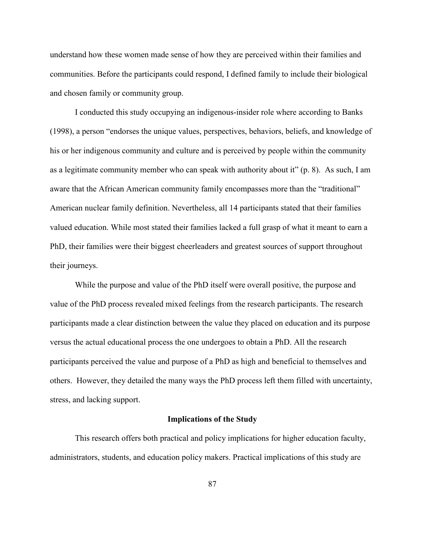understand how these women made sense of how they are perceived within their families and communities. Before the participants could respond, I defined family to include their biological and chosen family or community group.

I conducted this study occupying an indigenous-insider role where according to Banks (1998), a person "endorses the unique values, perspectives, behaviors, beliefs, and knowledge of his or her indigenous community and culture and is perceived by people within the community as a legitimate community member who can speak with authority about it" (p. 8). As such, I am aware that the African American community family encompasses more than the "traditional" American nuclear family definition. Nevertheless, all 14 participants stated that their families valued education. While most stated their families lacked a full grasp of what it meant to earn a PhD, their families were their biggest cheerleaders and greatest sources of support throughout their journeys.

While the purpose and value of the PhD itself were overall positive, the purpose and value of the PhD process revealed mixed feelings from the research participants. The research participants made a clear distinction between the value they placed on education and its purpose versus the actual educational process the one undergoes to obtain a PhD. All the research participants perceived the value and purpose of a PhD as high and beneficial to themselves and others. However, they detailed the many ways the PhD process left them filled with uncertainty, stress, and lacking support.

## **Implications of the Study**

This research offers both practical and policy implications for higher education faculty, administrators, students, and education policy makers. Practical implications of this study are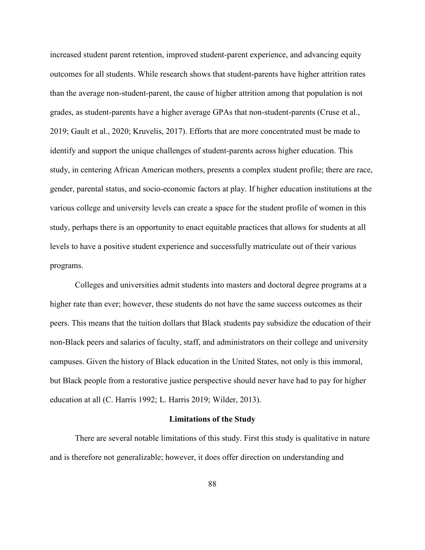increased student parent retention, improved student-parent experience, and advancing equity outcomes for all students. While research shows that student-parents have higher attrition rates than the average non-student-parent, the cause of higher attrition among that population is not grades, as student-parents have a higher average GPAs that non-student-parents (Cruse et al., 2019; Gault et al., 2020; Kruvelis, 2017). Efforts that are more concentrated must be made to identify and support the unique challenges of student-parents across higher education. This study, in centering African American mothers, presents a complex student profile; there are race, gender, parental status, and socio-economic factors at play. If higher education institutions at the various college and university levels can create a space for the student profile of women in this study, perhaps there is an opportunity to enact equitable practices that allows for students at all levels to have a positive student experience and successfully matriculate out of their various programs.

Colleges and universities admit students into masters and doctoral degree programs at a higher rate than ever; however, these students do not have the same success outcomes as their peers. This means that the tuition dollars that Black students pay subsidize the education of their non-Black peers and salaries of faculty, staff, and administrators on their college and university campuses. Given the history of Black education in the United States, not only is this immoral, but Black people from a restorative justice perspective should never have had to pay for higher education at all (C. Harris 1992; L. Harris 2019; Wilder, 2013).

#### **Limitations of the Study**

There are several notable limitations of this study. First this study is qualitative in nature and is therefore not generalizable; however, it does offer direction on understanding and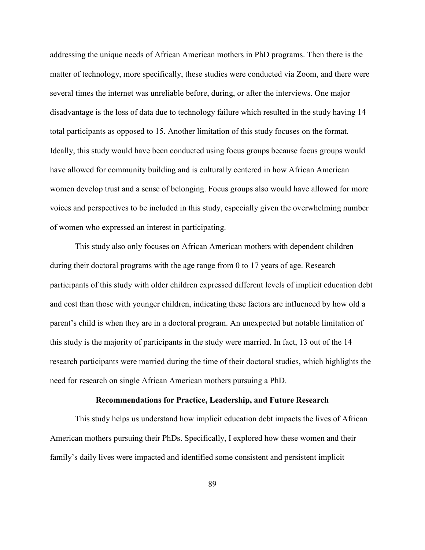addressing the unique needs of African American mothers in PhD programs. Then there is the matter of technology, more specifically, these studies were conducted via Zoom, and there were several times the internet was unreliable before, during, or after the interviews. One major disadvantage is the loss of data due to technology failure which resulted in the study having 14 total participants as opposed to 15. Another limitation of this study focuses on the format. Ideally, this study would have been conducted using focus groups because focus groups would have allowed for community building and is culturally centered in how African American women develop trust and a sense of belonging. Focus groups also would have allowed for more voices and perspectives to be included in this study, especially given the overwhelming number of women who expressed an interest in participating.

This study also only focuses on African American mothers with dependent children during their doctoral programs with the age range from 0 to 17 years of age. Research participants of this study with older children expressed different levels of implicit education debt and cost than those with younger children, indicating these factors are influenced by how old a parent's child is when they are in a doctoral program. An unexpected but notable limitation of this study is the majority of participants in the study were married. In fact, 13 out of the 14 research participants were married during the time of their doctoral studies, which highlights the need for research on single African American mothers pursuing a PhD.

#### **Recommendations for Practice, Leadership, and Future Research**

This study helps us understand how implicit education debt impacts the lives of African American mothers pursuing their PhDs. Specifically, I explored how these women and their family's daily lives were impacted and identified some consistent and persistent implicit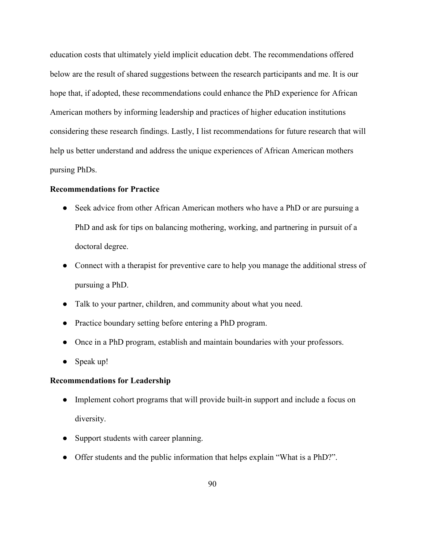education costs that ultimately yield implicit education debt. The recommendations offered below are the result of shared suggestions between the research participants and me. It is our hope that, if adopted, these recommendations could enhance the PhD experience for African American mothers by informing leadership and practices of higher education institutions considering these research findings. Lastly, I list recommendations for future research that will help us better understand and address the unique experiences of African American mothers pursing PhDs.

# **Recommendations for Practice**

- Seek advice from other African American mothers who have a PhD or are pursuing a PhD and ask for tips on balancing mothering, working, and partnering in pursuit of a doctoral degree.
- Connect with a therapist for preventive care to help you manage the additional stress of pursuing a PhD.
- Talk to your partner, children, and community about what you need.
- Practice boundary setting before entering a PhD program.
- Once in a PhD program, establish and maintain boundaries with your professors.
- Speak up!

# **Recommendations for Leadership**

- Implement cohort programs that will provide built-in support and include a focus on diversity.
- Support students with career planning.
- Offer students and the public information that helps explain "What is a PhD?".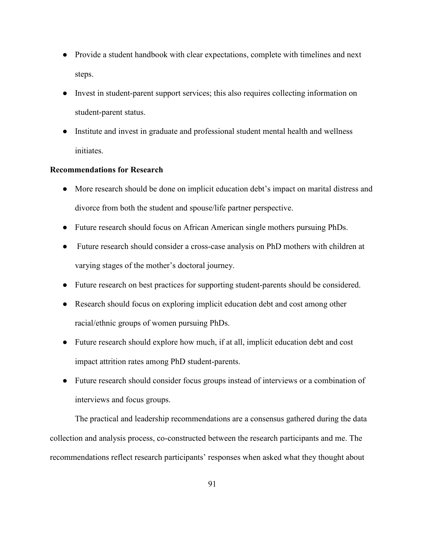- Provide a student handbook with clear expectations, complete with timelines and next steps.
- Invest in student-parent support services; this also requires collecting information on student-parent status.
- Institute and invest in graduate and professional student mental health and wellness initiates.

# **Recommendations for Research**

- More research should be done on implicit education debt's impact on marital distress and divorce from both the student and spouse/life partner perspective.
- Future research should focus on African American single mothers pursuing PhDs.
- Future research should consider a cross-case analysis on PhD mothers with children at varying stages of the mother's doctoral journey.
- Future research on best practices for supporting student-parents should be considered.
- Research should focus on exploring implicit education debt and cost among other racial/ethnic groups of women pursuing PhDs.
- Future research should explore how much, if at all, implicit education debt and cost impact attrition rates among PhD student-parents.
- Future research should consider focus groups instead of interviews or a combination of interviews and focus groups.

The practical and leadership recommendations are a consensus gathered during the data collection and analysis process, co-constructed between the research participants and me. The recommendations reflect research participants' responses when asked what they thought about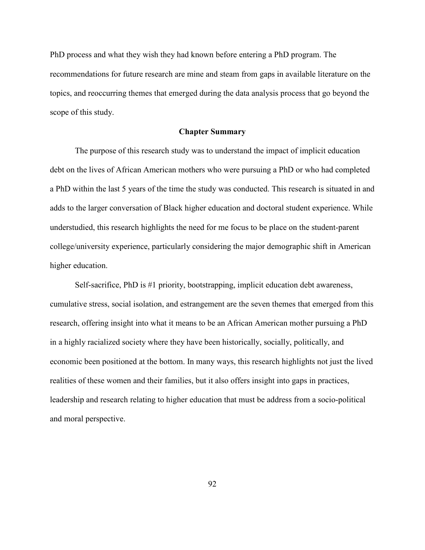PhD process and what they wish they had known before entering a PhD program. The recommendations for future research are mine and steam from gaps in available literature on the topics, and reoccurring themes that emerged during the data analysis process that go beyond the scope of this study.

# **Chapter Summary**

The purpose of this research study was to understand the impact of implicit education debt on the lives of African American mothers who were pursuing a PhD or who had completed a PhD within the last 5 years of the time the study was conducted. This research is situated in and adds to the larger conversation of Black higher education and doctoral student experience. While understudied, this research highlights the need for me focus to be place on the student-parent college/university experience, particularly considering the major demographic shift in American higher education.

Self-sacrifice, PhD is #1 priority, bootstrapping, implicit education debt awareness, cumulative stress, social isolation, and estrangement are the seven themes that emerged from this research, offering insight into what it means to be an African American mother pursuing a PhD in a highly racialized society where they have been historically, socially, politically, and economic been positioned at the bottom. In many ways, this research highlights not just the lived realities of these women and their families, but it also offers insight into gaps in practices, leadership and research relating to higher education that must be address from a socio-political and moral perspective.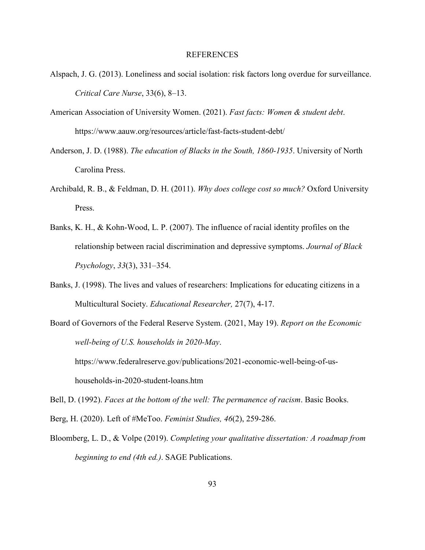#### REFERENCES

- Alspach, J. G. (2013). Loneliness and social isolation: risk factors long overdue for surveillance. *Critical Care Nurse*, 33(6), 8–13.
- American Association of University Women. (2021). *Fast facts: Women & student debt*. https://www.aauw.org/resources/article/fast-facts-student-debt/
- Anderson, J. D. (1988). *The education of Blacks in the South, 1860-1935*. University of North Carolina Press.
- Archibald, R. B., & Feldman, D. H. (2011). *Why does college cost so much?* Oxford University Press.
- Banks, K. H., & Kohn-Wood, L. P. (2007). The influence of racial identity profiles on the relationship between racial discrimination and depressive symptoms. *Journal of Black Psychology*, *33*(3), 331–354.
- Banks, J. (1998). The lives and values of researchers: Implications for educating citizens in a Multicultural Society. *Educational Researcher,* 27(7), 4-17.
- Board of Governors of the Federal Reserve System. (2021, May 19). *Report on the Economic well-being of U.S. households in 2020-May*.

https://www.federalreserve.gov/publications/2021-economic-well-being-of-ushouseholds-in-2020-student-loans.htm

Bell, D. (1992). *Faces at the bottom of the well: The permanence of racism*. Basic Books.

Berg, H. (2020). Left of #MeToo. *Feminist Studies, 46*(2), 259-286.

Bloomberg, L. D., & Volpe (2019). *Completing your qualitative dissertation: A roadmap from beginning to end (4th ed.)*. SAGE Publications.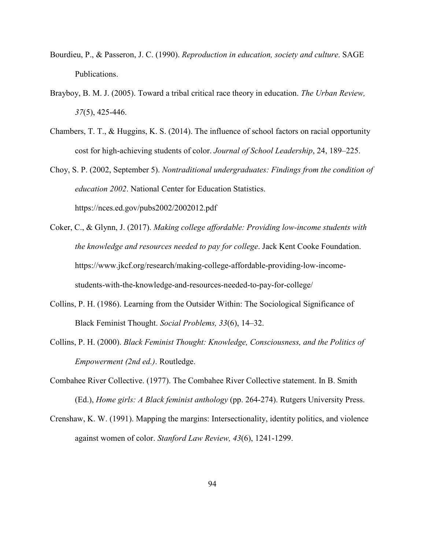- Bourdieu, P., & Passeron, J. C. (1990). *Reproduction in education, society and culture*. SAGE Publications.
- Brayboy, B. M. J. (2005). Toward a tribal critical race theory in education. *The Urban Review, 37*(5), 425-446.
- Chambers, T. T., & Huggins, K. S. (2014). The influence of school factors on racial opportunity cost for high-achieving students of color. *Journal of School Leadership*, 24, 189–225.
- Choy, S. P. (2002, September 5). *Nontraditional undergraduates: Findings from the condition of education 2002*. National Center for Education Statistics. https://nces.ed.gov/pubs2002/2002012.pdf
- Coker, C., & Glynn, J. (2017). *Making college affordable: Providing low-income students with the knowledge and resources needed to pay for college*. Jack Kent Cooke Foundation. https://www.jkcf.org/research/making-college-affordable-providing-low-incomestudents-with-the-knowledge-and-resources-needed-to-pay-for-college/
- Collins, P. H. (1986). Learning from the Outsider Within: The Sociological Significance of Black Feminist Thought. *Social Problems, 33*(6), 14–32.
- Collins, P. H. (2000). *Black Feminist Thought: Knowledge, Consciousness, and the Politics of Empowerment (2nd ed.)*. Routledge.
- Combahee River Collective. (1977). The Combahee River Collective statement. In B. Smith (Ed.), *Home girls: A Black feminist anthology* (pp. 264-274). Rutgers University Press.
- Crenshaw, K. W. (1991). Mapping the margins: Intersectionality, identity politics, and violence against women of color. *Stanford Law Review, 43*(6), 1241-1299.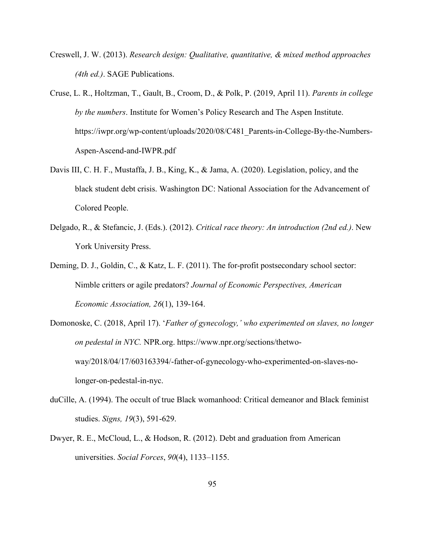- Creswell, J. W. (2013). *Research design: Qualitative, quantitative, & mixed method approaches (4th ed.)*. SAGE Publications.
- Cruse, L. R., Holtzman, T., Gault, B., Croom, D., & Polk, P. (2019, April 11). *Parents in college by the numbers*. Institute for Women's Policy Research and The Aspen Institute. https://iwpr.org/wp-content/uploads/2020/08/C481\_Parents-in-College-By-the-Numbers-Aspen-Ascend-and-IWPR.pdf
- Davis III, C. H. F., Mustaffa, J. B., King, K., & Jama, A. (2020). Legislation, policy, and the black student debt crisis. Washington DC: National Association for the Advancement of Colored People.
- Delgado, R., & Stefancic, J. (Eds.). (2012). *Critical race theory: An introduction (2nd ed.)*. New York University Press.
- Deming, D. J., Goldin, C., & Katz, L. F. (2011). The for-profit postsecondary school sector: Nimble critters or agile predators? *Journal of Economic Perspectives, American Economic Association, 26*(1), 139-164.
- Domonoske, C. (2018, April 17). '*Father of gynecology,' who experimented on slaves, no longer on pedestal in NYC.* NPR.org. https://www.npr.org/sections/thetwoway/2018/04/17/603163394/-father-of-gynecology-who-experimented-on-slaves-nolonger-on-pedestal-in-nyc.
- duCille, A. (1994). The occult of true Black womanhood: Critical demeanor and Black feminist studies. *Signs, 19*(3), 591-629.
- Dwyer, R. E., McCloud, L., & Hodson, R. (2012). Debt and graduation from American universities. *Social Forces*, *90*(4), 1133–1155.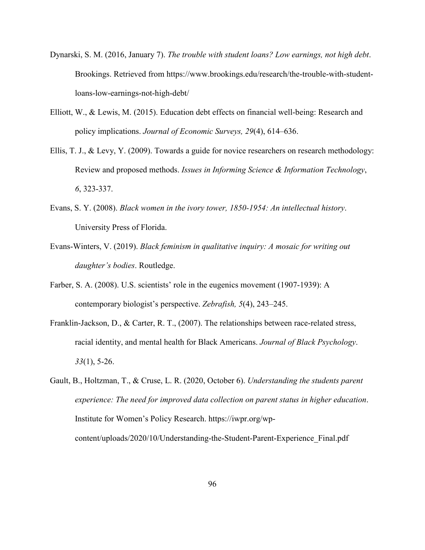- Dynarski, S. M. (2016, January 7). *The trouble with student loans? Low earnings, not high debt*. Brookings. Retrieved from https://www.brookings.edu/research/the-trouble-with-studentloans-low-earnings-not-high-debt/
- Elliott, W., & Lewis, M. (2015). Education debt effects on financial well-being: Research and policy implications. *Journal of Economic Surveys, 29*(4), 614–636.
- Ellis, T. J., & Levy, Y. (2009). Towards a guide for novice researchers on research methodology: Review and proposed methods. *Issues in Informing Science & Information Technology*, *6*, 323-337.
- Evans, S. Y. (2008). *Black women in the ivory tower, 1850-1954: An intellectual history*. University Press of Florida.
- Evans-Winters, V. (2019). *Black feminism in qualitative inquiry: A mosaic for writing out daughter's bodies*. Routledge.
- Farber, S. A. (2008). U.S. scientists' role in the eugenics movement (1907-1939): A contemporary biologist's perspective. *Zebrafish, 5*(4), 243–245.
- Franklin-Jackson, D., & Carter, R. T., (2007). The relationships between race-related stress, racial identity, and mental health for Black Americans. *Journal of Black Psychology*. *33*(1), 5-26.
- Gault, B., Holtzman, T., & Cruse, L. R. (2020, October 6). *Understanding the students parent experience: The need for improved data collection on parent status in higher education*. Institute for Women's Policy Research. https://iwpr.org/wpcontent/uploads/2020/10/Understanding-the-Student-Parent-Experience\_Final.pdf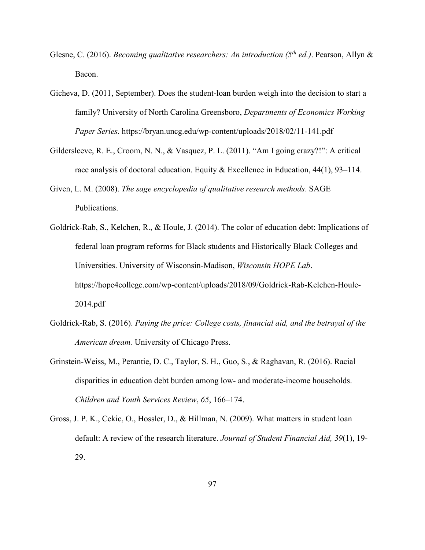- Glesne, C. (2016). *Becoming qualitative researchers: An introduction (5 th ed.)*. Pearson, Allyn & Bacon.
- Gicheva, D. (2011, September). Does the student-loan burden weigh into the decision to start a family? University of North Carolina Greensboro, *Departments of Economics Working Paper Series*. https://bryan.uncg.edu/wp-content/uploads/2018/02/11-141.pdf
- Gildersleeve, R. E., Croom, N. N., & Vasquez, P. L. (2011). "Am I going crazy?!": A critical race analysis of doctoral education. Equity & Excellence in Education, 44(1), 93–114.
- Given, L. M. (2008). *The sage encyclopedia of qualitative research methods*. SAGE Publications.
- Goldrick-Rab, S., Kelchen, R., & Houle, J. (2014). The color of education debt: Implications of federal loan program reforms for Black students and Historically Black Colleges and Universities. University of Wisconsin-Madison, *Wisconsin HOPE Lab*. https://hope4college.com/wp-content/uploads/2018/09/Goldrick-Rab-Kelchen-Houle-2014.pdf
- Goldrick-Rab, S. (2016). *Paying the price: College costs, financial aid, and the betrayal of the American dream.* University of Chicago Press.
- Grinstein-Weiss, M., Perantie, D. C., Taylor, S. H., Guo, S., & Raghavan, R. (2016). Racial disparities in education debt burden among low- and moderate-income households. *Children and Youth Services Review*, *65*, 166–174.
- Gross, J. P. K., Cekic, O., Hossler, D., & Hillman, N. (2009). What matters in student loan default: A review of the research literature. *Journal of Student Financial Aid, 39*(1), 19- 29.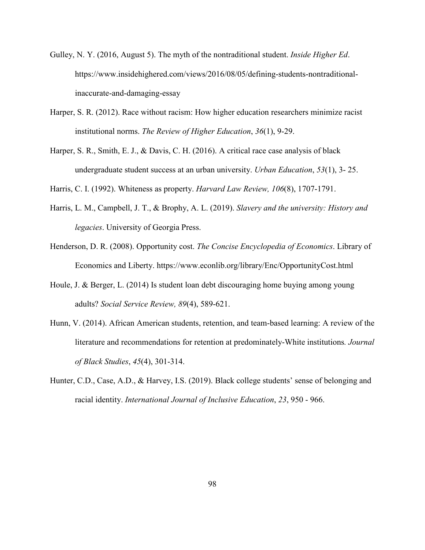- Gulley, N. Y. (2016, August 5). The myth of the nontraditional student. *Inside Higher Ed*. https://www.insidehighered.com/views/2016/08/05/defining-students-nontraditionalinaccurate-and-damaging-essay
- Harper, S. R. (2012). Race without racism: How higher education researchers minimize racist institutional norms. *The Review of Higher Education*, *36*(1), 9-29.
- Harper, S. R., Smith, E. J., & Davis, C. H. (2016). A critical race case analysis of black undergraduate student success at an urban university. *Urban Education*, *53*(1), 3- 25.
- Harris, C. I. (1992). Whiteness as property. *Harvard Law Review, 106*(8), 1707-1791.
- Harris, L. M., Campbell, J. T., & Brophy, A. L. (2019). *Slavery and the university: History and legacies*. University of Georgia Press.
- Henderson, D. R. (2008). Opportunity cost. *The Concise Encyclopedia of Economics*. Library of Economics and Liberty. https://www.econlib.org/library/Enc/OpportunityCost.html
- Houle, J. & Berger, L. (2014) Is student loan debt discouraging home buying among young adults? *Social Service Review, 89*(4), 589-621.
- Hunn, V. (2014). African American students, retention, and team-based learning: A review of the literature and recommendations for retention at predominately-White institutions*. Journal of Black Studies*, *45*(4), 301-314.
- Hunter, C.D., Case, A.D., & Harvey, I.S. (2019). Black college students' sense of belonging and racial identity. *International Journal of Inclusive Education*, *23*, 950 - 966.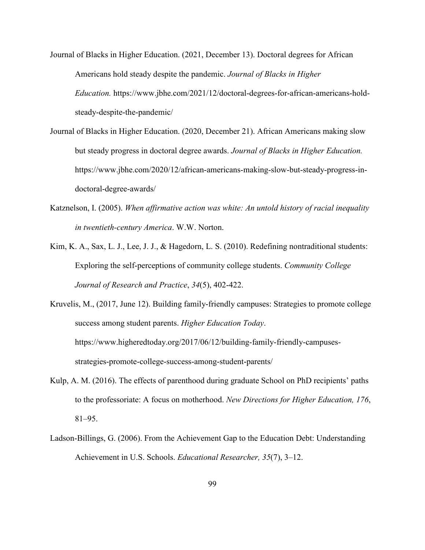- Journal of Blacks in Higher Education. (2021, December 13). Doctoral degrees for African Americans hold steady despite the pandemic. *Journal of Blacks in Higher Education.* https://www.jbhe.com/2021/12/doctoral-degrees-for-african-americans-holdsteady-despite-the-pandemic/
- Journal of Blacks in Higher Education. (2020, December 21). African Americans making slow but steady progress in doctoral degree awards. *Journal of Blacks in Higher Education.* https://www.jbhe.com/2020/12/african-americans-making-slow-but-steady-progress-indoctoral-degree-awards/
- Katznelson, I. (2005). *When affirmative action was white: An untold history of racial inequality in twentieth-century America*. W.W. Norton.
- Kim, K. A., Sax, L. J., Lee, J. J., & Hagedorn, L. S. (2010). Redefining nontraditional students: Exploring the self-perceptions of community college students. *Community College Journal of Research and Practice*, *34*(5), 402-422.
- Kruvelis, M., (2017, June 12). Building family-friendly campuses: Strategies to promote college success among student parents. *Higher Education Today*. https://www.higheredtoday.org/2017/06/12/building-family-friendly-campusesstrategies-promote-college-success-among-student-parents/
- Kulp, A. M. (2016). The effects of parenthood during graduate School on PhD recipients' paths to the professoriate: A focus on motherhood. *New Directions for Higher Education, 176*, 81–95.
- Ladson-Billings, G. (2006). From the Achievement Gap to the Education Debt: Understanding Achievement in U.S. Schools. *Educational Researcher, 35*(7), 3–12.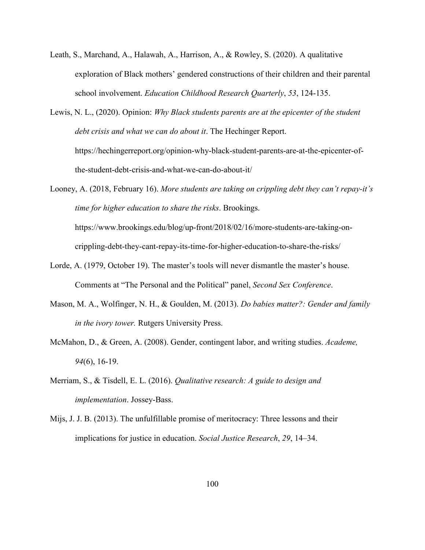- Leath, S., Marchand, A., Halawah, A., Harrison, A., & Rowley, S. (2020). A qualitative exploration of Black mothers' gendered constructions of their children and their parental school involvement. *Education Childhood Research Quarterly*, *53*, 124-135.
- Lewis, N. L., (2020). Opinion: *Why Black students parents are at the epicenter of the student debt crisis and what we can do about it*. The Hechinger Report. https://hechingerreport.org/opinion-why-black-student-parents-are-at-the-epicenter-ofthe-student-debt-crisis-and-what-we-can-do-about-it/

Looney, A. (2018, February 16). *More students are taking on crippling debt they can't repay-it's time for higher education to share the risks*. Brookings. https://www.brookings.edu/blog/up-front/2018/02/16/more-students-are-taking-oncrippling-debt-they-cant-repay-its-time-for-higher-education-to-share-the-risks/

- Lorde, A. (1979, October 19). The master's tools will never dismantle the master's house. Comments at "The Personal and the Political" panel, *Second Sex Conference*.
- Mason, M. A., Wolfinger, N. H., & Goulden, M. (2013). *Do babies matter?: Gender and family in the ivory tower.* Rutgers University Press.
- McMahon, D., & Green, A. (2008). Gender, contingent labor, and writing studies. *Academe, 94*(6), 16-19.
- Merriam, S., & Tisdell, E. L. (2016). *Qualitative research: A guide to design and implementation*. Jossey-Bass.
- Mijs, J. J. B. (2013). The unfulfillable promise of meritocracy: Three lessons and their implications for justice in education. *Social Justice Research*, *29*, 14–34.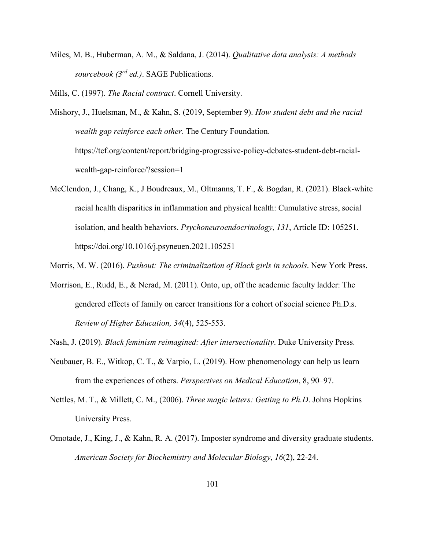Miles, M. B., Huberman, A. M., & Saldana, J. (2014). *Qualitative data analysis: A methods sourcebook (3rd ed.)*. SAGE Publications.

Mills, C. (1997). *The Racial contract*. Cornell University.

Mishory, J., Huelsman, M., & Kahn, S. (2019, September 9). *How student debt and the racial wealth gap reinforce each other*. The Century Foundation. https://tcf.org/content/report/bridging-progressive-policy-debates-student-debt-racialwealth-gap-reinforce/?session=1

McClendon, J., Chang, K., J Boudreaux, M., Oltmanns, T. F., & Bogdan, R. (2021). Black-white racial health disparities in inflammation and physical health: Cumulative stress, social isolation, and health behaviors. *Psychoneuroendocrinology*, *131*, Article ID: 105251. https://doi.org/10.1016/j.psyneuen.2021.105251

Morris, M. W. (2016). *Pushout: The criminalization of Black girls in schools*. New York Press.

Morrison, E., Rudd, E., & Nerad, M. (2011). Onto, up, off the academic faculty ladder: The gendered effects of family on career transitions for a cohort of social science Ph.D.s. *Review of Higher Education, 34*(4), 525-553.

Nash, J. (2019). *Black feminism reimagined: After intersectionality*. Duke University Press.

- Neubauer, B. E., Witkop, C. T., & Varpio, L. (2019). How phenomenology can help us learn from the experiences of others. *Perspectives on Medical Education*, 8, 90–97.
- Nettles, M. T., & Millett, C. M., (2006). *Three magic letters: Getting to Ph.D*. Johns Hopkins University Press.
- Omotade, J., King, J., & Kahn, R. A. (2017). Imposter syndrome and diversity graduate students. *American Society for Biochemistry and Molecular Biology*, *16*(2), 22-24.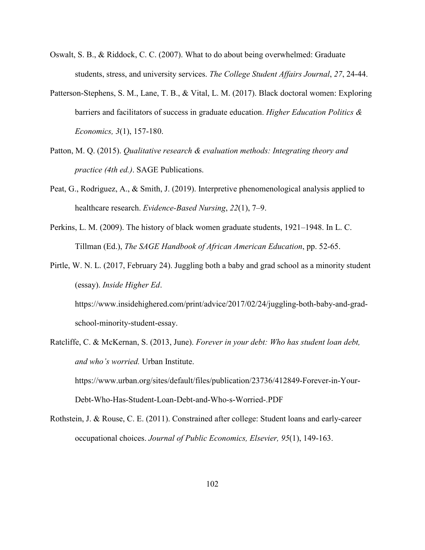- Oswalt, S. B., & Riddock, C. C. (2007). What to do about being overwhelmed: Graduate students, stress, and university services. *The College Student Affairs Journal*, *27*, 24-44.
- Patterson-Stephens, S. M., Lane, T. B., & Vital, L. M. (2017). Black doctoral women: Exploring barriers and facilitators of success in graduate education. *Higher Education Politics & Economics, 3*(1), 157-180.
- Patton, M. Q. (2015). *Qualitative research & evaluation methods: Integrating theory and practice (4th ed.)*. SAGE Publications.
- Peat, G., Rodriguez, A., & Smith, J. (2019). Interpretive phenomenological analysis applied to healthcare research. *Evidence-Based Nursing*, *22*(1), 7–9.
- Perkins, L. M. (2009). The history of black women graduate students, 1921–1948. In L. C. Tillman (Ed.), *The SAGE Handbook of African American Education*, pp. 52-65.
- Pirtle, W. N. L. (2017, February 24). Juggling both a baby and grad school as a minority student (essay). *Inside Higher Ed*.

https://www.insidehighered.com/print/advice/2017/02/24/juggling-both-baby-and-gradschool-minority-student-essay.

- Ratcliffe, C. & McKernan, S. (2013, June). *Forever in your debt: Who has student loan debt, and who's worried.* Urban Institute. https://www.urban.org/sites/default/files/publication/23736/412849-Forever-in-Your-Debt-Who-Has-Student-Loan-Debt-and-Who-s-Worried-.PDF
- Rothstein, J. & Rouse, C. E. (2011). Constrained after college: Student loans and early-career occupational choices. *Journal of Public Economics, Elsevier, 95*(1), 149-163.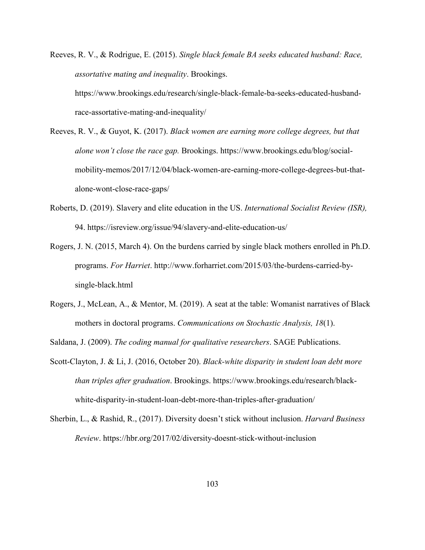Reeves, R. V., & Rodrigue, E. (2015). *Single black female BA seeks educated husband: Race, assortative mating and inequality*. Brookings.

https://www.brookings.edu/research/single-black-female-ba-seeks-educated-husbandrace-assortative-mating-and-inequality/

- Reeves, R. V., & Guyot, K. (2017). *Black women are earning more college degrees, but that alone won't close the race gap.* Brookings. https://www.brookings.edu/blog/socialmobility-memos/2017/12/04/black-women-are-earning-more-college-degrees-but-thatalone-wont-close-race-gaps/
- Roberts, D. (2019). Slavery and elite education in the US. *International Socialist Review (ISR),* 94. https://isreview.org/issue/94/slavery-and-elite-education-us/
- Rogers, J. N. (2015, March 4). On the burdens carried by single black mothers enrolled in Ph.D. programs. *For Harriet*. http://www.forharriet.com/2015/03/the-burdens-carried-bysingle-black.html
- Rogers, J., McLean, A., & Mentor, M. (2019). A seat at the table: Womanist narratives of Black mothers in doctoral programs. *Communications on Stochastic Analysis, 18*(1).

Saldana, J. (2009). *The coding manual for qualitative researchers*. SAGE Publications.

- Scott-Clayton, J. & Li, J. (2016, October 20). *Black-white disparity in student loan debt more than triples after graduation*. Brookings. https://www.brookings.edu/research/blackwhite-disparity-in-student-loan-debt-more-than-triples-after-graduation/
- Sherbin, L., & Rashid, R., (2017). Diversity doesn't stick without inclusion. *Harvard Business Review*. https://hbr.org/2017/02/diversity-doesnt-stick-without-inclusion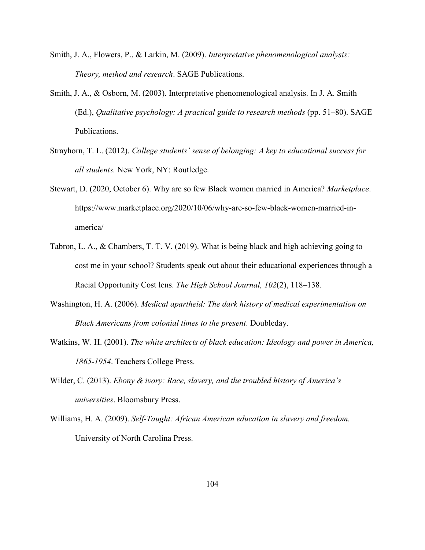- Smith, J. A., Flowers, P., & Larkin, M. (2009). *Interpretative phenomenological analysis: Theory, method and research*. SAGE Publications.
- Smith, J. A., & Osborn, M. (2003). Interpretative phenomenological analysis. In J. A. Smith (Ed.), *Qualitative psychology: A practical guide to research methods* (pp. 51–80). SAGE Publications.
- Strayhorn, T. L. (2012). *College students' sense of belonging: A key to educational success for all students.* New York, NY: Routledge.
- Stewart, D. (2020, October 6). Why are so few Black women married in America? *Marketplace*. https://www.marketplace.org/2020/10/06/why-are-so-few-black-women-married-inamerica/
- Tabron, L. A., & Chambers, T. T. V. (2019). What is being black and high achieving going to cost me in your school? Students speak out about their educational experiences through a Racial Opportunity Cost lens. *The High School Journal, 102*(2), 118–138.
- Washington, H. A. (2006). *Medical apartheid: The dark history of medical experimentation on Black Americans from colonial times to the present*. Doubleday.
- Watkins, W. H. (2001). *The white architects of black education: Ideology and power in America, 1865-1954*. Teachers College Press.
- Wilder, C. (2013). *Ebony & ivory: Race, slavery, and the troubled history of America's universities*. Bloomsbury Press.
- Williams, H. A. (2009). *Self-Taught: African American education in slavery and freedom.* University of North Carolina Press.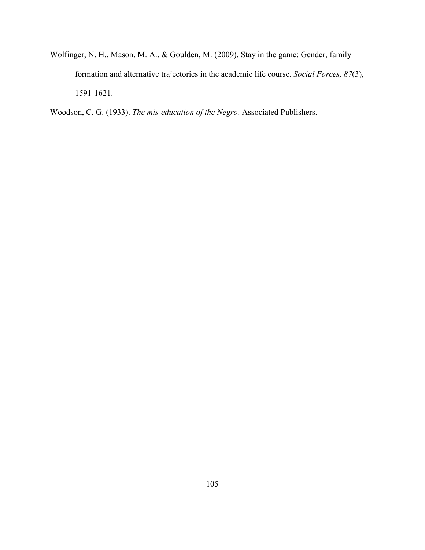Wolfinger, N. H., Mason, M. A., & Goulden, M. (2009). Stay in the game: Gender, family formation and alternative trajectories in the academic life course. *Social Forces, 87*(3), 1591-1621.

Woodson, C. G. (1933). *The mis-education of the Negro*. Associated Publishers.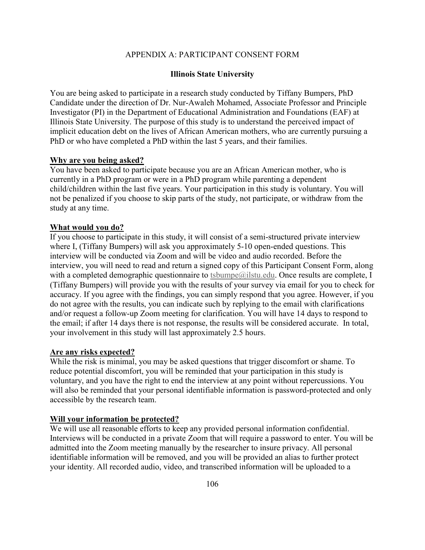## APPENDIX A: PARTICIPANT CONSENT FORM

#### **Illinois State University**

You are being asked to participate in a research study conducted by Tiffany Bumpers, PhD Candidate under the direction of Dr. Nur-Awaleh Mohamed, Associate Professor and Principle Investigator (PI) in the Department of Educational Administration and Foundations (EAF) at Illinois State University. The purpose of this study is to understand the perceived impact of implicit education debt on the lives of African American mothers, who are currently pursuing a PhD or who have completed a PhD within the last 5 years, and their families.

#### **Why are you being asked?**

You have been asked to participate because you are an African American mother, who is currently in a PhD program or were in a PhD program while parenting a dependent child/children within the last five years. Your participation in this study is voluntary. You will not be penalized if you choose to skip parts of the study, not participate, or withdraw from the study at any time.

#### **What would you do?**

If you choose to participate in this study, it will consist of a semi-structured private interview where I, (Tiffany Bumpers) will ask you approximately 5-10 open-ended questions. This interview will be conducted via Zoom and will be video and audio recorded. Before the interview, you will need to read and return a signed copy of this Participant Consent Form, along with a completed demographic questionnaire to tsbumpe $@i$ lstu.edu. Once results are complete, I (Tiffany Bumpers) will provide you with the results of your survey via email for you to check for accuracy. If you agree with the findings, you can simply respond that you agree. However, if you do not agree with the results, you can indicate such by replying to the email with clarifications and/or request a follow-up Zoom meeting for clarification. You will have 14 days to respond to the email; if after 14 days there is not response, the results will be considered accurate. In total, your involvement in this study will last approximately 2.5 hours.

#### **Are any risks expected?**

While the risk is minimal, you may be asked questions that trigger discomfort or shame. To reduce potential discomfort, you will be reminded that your participation in this study is voluntary, and you have the right to end the interview at any point without repercussions. You will also be reminded that your personal identifiable information is password-protected and only accessible by the research team.

#### **Will your information be protected?**

We will use all reasonable efforts to keep any provided personal information confidential. Interviews will be conducted in a private Zoom that will require a password to enter. You will be admitted into the Zoom meeting manually by the researcher to insure privacy. All personal identifiable information will be removed, and you will be provided an alias to further protect your identity. All recorded audio, video, and transcribed information will be uploaded to a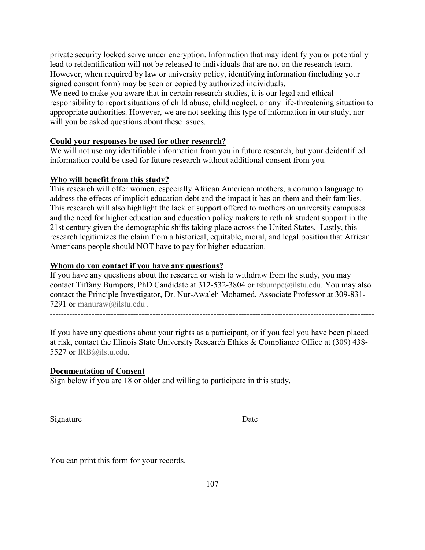private security locked serve under encryption. Information that may identify you or potentially lead to reidentification will not be released to individuals that are not on the research team. However, when required by law or university policy, identifying information (including your signed consent form) may be seen or copied by authorized individuals.

We need to make you aware that in certain research studies, it is our legal and ethical responsibility to report situations of child abuse, child neglect, or any life-threatening situation to appropriate authorities. However, we are not seeking this type of information in our study, nor will you be asked questions about these issues.

## **Could your responses be used for other research?**

We will not use any identifiable information from you in future research, but your deidentified information could be used for future research without additional consent from you.

## **Who will benefit from this study?**

This research will offer women, especially African American mothers, a common language to address the effects of implicit education debt and the impact it has on them and their families. This research will also highlight the lack of support offered to mothers on university campuses and the need for higher education and education policy makers to rethink student support in the 21st century given the demographic shifts taking place across the United States. Lastly, this research legitimizes the claim from a historical, equitable, moral, and legal position that African Americans people should NOT have to pay for higher education.

## **Whom do you contact if you have any questions?**

If you have any questions about the research or wish to withdraw from the study, you may contact Tiffany Bumpers, PhD Candidate at 312-532-3804 or tsbumpe@ilstu.edu. You may also contact the Principle Investigator, Dr. Nur-Awaleh Mohamed, Associate Professor at 309-831- 7291 or manuraw@ilstu.edu .

---------------------------------------------------------------------------------------------------------------------

If you have any questions about your rights as a participant, or if you feel you have been placed at risk, contact the Illinois State University Research Ethics & Compliance Office at (309) 438- 5527 or IRB@ilstu.edu.

## **Documentation of Consent**

Sign below if you are 18 or older and willing to participate in this study.

| Signature |  |
|-----------|--|
|-----------|--|

Signature \_\_\_\_\_\_\_\_\_\_\_\_\_\_\_\_\_\_\_\_\_\_\_\_\_\_\_\_\_\_\_\_\_\_ Date \_\_\_\_\_\_\_\_\_\_\_\_\_\_\_\_\_\_\_\_\_\_

You can print this form for your records.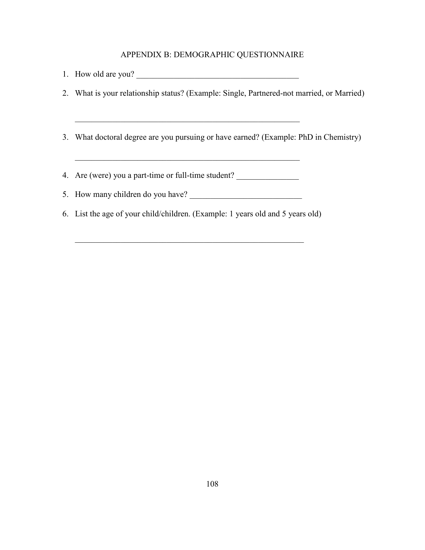#### APPENDIX B: DEMOGRAPHIC QUESTIONNAIRE

- 1. How old are you?
- 2. What is your relationship status? (Example: Single, Partnered-not married, or Married)
- 3. What doctoral degree are you pursuing or have earned? (Example: PhD in Chemistry)

 $\overline{\phantom{a}}$  , and the contribution of the contribution of  $\overline{\phantom{a}}$ 

- 4. Are (were) you a part-time or full-time student?
- 5. How many children do you have?
- 6. List the age of your child/children. (Example: 1 years old and 5 years old)

 $\_$  , and the set of the set of the set of the set of the set of the set of the set of the set of the set of the set of the set of the set of the set of the set of the set of the set of the set of the set of the set of th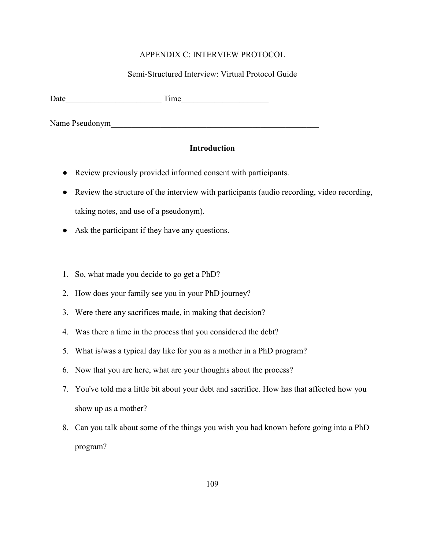#### APPENDIX C: INTERVIEW PROTOCOL

### Semi-Structured Interview: Virtual Protocol Guide

Date\_\_\_\_\_\_\_\_\_\_\_\_\_\_\_\_\_\_\_\_\_\_\_ Time\_\_\_\_\_\_\_\_\_\_\_\_\_\_\_\_\_\_\_\_\_

Name Pseudonym

### **Introduction**

- Review previously provided informed consent with participants.
- Review the structure of the interview with participants (audio recording, video recording, taking notes, and use of a pseudonym).
- Ask the participant if they have any questions.
- 1. So, what made you decide to go get a PhD?
- 2. How does your family see you in your PhD journey?
- 3. Were there any sacrifices made, in making that decision?
- 4. Was there a time in the process that you considered the debt?
- 5. What is/was a typical day like for you as a mother in a PhD program?
- 6. Now that you are here, what are your thoughts about the process?
- 7. You've told me a little bit about your debt and sacrifice. How has that affected how you show up as a mother?
- 8. Can you talk about some of the things you wish you had known before going into a PhD program?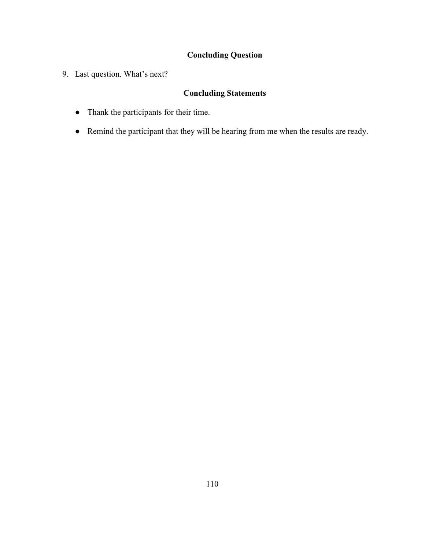# **Concluding Question**

9. Last question. What's next?

# **Concluding Statements**

- Thank the participants for their time.
- Remind the participant that they will be hearing from me when the results are ready.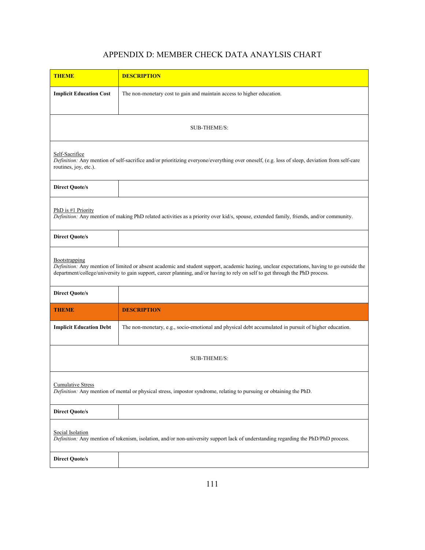## APPENDIX D: MEMBER CHECK DATA ANAYLSIS CHART

| <b>THEME</b>                                                                                                                                                                                                                                                                                 | <b>DESCRIPTION</b>                                                                                    |  |
|----------------------------------------------------------------------------------------------------------------------------------------------------------------------------------------------------------------------------------------------------------------------------------------------|-------------------------------------------------------------------------------------------------------|--|
| <b>Implicit Education Cost</b>                                                                                                                                                                                                                                                               | The non-monetary cost to gain and maintain access to higher education.                                |  |
| <b>SUB-THEME/S:</b>                                                                                                                                                                                                                                                                          |                                                                                                       |  |
| Self-Sacrifice<br>Definition: Any mention of self-sacrifice and/or prioritizing everyone/everything over oneself, (e.g. loss of sleep, deviation from self-care<br>routines, joy, etc.).                                                                                                     |                                                                                                       |  |
| <b>Direct Quote/s</b>                                                                                                                                                                                                                                                                        |                                                                                                       |  |
| PhD is #1 Priority<br>Definition: Any mention of making PhD related activities as a priority over kid/s, spouse, extended family, friends, and/or community.                                                                                                                                 |                                                                                                       |  |
| <b>Direct Quote/s</b>                                                                                                                                                                                                                                                                        |                                                                                                       |  |
| Bootstrapping<br>Definition: Any mention of limited or absent academic and student support, academic hazing, unclear expectations, having to go outside the<br>department/college/university to gain support, career planning, and/or having to rely on self to get through the PhD process. |                                                                                                       |  |
| <b>Direct Quote/s</b>                                                                                                                                                                                                                                                                        |                                                                                                       |  |
| <b>THEME</b>                                                                                                                                                                                                                                                                                 | <b>DESCRIPTION</b>                                                                                    |  |
| <b>Implicit Education Debt</b>                                                                                                                                                                                                                                                               | The non-monetary, e.g., socio-emotional and physical debt accumulated in pursuit of higher education. |  |
| <b>SUB-THEME/S:</b>                                                                                                                                                                                                                                                                          |                                                                                                       |  |
| <b>Cumulative Stress</b><br>Definition: Any mention of mental or physical stress, impostor syndrome, relating to pursuing or obtaining the PhD.                                                                                                                                              |                                                                                                       |  |
| <b>Direct Quote/s</b>                                                                                                                                                                                                                                                                        |                                                                                                       |  |
| Social Isolation<br>Definition: Any mention of tokenism, isolation, and/or non-university support lack of understanding regarding the PhD/PhD process.                                                                                                                                       |                                                                                                       |  |
| <b>Direct Quote/s</b>                                                                                                                                                                                                                                                                        |                                                                                                       |  |